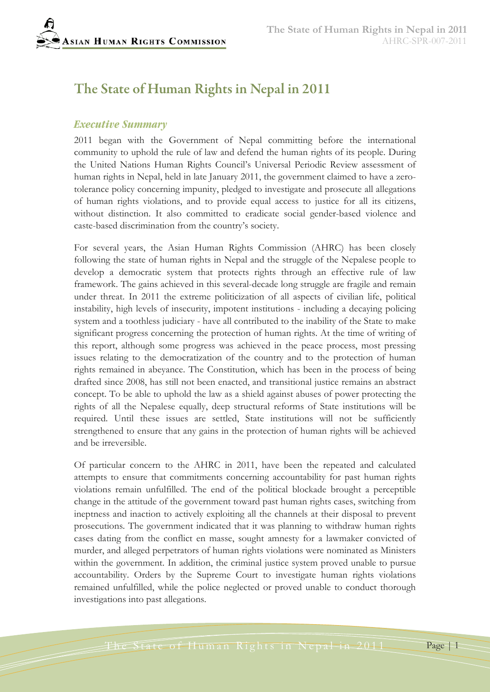# The State of Human Rights in Nepal in 2011

#### *Executive Summary*

2011 began with the Government of Nepal committing before the international community to uphold the rule of law and defend the human rights of its people. During the United Nations Human Rights Council's Universal Periodic Review assessment of human rights in Nepal, held in late January 2011, the government claimed to have a zerotolerance policy concerning impunity, pledged to investigate and prosecute all allegations of human rights violations, and to provide equal access to justice for all its citizens, without distinction. It also committed to eradicate social gender-based violence and caste-based discrimination from the country's society.

For several years, the Asian Human Rights Commission (AHRC) has been closely following the state of human rights in Nepal and the struggle of the Nepalese people to develop a democratic system that protects rights through an effective rule of law framework. The gains achieved in this several-decade long struggle are fragile and remain under threat. In 2011 the extreme politicization of all aspects of civilian life, political instability, high levels of insecurity, impotent institutions - including a decaying policing system and a toothless judiciary - have all contributed to the inability of the State to make significant progress concerning the protection of human rights. At the time of writing of this report, although some progress was achieved in the peace process, most pressing issues relating to the democratization of the country and to the protection of human rights remained in abeyance. The Constitution, which has been in the process of being drafted since 2008, has still not been enacted, and transitional justice remains an abstract concept. To be able to uphold the law as a shield against abuses of power protecting the rights of all the Nepalese equally, deep structural reforms of State institutions will be required. Until these issues are settled, State institutions will not be sufficiently strengthened to ensure that any gains in the protection of human rights will be achieved and be irreversible.

Of particular concern to the AHRC in 2011, have been the repeated and calculated attempts to ensure that commitments concerning accountability for past human rights violations remain unfulfilled. The end of the political blockade brought a perceptible change in the attitude of the government toward past human rights cases, switching from ineptness and inaction to actively exploiting all the channels at their disposal to prevent prosecutions. The government indicated that it was planning to withdraw human rights cases dating from the conflict en masse, sought amnesty for a lawmaker convicted of murder, and alleged perpetrators of human rights violations were nominated as Ministers within the government. In addition, the criminal justice system proved unable to pursue accountability. Orders by the Supreme Court to investigate human rights violations remained unfulfilled, while the police neglected or proved unable to conduct thorough investigations into past allegations.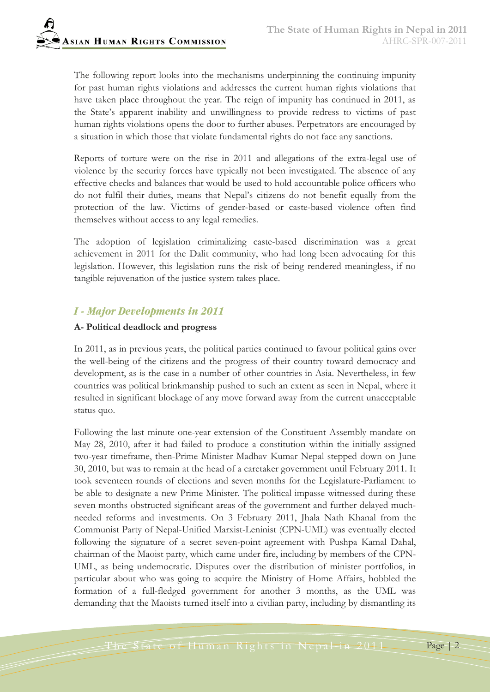The following report looks into the mechanisms underpinning the continuing impunity for past human rights violations and addresses the current human rights violations that have taken place throughout the year. The reign of impunity has continued in 2011, as the State's apparent inability and unwillingness to provide redress to victims of past human rights violations opens the door to further abuses. Perpetrators are encouraged by a situation in which those that violate fundamental rights do not face any sanctions.

Reports of torture were on the rise in 2011 and allegations of the extra-legal use of violence by the security forces have typically not been investigated. The absence of any effective checks and balances that would be used to hold accountable police officers who do not fulfil their duties, means that Nepal's citizens do not benefit equally from the protection of the law. Victims of gender-based or caste-based violence often find themselves without access to any legal remedies.

The adoption of legislation criminalizing caste-based discrimination was a great achievement in 2011 for the Dalit community, who had long been advocating for this legislation. However, this legislation runs the risk of being rendered meaningless, if no tangible rejuvenation of the justice system takes place.

# *I - Major Developments in 2011*

#### **A- Political deadlock and progress**

In 2011, as in previous years, the political parties continued to favour political gains over the well-being of the citizens and the progress of their country toward democracy and development, as is the case in a number of other countries in Asia. Nevertheless, in few countries was political brinkmanship pushed to such an extent as seen in Nepal, where it resulted in significant blockage of any move forward away from the current unacceptable status quo.

Following the last minute one-year extension of the Constituent Assembly mandate on May 28, 2010, after it had failed to produce a constitution within the initially assigned two-year timeframe, then-Prime Minister Madhav Kumar Nepal stepped down on June 30, 2010, but was to remain at the head of a caretaker government until February 2011. It took seventeen rounds of elections and seven months for the Legislature-Parliament to be able to designate a new Prime Minister. The political impasse witnessed during these seven months obstructed significant areas of the government and further delayed muchneeded reforms and investments. On 3 February 2011, Jhala Nath Khanal from the Communist Party of Nepal-Unified Marxist-Leninist (CPN-UML) was eventually elected following the signature of a secret seven-point agreement with Pushpa Kamal Dahal, chairman of the Maoist party, which came under fire, including by members of the CPN-UML, as being undemocratic. Disputes over the distribution of minister portfolios, in particular about who was going to acquire the Ministry of Home Affairs, hobbled the formation of a full-fledged government for another 3 months, as the UML was demanding that the Maoists turned itself into a civilian party, including by dismantling its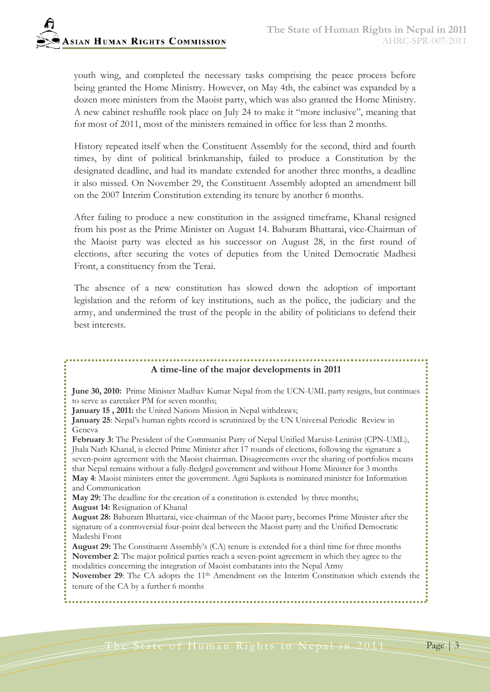youth wing, and completed the necessary tasks comprising the peace process before being granted the Home Ministry. However, on May 4th, the cabinet was expanded by a dozen more ministers from the Maoist party, which was also granted the Home Ministry. A new cabinet reshuffle took place on July 24 to make it "more inclusive", meaning that for most of 2011, most of the ministers remained in office for less than 2 months.

History repeated itself when the Constituent Assembly for the second, third and fourth times, by dint of political brinkmanship, failed to produce a Constitution by the designated deadline, and had its mandate extended for another three months, a deadline it also missed. On November 29, the Constituent Assembly adopted an amendment bill on the 2007 Interim Constitution extending its tenure by another 6 months.

After failing to produce a new constitution in the assigned timeframe, Khanal resigned from his post as the Prime Minister on August 14. Baburam Bhattarai, vice-Chairman of the Maoist party was elected as his successor on August 28, in the first round of elections, after securing the votes of deputies from the United Democratic Madhesi Front, a constituency from the Terai.

The absence of a new constitution has slowed down the adoption of important legislation and the reform of key institutions, such as the police, the judiciary and the army, and undermined the trust of the people in the ability of politicians to defend their best interests.

# **A time-line of the major developments in 2011**

**June 30, 2010:** Prime Minister Madhav Kumar Nepal from the UCN-UML party resigns, but continues to serve as caretaker PM for seven months;

**January 15 , 2011:** the United Nations Mission in Nepal withdraws;

**January 25**: Nepal's human rights record is scrutinized by the UN Universal Periodic Review in Geneva

**February 3:** The President of the Communist Party of Nepal Unified Marxist-Leninist (CPN-UML), Jhala Nath Khanal, is elected Prime Minister after 17 rounds of elections, following the signature a seven-point agreement with the Maoist chairman. Disagreements over the sharing of portfolios means that Nepal remains without a fully-fledged government and without Home Minister for 3 months **May 4**: Maoist ministers enter the government. Agni Sapkota is nominated minister for Information and Communication

**May 29:** The deadline for the creation of a constitution is extended by three months;

**August 14:** Resignation of Khanal

**August 28:** Baburam Bhattarai, vice-chairman of the Maoist party, becomes Prime Minister after the signature of a controversial four-point deal between the Maoist party and the Unified Democratic Madeshi Front

**August 29:** The Constituent Assembly's (CA) tenure is extended for a third time for three months **November 2**: The major political parties reach a seven-point agreement in which they agree to the modalities concerning the integration of Maoist combatants into the Nepal Army

November 29: The CA adopts the 11<sup>th</sup> Amendment on the Interim Constitution which extends the tenure of the CA by a further 6 months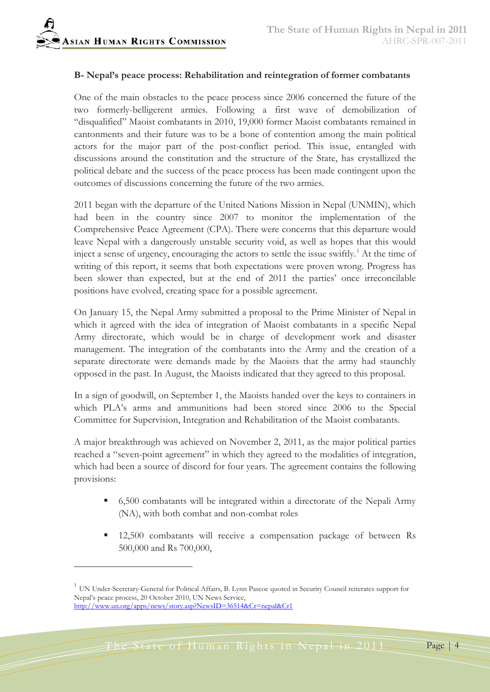#### **B- Nepal's peace process: Rehabilitation and reintegration of former combatants**

One of the main obstacles to the peace process since 2006 concerned the future of the two formerly-belligerent armies. Following a first wave of demobilization of "disqualified" Maoist combatants in 2010, 19,000 former Maoist combatants remained in cantonments and their future was to be a bone of contention among the main political actors for the major part of the post-conflict period. This issue, entangled with discussions around the constitution and the structure of the State, has crystallized the political debate and the success of the peace process has been made contingent upon the outcomes of discussions concerning the future of the two armies.

2011 began with the departure of the United Nations Mission in Nepal (UNMIN), which had been in the country since 2007 to monitor the implementation of the Comprehensive Peace Agreement (CPA). There were concerns that this departure would leave Nepal with a dangerously unstable security void, as well as hopes that this would inject a sense of urgency, encouraging the actors to settle the issue swiftly.<sup>[1](#page-3-0)</sup> At the time of writing of this report, it seems that both expectations were proven wrong. Progress has been slower than expected, but at the end of 2011 the parties' once irreconcilable positions have evolved, creating space for a possible agreement.

On January 15, the Nepal Army submitted a proposal to the Prime Minister of Nepal in which it agreed with the idea of integration of Maoist combatants in a specific Nepal Army directorate, which would be in charge of development work and disaster management. The integration of the combatants into the Army and the creation of a separate directorate were demands made by the Maoists that the army had staunchly opposed in the past. In August, the Maoists indicated that they agreed to this proposal.

In a sign of goodwill, on September 1, the Maoists handed over the keys to containers in which PLA's arms and ammunitions had been stored since 2006 to the Special Committee for Supervision, Integration and Rehabilitation of the Maoist combatants.

A major breakthrough was achieved on November 2, 2011, as the major political parties reached a "seven-point agreement" in which they agreed to the modalities of integration, which had been a source of discord for four years. The agreement contains the following provisions:

- 6,500 combatants will be integrated within a directorate of the Nepali Army (NA), with both combat and non-combat roles
- <sup>12,500</sup> combatants will receive a compensation package of between Rs 500,000 and Rs 700,000,

<span id="page-3-0"></span><sup>&</sup>lt;sup>1</sup> UN Under-Secretary-General for Political Affairs, B. Lynn Pascoe quoted in Security Council reiterates support for Nepal's peace process, 20 October 2010, UN News Service, <http://www.un.org/apps/news/story.asp?NewsID=36514&Cr=nepal&Cr1>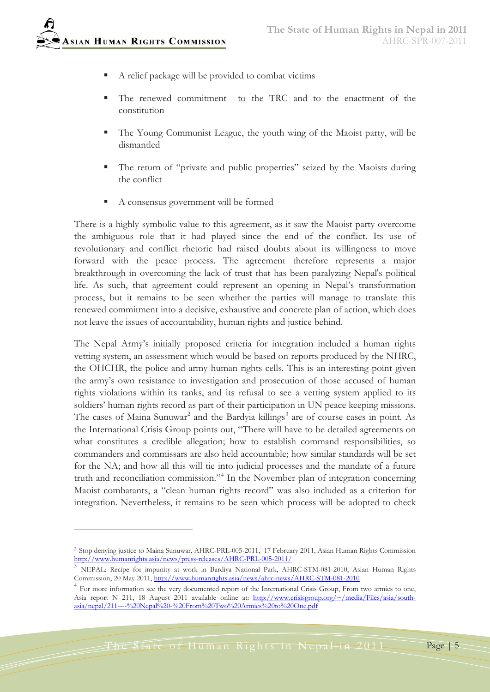

- A relief package will be provided to combat victims
- The renewed commitment to the TRC and to the enactment of the constitution
- The Young Communist League, the youth wing of the Maoist party, will be dismantled
- The return of "private and public properties" seized by the Maoists during the conflict
- A consensus government will be formed

There is a highly symbolic value to this agreement, as it saw the Maoist party overcome the ambiguous role that it had played since the end of the conflict. Its use of revolutionary and conflict rhetoric had raised doubts about its willingness to move forward with the peace process. The agreement therefore represents a major breakthrough in overcoming the lack of trust that has been paralyzing Nepal's political life. As such, that agreement could represent an opening in Nepal's transformation process, but it remains to be seen whether the parties will manage to translate this renewed commitment into a decisive, exhaustive and concrete plan of action, which does not leave the issues of accountability, human rights and justice behind.

The Nepal Army's initially proposed criteria for integration included a human rights vetting system, an assessment which would be based on reports produced by the NHRC, the OHCHR, the police and army human rights cells. This is an interesting point given the army's own resistance to investigation and prosecution of those accused of human rights violations within its ranks, and its refusal to see a vetting system applied to its soldiers' human rights record as part of their participation in UN peace keeping missions. The cases of Maina Sunuwar<sup>[2](#page-4-0)</sup> and the Bardyia killings<sup>[3](#page-4-1)</sup> are of course cases in point. As the International Crisis Group points out, "There will have to be detailed agreements on what constitutes a credible allegation; how to establish command responsibilities, so commanders and commissars are also held accountable; how similar standards will be set for the NA; and how all this will tie into judicial processes and the mandate of a future truth and reconciliation commission."<sup>[4](#page-4-2)</sup> In the November plan of integration concerning Maoist combatants, a "clean human rights record" was also included as a criterion for integration. Nevertheless, it remains to be seen which process will be adopted to check

The State of Human Rights in Nepal in 2011 Page 5

<span id="page-4-0"></span><sup>2</sup> Stop denying justice to Maina Sunuwar, AHRC-PRL-005-2011, 17 February 2011, Asian Human Rights Commission <http://www.humanrights.asia/news/press-releases/AHRC-PRL-005-2011/>

<span id="page-4-1"></span><sup>3</sup> NEPAL: Recipe for impunity at work in Bardiya National Park, AHRC-STM-081-2010, Asian Human Rights Commission, 20 May 2011,<http://www.humanrights.asia/news/ahrc-news/AHRC-STM-081-2010>

<span id="page-4-2"></span><sup>&</sup>lt;sup>4</sup> For more information see the very documented report of the International Crisis Group, From two armies to one, Asia report N 211, 18 August 2011 available online at: [http://www.crisisgroup.org/~/media/Files/asia/south](http://www.crisisgroup.org/~/media/Files/asia/south-asia/nepal/211----%20Nepal%20-%20From%20Two%20Armies%20to%20One.pdf)[asia/nepal/211----%20Nepal%20-%20From%20Two%20Armies%20to%20One.pdf](http://www.crisisgroup.org/~/media/Files/asia/south-asia/nepal/211----%20Nepal%20-%20From%20Two%20Armies%20to%20One.pdf)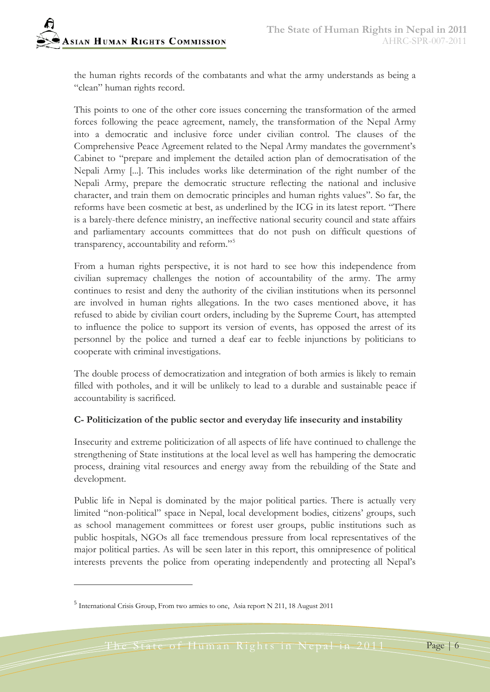the human rights records of the combatants and what the army understands as being a "clean" human rights record.

This points to one of the other core issues concerning the transformation of the armed forces following the peace agreement, namely, the transformation of the Nepal Army into a democratic and inclusive force under civilian control. The clauses of the Comprehensive Peace Agreement related to the Nepal Army mandates the government's Cabinet to "prepare and implement the detailed action plan of democratisation of the Nepali Army [...]. This includes works like determination of the right number of the Nepali Army, prepare the democratic structure reflecting the national and inclusive character, and train them on democratic principles and human rights values". So far, the reforms have been cosmetic at best, as underlined by the ICG in its latest report. "There is a barely-there defence ministry, an ineffective national security council and state affairs and parliamentary accounts committees that do not push on difficult questions of transparency, accountability and reform."[5](#page-5-0)

From a human rights perspective, it is not hard to see how this independence from civilian supremacy challenges the notion of accountability of the army. The army continues to resist and deny the authority of the civilian institutions when its personnel are involved in human rights allegations. In the two cases mentioned above, it has refused to abide by civilian court orders, including by the Supreme Court, has attempted to influence the police to support its version of events, has opposed the arrest of its personnel by the police and turned a deaf ear to feeble injunctions by politicians to cooperate with criminal investigations.

The double process of democratization and integration of both armies is likely to remain filled with potholes, and it will be unlikely to lead to a durable and sustainable peace if accountability is sacrificed.

#### **C- Politicization of the public sector and everyday life insecurity and instability**

Insecurity and extreme politicization of all aspects of life have continued to challenge the strengthening of State institutions at the local level as well has hampering the democratic process, draining vital resources and energy away from the rebuilding of the State and development.

Public life in Nepal is dominated by the major political parties. There is actually very limited "non-political" space in Nepal, local development bodies, citizens' groups, such as school management committees or forest user groups, public institutions such as public hospitals, NGOs all face tremendous pressure from local representatives of the major political parties. As will be seen later in this report, this omnipresence of political interests prevents the police from operating independently and protecting all Nepal's

 $\overline{a}$ 

<span id="page-5-0"></span><sup>5</sup> International Crisis Group, From two armies to one, Asia report N 211, 18 August 2011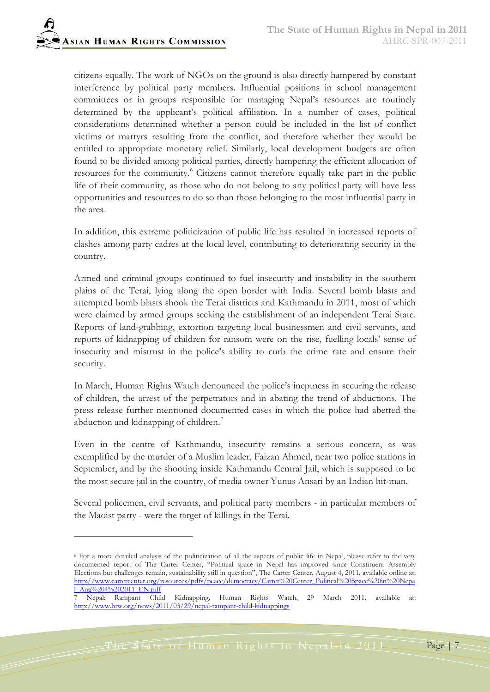citizens equally. The work of NGOs on the ground is also directly hampered by constant interference by political party members. Influential positions in school management committees or in groups responsible for managing Nepal's resources are routinely determined by the applicant's political affiliation. In a number of cases, political considerations determined whether a person could be included in the list of conflict victims or martyrs resulting from the conflict, and therefore whether they would be entitled to appropriate monetary relief. Similarly, local development budgets are often found to be divided among political parties, directly hampering the efficient allocation of resources for the community.<sup>[6](#page-6-0)</sup> Citizens cannot therefore equally take part in the public life of their community, as those who do not belong to any political party will have less opportunities and resources to do so than those belonging to the most influential party in the area.

In addition, this extreme politicization of public life has resulted in increased reports of clashes among party cadres at the local level, contributing to deteriorating security in the country.

Armed and criminal groups continued to fuel insecurity and instability in the southern plains of the Terai, lying along the open border with India. Several bomb blasts and attempted bomb blasts shook the Terai districts and Kathmandu in 2011, most of which were claimed by armed groups seeking the establishment of an independent Terai State. Reports of land-grabbing, extortion targeting local businessmen and civil servants, and reports of kidnapping of children for ransom were on the rise, fuelling locals' sense of insecurity and mistrust in the police's ability to curb the crime rate and ensure their security.

In March, Human Rights Watch denounced the police's ineptness in securing the release of children, the arrest of the perpetrators and in abating the trend of abductions. The press release further mentioned documented cases in which the police had abetted the abduction and kidnapping of children.<sup>[7](#page-6-1)</sup>

Even in the centre of Kathmandu, insecurity remains a serious concern, as was exemplified by the murder of a Muslim leader, Faizan Ahmed, near two police stations in September, and by the shooting inside Kathmandu Central Jail, which is supposed to be the most secure jail in the country, of media owner Yunus Ansari by an Indian hit-man.

Several policemen, civil servants, and political party members - in particular members of the Maoist party - were the target of killings in the Terai.

<span id="page-6-0"></span><sup>6</sup> For a more detailed analysis of the politicization of all the aspects of public life in Nepal, please refer to the very documented report of The Carter Center, "Political space in Nepal has improved since Constituent Assembly Elections but challenges remain, sustainability still in question", The Carter Center, August 4, 2011, available online at: [http://www.cartercenter.org/resources/pdfs/peace/democracy/Carter%20Center\\_Political%20Space%20in%20Nepa](http://www.cartercenter.org/resources/pdfs/peace/democracy/Carter%20Center_Political%20Space%20in%20Nepal_Aug%204%202011_EN.pdf)  $\frac{1 \text{Aug} \cdot \text{AQ} \cdot 204\%202011 \text{ EN.pdf}}{1 \text{ Aug} \cdot \text{AQ}}$ 

<span id="page-6-1"></span><sup>7</sup> Nepal: Rampant Child Kidnapping, Human Rights Watch, 29 March 2011, available at: <http://www.hrw.org/news/2011/03/29/nepal-rampant-child-kidnappings>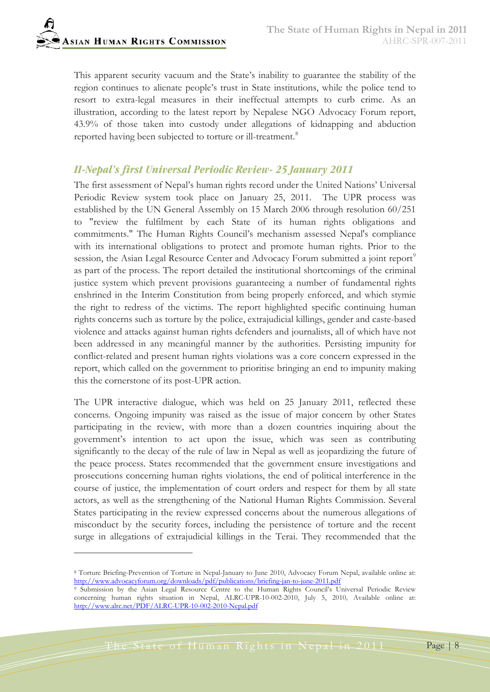This apparent security vacuum and the State's inability to guarantee the stability of the region continues to alienate people's trust in State institutions, while the police tend to resort to extra-legal measures in their ineffectual attempts to curb crime. As an illustration, according to the latest report by Nepalese NGO Advocacy Forum report, 43.9% of those taken into custody under allegations of kidnapping and abduction reported having been subjected to torture or ill-treatment.<sup>[8](#page-7-0)</sup>

## *II-Nepal's first Universal Periodic Review- 25 January 2011*

The first assessment of Nepal's human rights record under the United Nations' Universal Periodic Review system took place on January 25, 2011. The UPR process was established by the UN General Assembly on 15 March 2006 through resolution 60/251 to "review the fulfilment by each State of its human rights obligations and commitments." The Human Rights Council's mechanism assessed Nepal's compliance with its international obligations to protect and promote human rights. Prior to the session, the Asian Legal Resource Center and Advocacy Forum submitted a joint report<sup>[9](#page-7-1)</sup> as part of the process. The report detailed the institutional shortcomings of the criminal justice system which prevent provisions guaranteeing a number of fundamental rights enshrined in the Interim Constitution from being properly enforced, and which stymie the right to redress of the victims. The report highlighted specific continuing human rights concerns such as torture by the police, extrajudicial killings, gender and caste-based violence and attacks against human rights defenders and journalists, all of which have not been addressed in any meaningful manner by the authorities. Persisting impunity for conflict-related and present human rights violations was a core concern expressed in the report, which called on the government to prioritise bringing an end to impunity making this the cornerstone of its post-UPR action.

The UPR interactive dialogue, which was held on 25 January 2011, reflected these concerns. Ongoing impunity was raised as the issue of major concern by other States participating in the review, with more than a dozen countries inquiring about the government's intention to act upon the issue, which was seen as contributing significantly to the decay of the rule of law in Nepal as well as jeopardizing the future of the peace process. States recommended that the government ensure investigations and prosecutions concerning human rights violations, the end of political interference in the course of justice, the implementation of court orders and respect for them by all state actors, as well as the strengthening of the National Human Rights Commission. Several States participating in the review expressed concerns about the numerous allegations of misconduct by the security forces, including the persistence of torture and the recent surge in allegations of extrajudicial killings in the Terai. They recommended that the

<span id="page-7-0"></span><sup>8</sup> Torture Briefing-Prevention of Torture in Nepal-January to June 2010, Advocacy Forum Nepal, available online at: <http://www.advocacyforum.org/downloads/pdf/publications/briefing-jan-to-june-2011.pdf>

<span id="page-7-1"></span><sup>&</sup>lt;sup>9</sup> Submission by the Asian Legal Resource Centre to the Human Rights Council's Universal Periodic Review concerning human rights situation in Nepal, ALRC-UPR-10-002-2010, July 5, 2010*,* Available online at: <http://www.alrc.net/PDF/ALRC-UPR-10-002-2010-Nepal.pdf>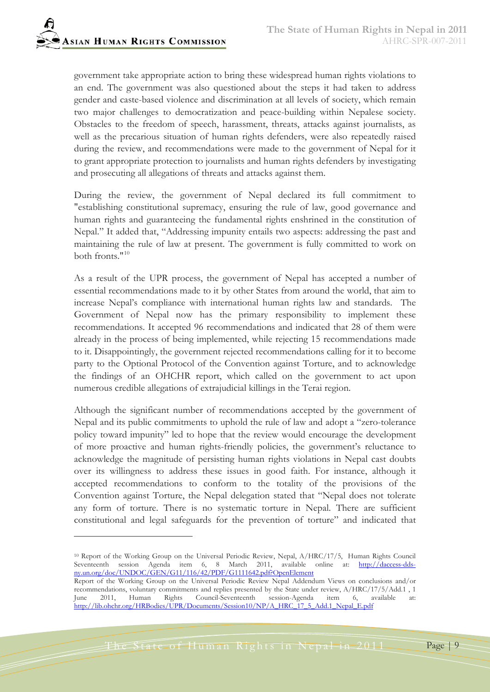government take appropriate action to bring these widespread human rights violations to an end. The government was also questioned about the steps it had taken to address gender and caste-based violence and discrimination at all levels of society, which remain two major challenges to democratization and peace-building within Nepalese society. Obstacles to the freedom of speech, harassment, threats, attacks against journalists, as well as the precarious situation of human rights defenders, were also repeatedly raised during the review, and recommendations were made to the government of Nepal for it to grant appropriate protection to journalists and human rights defenders by investigating and prosecuting all allegations of threats and attacks against them.

During the review, the government of Nepal declared its full commitment to "establishing constitutional supremacy, ensuring the rule of law, good governance and human rights and guaranteeing the fundamental rights enshrined in the constitution of Nepal." It added that, "Addressing impunity entails two aspects: addressing the past and maintaining the rule of law at present. The government is fully committed to work on both fronts."<sup>[10](#page-8-0)</sup>

As a result of the UPR process, the government of Nepal has accepted a number of essential recommendations made to it by other States from around the world, that aim to increase Nepal's compliance with international human rights law and standards. The Government of Nepal now has the primary responsibility to implement these recommendations. It accepted 96 recommendations and indicated that 28 of them were already in the process of being implemented, while rejecting 15 recommendations made to it. Disappointingly, the government rejected recommendations calling for it to become party to the Optional Protocol of the Convention against Torture, and to acknowledge the findings of an OHCHR report, which called on the government to act upon numerous credible allegations of extrajudicial killings in the Terai region.

Although the significant number of recommendations accepted by the government of Nepal and its public commitments to uphold the rule of law and adopt a "zero-tolerance policy toward impunity" led to hope that the review would encourage the development of more proactive and human rights-friendly policies, the government's reluctance to acknowledge the magnitude of persisting human rights violations in Nepal cast doubts over its willingness to address these issues in good faith. For instance, although it accepted recommendations to conform to the totality of the provisions of the Convention against Torture, the Nepal delegation stated that "Nepal does not tolerate any form of torture. There is no systematic torture in Nepal. There are sufficient constitutional and legal safeguards for the prevention of torture" and indicated that

The State of Human Rights in Nepal in 2011 Page 9

<span id="page-8-0"></span><sup>10</sup> Report of the Working Group on the Universal Periodic Review, Nepal, A/HRC/17/5, Human Rights Council Seventeenth session Agenda item 6, 8 March 2011, available online at: [http://daccess-dds](http://daccess-dds-ny.un.org/doc/UNDOC/GEN/G11/116/42/PDF/G1111642.pdf?OpenElement)[ny.un.org/doc/UNDOC/GEN/G11/116/42/PDF/G1111642.pdf?OpenElement](http://daccess-dds-ny.un.org/doc/UNDOC/GEN/G11/116/42/PDF/G1111642.pdf?OpenElement)

Report of the Working Group on the Universal Periodic Review Nepal Addendum Views on conclusions and/or recommendations, voluntary commitments and replies presented by the State under review, A/HRC/17/5/Add.1 , 1<br>
Iune 2011, Human Rights Council-Seventeenth session-Agenda item 6, available at: Rights Council-Seventeenth session-Agenda item 6, available at: [http://lib.ohchr.org/HRBodies/UPR/Documents/Session10/NP/A\\_HRC\\_17\\_5\\_Add.1\\_Nepal\\_E.pdf](http://lib.ohchr.org/HRBodies/UPR/Documents/Session10/NP/A_HRC_17_5_Add.1_Nepal_E.pdf)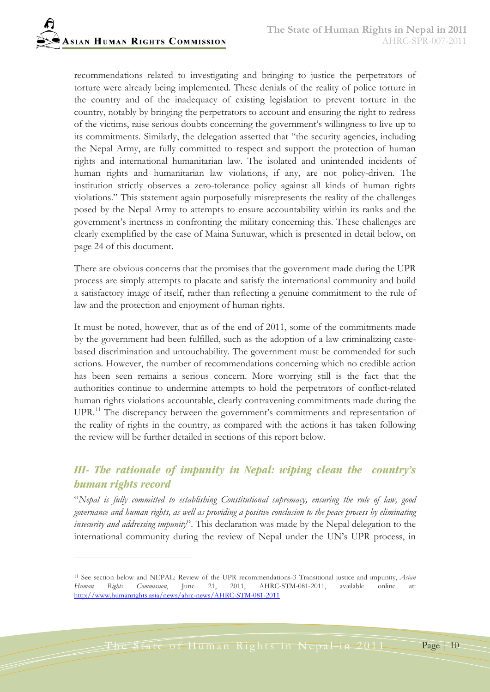recommendations related to investigating and bringing to justice the perpetrators of torture were already being implemented. These denials of the reality of police torture in the country and of the inadequacy of existing legislation to prevent torture in the country, notably by bringing the perpetrators to account and ensuring the right to redress of the victims, raise serious doubts concerning the government's willingness to live up to its commitments. Similarly, the delegation asserted that "the security agencies, including the Nepal Army, are fully committed to respect and support the protection of human rights and international humanitarian law. The isolated and unintended incidents of human rights and humanitarian law violations, if any, are not policy-driven. The institution strictly observes a zero-tolerance policy against all kinds of human rights violations." This statement again purposefully misrepresents the reality of the challenges posed by the Nepal Army to attempts to ensure accountability within its ranks and the government's inertness in confronting the military concerning this. These challenges are clearly exemplified by the case of Maina Sunuwar, which is presented in detail below, on page 24 of this document.

There are obvious concerns that the promises that the government made during the UPR process are simply attempts to placate and satisfy the international community and build a satisfactory image of itself, rather than reflecting a genuine commitment to the rule of law and the protection and enjoyment of human rights.

It must be noted, however, that as of the end of 2011, some of the commitments made by the government had been fulfilled, such as the adoption of a law criminalizing castebased discrimination and untouchability. The government must be commended for such actions. However, the number of recommendations concerning which no credible action has been seen remains a serious concern. More worrying still is the fact that the authorities continue to undermine attempts to hold the perpetrators of conflict-related human rights violations accountable, clearly contravening commitments made during the UPR.<sup>[11](#page-9-0)</sup> The discrepancy between the government's commitments and representation of the reality of rights in the country, as compared with the actions it has taken following the review will be further detailed in sections of this report below.

# *III- The rationale of impunity in Nepal: wiping clean the country's human rights record*

"*Nepal is fully committed to establishing Constitutional supremacy, ensuring the rule of law, good governance and human rights, as well as providing a positive conclusion to the peace process by eliminating insecurity and addressing impunity*". This declaration was made by the Nepal delegation to the international community during the review of Nepal under the UN's UPR process, in

<span id="page-9-0"></span><sup>11</sup> See section below and NEPAL: Review of the UPR recommendations-3 Transitional justice and impunity, *Asian Human Rights Commission*, June 21, 2011, AHRC-STM-081-2011, available online at: <http://www.humanrights.asia/news/ahrc-news/AHRC-STM-081-2011>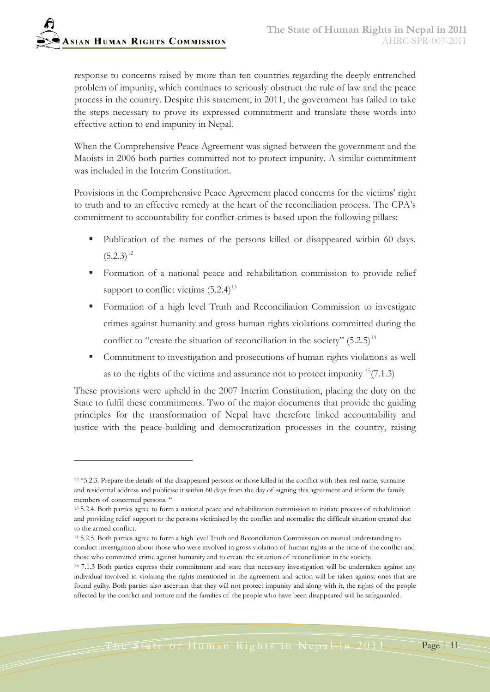-

response to concerns raised by more than ten countries regarding the deeply entrenched problem of impunity, which continues to seriously obstruct the rule of law and the peace process in the country. Despite this statement, in 2011, the government has failed to take the steps necessary to prove its expressed commitment and translate these words into effective action to end impunity in Nepal.

When the Comprehensive Peace Agreement was signed between the government and the Maoists in 2006 both parties committed not to protect impunity. A similar commitment was included in the Interim Constitution.

Provisions in the Comprehensive Peace Agreement placed concerns for the victims' right to truth and to an effective remedy at the heart of the reconciliation process. The CPA's commitment to accountability for conflict-crimes is based upon the following pillars:

- Publication of the names of the persons killed or disappeared within 60 days.  $(5.2.3)^{12}$  $(5.2.3)^{12}$  $(5.2.3)^{12}$
- Formation of a national peace and rehabilitation commission to provide relief support to conflict victims  $(5.2.4)^{13}$  $(5.2.4)^{13}$  $(5.2.4)^{13}$
- Formation of a high level Truth and Reconciliation Commission to investigate crimes against humanity and gross human rights violations committed during the conflict to "create the situation of reconciliation in the society"  $(5.2.5)^{14}$  $(5.2.5)^{14}$  $(5.2.5)^{14}$
- Commitment to investigation and prosecutions of human rights violations as well as to the rights of the victims and assurance not to protect impunity  $15(7.1.3)$  $15(7.1.3)$

These provisions were upheld in the 2007 Interim Constitution, placing the duty on the State to fulfil these commitments. Two of the major documents that provide the guiding principles for the transformation of Nepal have therefore linked accountability and justice with the peace-building and democratization processes in the country, raising

<span id="page-10-0"></span><sup>12</sup> "5.2.3. Prepare the details of the disappeared persons or those killed in the conflict with their real name, surname and residential address and publicise it within 60 days from the day of signing this agreement and inform the family members of concerned persons. "

<span id="page-10-1"></span><sup>13</sup> 5.2.4. Both parties agree to form a national peace and rehabilitation commission to initiate process of rehabilitation and providing relief support to the persons victimised by the conflict and normalise the difficult situation created due to the armed conflict.

<span id="page-10-2"></span><sup>14</sup> 5.2.5. Both parties agree to form a high level Truth and Reconciliation Commission on mutual understanding to conduct investigation about those who were involved in gross violation of human rights at the time of the conflict and those who committed crime against humanity and to create the situation of reconciliation in the society.

<span id="page-10-3"></span><sup>15</sup> 7.1.3 Both parties express their commitment and state that necessary investigation will be undertaken against any individual involved in violating the rights mentioned in the agreement and action will be taken against ones that are found guilty. Both parties also ascertain that they will not protect impunity and along with it, the rights of the people affected by the conflict and torture and the families of the people who have been disappeared will be safeguarded.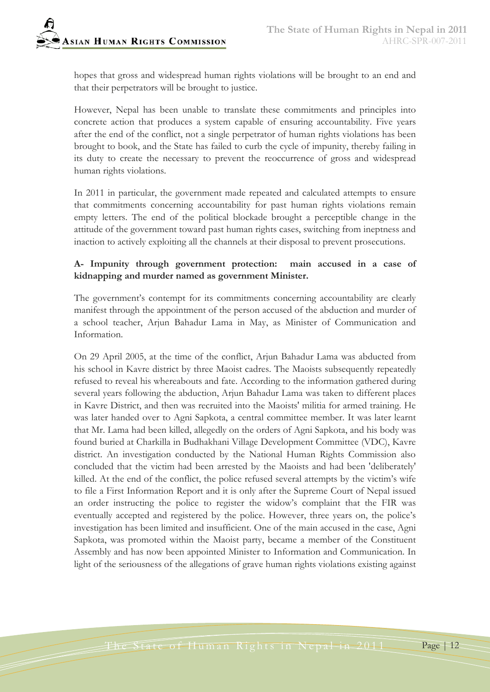hopes that gross and widespread human rights violations will be brought to an end and that their perpetrators will be brought to justice.

However, Nepal has been unable to translate these commitments and principles into concrete action that produces a system capable of ensuring accountability. Five years after the end of the conflict, not a single perpetrator of human rights violations has been brought to book, and the State has failed to curb the cycle of impunity, thereby failing in its duty to create the necessary to prevent the reoccurrence of gross and widespread human rights violations.

In 2011 in particular, the government made repeated and calculated attempts to ensure that commitments concerning accountability for past human rights violations remain empty letters. The end of the political blockade brought a perceptible change in the attitude of the government toward past human rights cases, switching from ineptness and inaction to actively exploiting all the channels at their disposal to prevent prosecutions.

#### **A- Impunity through government protection: main accused in a case of kidnapping and murder named as government Minister.**

The government's contempt for its commitments concerning accountability are clearly manifest through the appointment of the person accused of the abduction and murder of a school teacher, Arjun Bahadur Lama in May, as Minister of Communication and Information.

On 29 April 2005, at the time of the conflict, Arjun Bahadur Lama was abducted from his school in Kavre district by three Maoist cadres. The Maoists subsequently repeatedly refused to reveal his whereabouts and fate. According to the information gathered during several years following the abduction, Arjun Bahadur Lama was taken to different places in Kavre District, and then was recruited into the Maoists' militia for armed training. He was later handed over to Agni Sapkota, a central committee member. It was later learnt that Mr. Lama had been killed, allegedly on the orders of Agni Sapkota, and his body was found buried at Charkilla in Budhakhani Village Development Committee (VDC), Kavre district. An investigation conducted by the National Human Rights Commission also concluded that the victim had been arrested by the Maoists and had been 'deliberately' killed. At the end of the conflict, the police refused several attempts by the victim's wife to file a First Information Report and it is only after the Supreme Court of Nepal issued an order instructing the police to register the widow's complaint that the FIR was eventually accepted and registered by the police. However, three years on, the police's investigation has been limited and insufficient. One of the main accused in the case, Agni Sapkota, was promoted within the Maoist party, became a member of the Constituent Assembly and has now been appointed Minister to Information and Communication. In light of the seriousness of the allegations of grave human rights violations existing against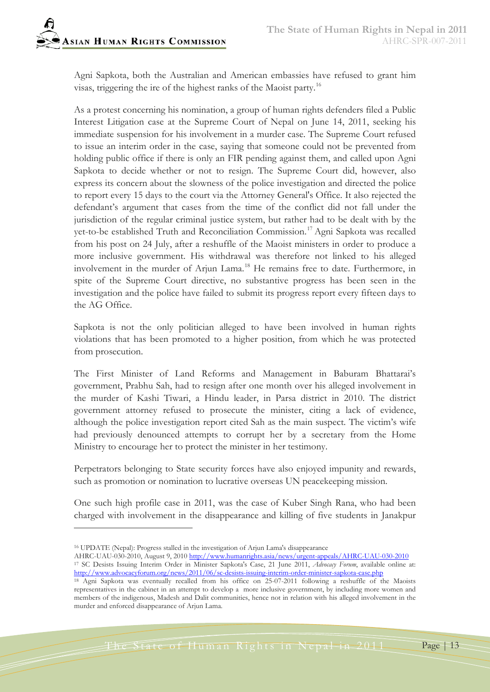Agni Sapkota, both the Australian and American embassies have refused to grant him visas, triggering the ire of the highest ranks of the Maoist party.[16](#page-12-0)

As a protest concerning his nomination, a group of human rights defenders filed a Public Interest Litigation case at the Supreme Court of Nepal on June 14, 2011, seeking his immediate suspension for his involvement in a murder case. The Supreme Court refused to issue an interim order in the case, saying that someone could not be prevented from holding public office if there is only an FIR pending against them, and called upon Agni Sapkota to decide whether or not to resign. The Supreme Court did, however, also express its concern about the slowness of the police investigation and directed the police to report every 15 days to the court via the Attorney General's Office. It also rejected the defendant's argument that cases from the time of the conflict did not fall under the jurisdiction of the regular criminal justice system, but rather had to be dealt with by the yet-to-be established Truth and Reconciliation Commission.[17](#page-12-1) Agni Sapkota was recalled from his post on 24 July, after a reshuffle of the Maoist ministers in order to produce a more inclusive government. His withdrawal was therefore not linked to his alleged involvement in the murder of Arjun Lama.<sup>[18](#page-12-2)</sup> He remains free to date. Furthermore, in spite of the Supreme Court directive, no substantive progress has been seen in the investigation and the police have failed to submit its progress report every fifteen days to the AG Office.

Sapkota is not the only politician alleged to have been involved in human rights violations that has been promoted to a higher position, from which he was protected from prosecution.

The First Minister of Land Reforms and Management in Baburam Bhattarai's government, Prabhu Sah, had to resign after one month over his alleged involvement in the murder of Kashi Tiwari, a Hindu leader, in Parsa district in 2010. The district government attorney refused to prosecute the minister, citing a lack of evidence, although the police investigation report cited Sah as the main suspect. The victim's wife had previously denounced attempts to corrupt her by a secretary from the Home Ministry to encourage her to protect the minister in her testimony.

Perpetrators belonging to State security forces have also enjoyed impunity and rewards, such as promotion or nomination to lucrative overseas UN peacekeeping mission.

One such high profile case in 2011, was the case of Kuber Singh Rana, who had been charged with involvement in the disappearance and killing of five students in Janakpur

-

The State of Human Rights in Nepal in 2011 Page 13

<span id="page-12-0"></span><sup>16</sup> UPDATE (Nepal): Progress stalled in the investigation of Arjun Lama's disappearance

<span id="page-12-1"></span>AHRC-UAU-030-2010, August 9, 2010 <http://www.humanrights.asia/news/urgent-appeals/AHRC-UAU-030-2010> <sup>17</sup> SC Desists Issuing Interim Order in Minister Sapkota's Case, 21 June 2011, *Advocacy Forum*, available online at: <http://www.advocacyforum.org/news/2011/06/sc-desists-issuing-interim-order-minister-sapkota-case.php>

<span id="page-12-2"></span><sup>18</sup> Agni Sapkota was eventually recalled from his office on 25-07-2011 following a reshuffle of the Maoists representatives in the cabinet in an attempt to develop a more inclusive government, by including more women and members of the indigenous, Madesh and Dalit communities, hence not in relation with his alleged involvement in the murder and enforced disappearance of Arjun Lama.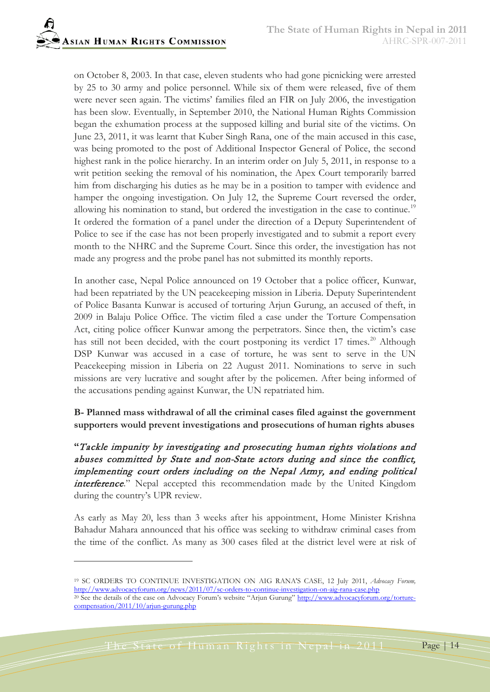on October 8, 2003. In that case, eleven students who had gone picnicking were arrested by 25 to 30 army and police personnel. While six of them were released, five of them were never seen again. The victims' families filed an FIR on July 2006, the investigation has been slow. Eventually, in September 2010, the National Human Rights Commission began the exhumation process at the supposed killing and burial site of the victims. On June 23, 2011, it was learnt that Kuber Singh Rana, one of the main accused in this case, was being promoted to the post of Additional Inspector General of Police, the second highest rank in the police hierarchy. In an interim order on July 5, 2011, in response to a writ petition seeking the removal of his nomination, the Apex Court temporarily barred him from discharging his duties as he may be in a position to tamper with evidence and hamper the ongoing investigation. On July 12, the Supreme Court reversed the order, allowing his nomination to stand, but ordered the investigation in the case to continue.<sup>[19](#page-13-0)</sup> It ordered the formation of a panel under the direction of a Deputy Superintendent of Police to see if the case has not been properly investigated and to submit a report every month to the NHRC and the Supreme Court. Since this order, the investigation has not made any progress and the probe panel has not submitted its monthly reports.

In another case, Nepal Police announced on 19 October that a police officer, Kunwar, had been repatriated by the UN peacekeeping mission in Liberia. Deputy Superintendent of Police Basanta Kunwar is accused of torturing Arjun Gurung, an accused of theft, in 2009 in Balaju Police Office. The victim filed a case under the Torture Compensation Act, citing police officer Kunwar among the perpetrators. Since then, the victim's case has still not been decided, with the court postponing its verdict 17 times.<sup>[20](#page-13-1)</sup> Although DSP Kunwar was accused in a case of torture, he was sent to serve in the UN Peacekeeping mission in Liberia on 22 August 2011. Nominations to serve in such missions are very lucrative and sought after by the policemen. After being informed of the accusations pending against Kunwar, the UN repatriated him.

## **B- Planned mass withdrawal of all the criminal cases filed against the government supporters would prevent investigations and prosecutions of human rights abuses**

**"**Tackle impunity by investigating and prosecuting human rights violations and abuses committed by State and non-State actors during and since the conflict, implementing court orders including on the Nepal Army, and ending political interference." Nepal accepted this recommendation made by the United Kingdom during the country's UPR review.

As early as May 20, less than 3 weeks after his appointment, Home Minister Krishna Bahadur Mahara announced that his office was seeking to withdraw criminal cases from the time of the conflict. As many as 300 cases filed at the district level were at risk of

<span id="page-13-1"></span><span id="page-13-0"></span><sup>19</sup> SC ORDERS TO CONTINUE INVESTIGATION ON AIG RANA'S CASE, 12 July 2011, *Advocacy Forum,* <http://www.advocacyforum.org/news/2011/07/sc-orders-to-continue-investigation-on-aig-rana-case.php> <sup>20</sup> See the details of the case on Advocacy Forum's website "Arjun Gurung" [http://www.advocacyforum.org/torture](http://www.advocacyforum.org/torture-compensation/2011/10/arjun-gurung.php)[compensation/2011/10/arjun-gurung.php](http://www.advocacyforum.org/torture-compensation/2011/10/arjun-gurung.php)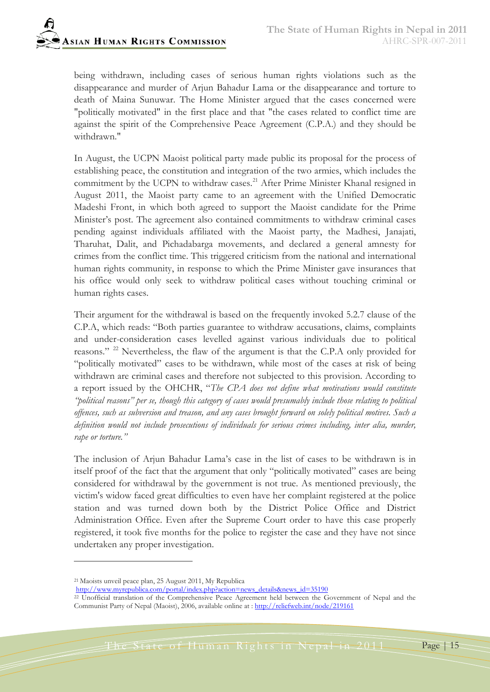being withdrawn, including cases of serious human rights violations such as the disappearance and murder of Arjun Bahadur Lama or the disappearance and torture to death of Maina Sunuwar. The Home Minister argued that the cases concerned were "politically motivated" in the first place and that "the cases related to conflict time are against the spirit of the Comprehensive Peace Agreement (C.P.A.) and they should be withdrawn."

In August, the UCPN Maoist political party made public its proposal for the process of establishing peace, the constitution and integration of the two armies, which includes the commitment by the UCPN to withdraw cases.<sup>[21](#page-14-0)</sup> After Prime Minister Khanal resigned in August 2011, the Maoist party came to an agreement with the Unified Democratic Madeshi Front, in which both agreed to support the Maoist candidate for the Prime Minister's post. The agreement also contained commitments to withdraw criminal cases pending against individuals affiliated with the Maoist party, the Madhesi, Janajati, Tharuhat, Dalit, and Pichadabarga movements, and declared a general amnesty for crimes from the conflict time. This triggered criticism from the national and international human rights community, in response to which the Prime Minister gave insurances that his office would only seek to withdraw political cases without touching criminal or human rights cases.

Their argument for the withdrawal is based on the frequently invoked 5.2.7 clause of the C.P.A, which reads: "Both parties guarantee to withdraw accusations, claims, complaints and under-consideration cases levelled against various individuals due to political reasons." <sup>[22](#page-14-1)</sup> Nevertheless, the flaw of the argument is that the C.P.A only provided for "politically motivated" cases to be withdrawn, while most of the cases at risk of being withdrawn are criminal cases and therefore not subjected to this provision. According to a report issued by the OHCHR, "*The CPA does not define what motivations would constitute "political reasons" per se, though this category of cases would presumably include those relating to political offences, such as subversion and treason, and any cases brought forward on solely political motives. Such a definition would not include prosecutions of individuals for serious crimes including, inter alia, murder, rape or torture."*

The inclusion of Arjun Bahadur Lama's case in the list of cases to be withdrawn is in itself proof of the fact that the argument that only "politically motivated" cases are being considered for withdrawal by the government is not true. As mentioned previously, the victim's widow faced great difficulties to even have her complaint registered at the police station and was turned down both by the District Police Office and District Administration Office. Even after the Supreme Court order to have this case properly registered, it took five months for the police to register the case and they have not since undertaken any proper investigation.

 $\overline{a}$ 

[http://www.myrepublica.com/portal/index.php?action=news\\_details&news\\_id=35190](http://www.myrepublica.com/portal/index.php?action=news_details&news_id=35190)

<span id="page-14-0"></span><sup>21</sup> Maoists unveil peace plan, 25 August 2011, My Republica

<span id="page-14-1"></span><sup>&</sup>lt;sup>22</sup> Unofficial translation of the Comprehensive Peace Agreement held between the Government of Nepal and the Communist Party of Nepal (Maoist), 2006, available online at [: http://reliefweb.int/node/219161](http://reliefweb.int/node/219161)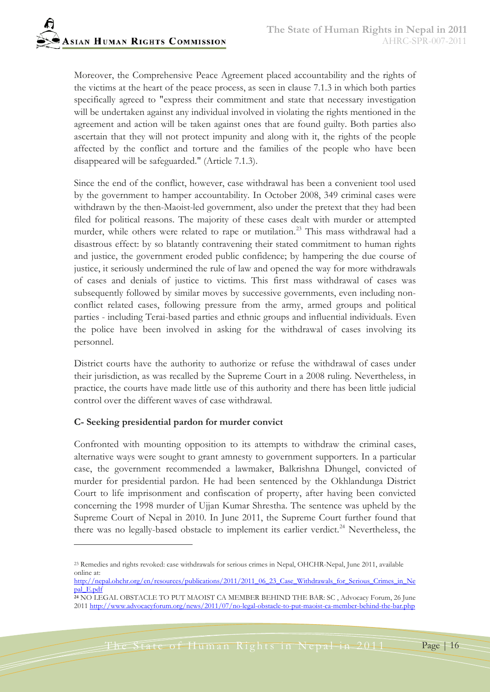Moreover, the Comprehensive Peace Agreement placed accountability and the rights of the victims at the heart of the peace process, as seen in clause 7.1.3 in which both parties specifically agreed to "express their commitment and state that necessary investigation will be undertaken against any individual involved in violating the rights mentioned in the agreement and action will be taken against ones that are found guilty. Both parties also ascertain that they will not protect impunity and along with it, the rights of the people affected by the conflict and torture and the families of the people who have been disappeared will be safeguarded." (Article 7.1.3).

Since the end of the conflict, however, case withdrawal has been a convenient tool used by the government to hamper accountability. In October 2008, 349 criminal cases were withdrawn by the then-Maoist-led government, also under the pretext that they had been filed for political reasons. The majority of these cases dealt with murder or attempted murder, while others were related to rape or mutilation.<sup>[23](#page-15-0)</sup> This mass withdrawal had a disastrous effect: by so blatantly contravening their stated commitment to human rights and justice, the government eroded public confidence; by hampering the due course of justice, it seriously undermined the rule of law and opened the way for more withdrawals of cases and denials of justice to victims. This first mass withdrawal of cases was subsequently followed by similar moves by successive governments, even including nonconflict related cases, following pressure from the army, armed groups and political parties - including Terai-based parties and ethnic groups and influential individuals. Even the police have been involved in asking for the withdrawal of cases involving its personnel.

District courts have the authority to authorize or refuse the withdrawal of cases under their jurisdiction, as was recalled by the Supreme Court in a 2008 ruling. Nevertheless, in practice, the courts have made little use of this authority and there has been little judicial control over the different waves of case withdrawal.

#### **C- Seeking presidential pardon for murder convict**

 $\overline{a}$ 

Confronted with mounting opposition to its attempts to withdraw the criminal cases, alternative ways were sought to grant amnesty to government supporters. In a particular case, the government recommended a lawmaker, Balkrishna Dhungel, convicted of murder for presidential pardon. He had been sentenced by the Okhlandunga District Court to life imprisonment and confiscation of property, after having been convicted concerning the 1998 murder of Ujjan Kumar Shrestha. The sentence was upheld by the Supreme Court of Nepal in 2010. In June 2011, the Supreme Court further found that there was no legally-based obstacle to implement its earlier verdict.<sup>[24](#page-15-1)</sup> Nevertheless, the

<span id="page-15-0"></span><sup>23</sup> Remedies and rights revoked: case withdrawals for serious crimes in Nepal, OHCHR-Nepal, June 2011, available online at:

[http://nepal.ohchr.org/en/resources/publications/2011/2011\\_06\\_23\\_Case\\_Withdrawals\\_for\\_Serious\\_Crimes\\_in\\_Ne](http://nepal.ohchr.org/en/resources/publications/2011/2011_06_23_Case_Withdrawals_for_Serious_Crimes_in_Nepal_E.pdf) [pal\\_E.pdf](http://nepal.ohchr.org/en/resources/publications/2011/2011_06_23_Case_Withdrawals_for_Serious_Crimes_in_Nepal_E.pdf)

<span id="page-15-1"></span>**<sup>24</sup>** NO LEGAL OBSTACLE TO PUT MAOIST CA MEMBER BEHIND THE BAR: SC , Advocacy Forum, 26 June 2011<http://www.advocacyforum.org/news/2011/07/no-legal-obstacle-to-put-maoist-ca-member-behind-the-bar.php>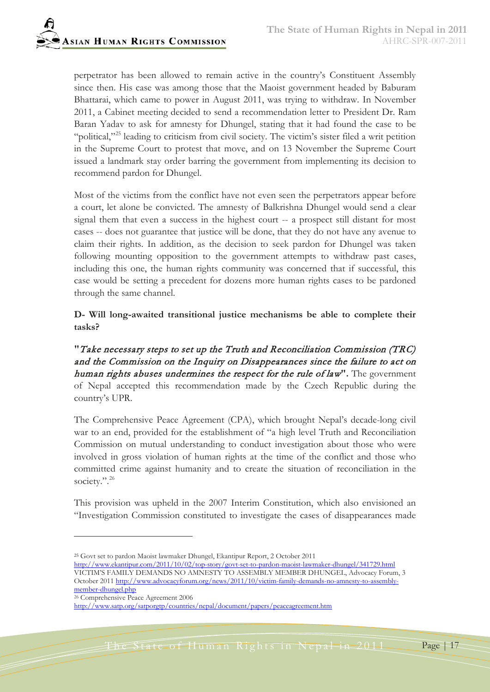perpetrator has been allowed to remain active in the country's Constituent Assembly since then. His case was among those that the Maoist government headed by Baburam Bhattarai, which came to power in August 2011, was trying to withdraw. In November 2011, a Cabinet meeting decided to send a recommendation letter to President Dr. Ram Baran Yadav to ask for amnesty for Dhungel, stating that it had found the case to be "political,"<sup>[25](#page-16-0)</sup> leading to criticism from civil society. The victim's sister filed a writ petition in the Supreme Court to protest that move, and on 13 November the Supreme Court issued a landmark stay order barring the government from implementing its decision to recommend pardon for Dhungel.

Most of the victims from the conflict have not even seen the perpetrators appear before a court, let alone be convicted. The amnesty of Balkrishna Dhungel would send a clear signal them that even a success in the highest court -- a prospect still distant for most cases -- does not guarantee that justice will be done, that they do not have any avenue to claim their rights. In addition, as the decision to seek pardon for Dhungel was taken following mounting opposition to the government attempts to withdraw past cases, including this one, the human rights community was concerned that if successful, this case would be setting a precedent for dozens more human rights cases to be pardoned through the same channel.

**D- Will long-awaited transitional justice mechanisms be able to complete their tasks?** 

**"**Take necessary steps to set up the Truth and Reconciliation Commission (TRC) and the Commission on the Inquiry on Disappearances since the failure to act on human rights abuses undermines the respect for the rule of law**".** The government of Nepal accepted this recommendation made by the Czech Republic during the country's UPR.

The Comprehensive Peace Agreement (CPA), which brought Nepal's decade-long civil war to an end, provided for the establishment of "a high level Truth and Reconciliation Commission on mutual understanding to conduct investigation about those who were involved in gross violation of human rights at the time of the conflict and those who committed crime against humanity and to create the situation of reconciliation in the society.".<sup>[26](#page-16-1)</sup>

This provision was upheld in the 2007 Interim Constitution, which also envisioned an "Investigation Commission constituted to investigate the cases of disappearances made

- <http://www.ekantipur.com/2011/10/02/top-story/govt-set-to-pardon-maoist-lawmaker-dhungel/341729.html> VICTIM'S FAMILY DEMANDS NO AMNESTY TO ASSEMBLY MEMBER DHUNGEL, Advocacy Forum, 3 October 2011 [http://www.advocacyforum.org/news/2011/10/victim-family-demands-no-amnesty-to-assembly](http://www.advocacyforum.org/news/2011/10/victim-family-demands-no-amnesty-to-assembly-member-dhungel.php%20Advocacy)[member-dhungel.php](http://www.advocacyforum.org/news/2011/10/victim-family-demands-no-amnesty-to-assembly-member-dhungel.php%20Advocacy)
- <span id="page-16-1"></span><sup>26</sup> Comprehensive Peace Agreement 2006

 $\overline{a}$ 

<span id="page-16-0"></span><sup>25</sup> Govt set to pardon Maoist lawmaker Dhungel, Ekantipur Report, 2 October 2011

<http://www.satp.org/satporgtp/countries/nepal/document/papers/peaceagreement.htm>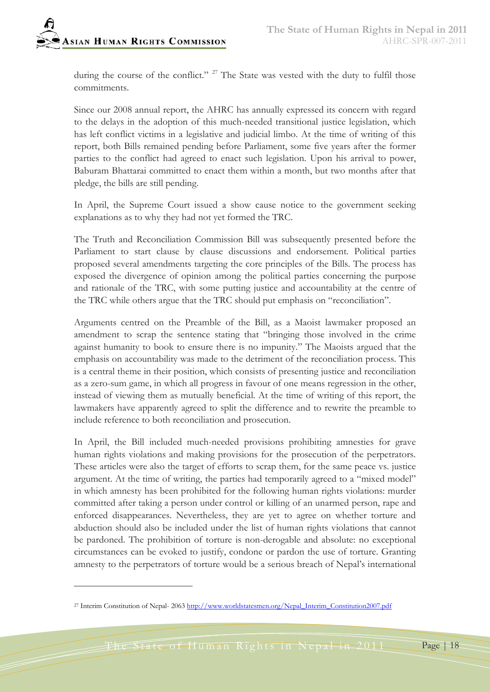during the course of the conflict."<sup>[27](#page-17-0)</sup> The State was vested with the duty to fulfil those commitments.

Since our 2008 annual report, the AHRC has annually expressed its concern with regard to the delays in the adoption of this much-needed transitional justice legislation, which has left conflict victims in a legislative and judicial limbo. At the time of writing of this report, both Bills remained pending before Parliament, some five years after the former parties to the conflict had agreed to enact such legislation. Upon his arrival to power, Baburam Bhattarai committed to enact them within a month, but two months after that pledge, the bills are still pending.

In April, the Supreme Court issued a show cause notice to the government seeking explanations as to why they had not yet formed the TRC.

The Truth and Reconciliation Commission Bill was subsequently presented before the Parliament to start clause by clause discussions and endorsement. Political parties proposed several amendments targeting the core principles of the Bills. The process has exposed the divergence of opinion among the political parties concerning the purpose and rationale of the TRC, with some putting justice and accountability at the centre of the TRC while others argue that the TRC should put emphasis on "reconciliation".

Arguments centred on the Preamble of the Bill, as a Maoist lawmaker proposed an amendment to scrap the sentence stating that "bringing those involved in the crime against humanity to book to ensure there is no impunity." The Maoists argued that the emphasis on accountability was made to the detriment of the reconciliation process. This is a central theme in their position, which consists of presenting justice and reconciliation as a zero-sum game, in which all progress in favour of one means regression in the other, instead of viewing them as mutually beneficial. At the time of writing of this report, the lawmakers have apparently agreed to split the difference and to rewrite the preamble to include reference to both reconciliation and prosecution.

In April, the Bill included much-needed provisions prohibiting amnesties for grave human rights violations and making provisions for the prosecution of the perpetrators. These articles were also the target of efforts to scrap them, for the same peace vs. justice argument. At the time of writing, the parties had temporarily agreed to a "mixed model" in which amnesty has been prohibited for the following human rights violations: murder committed after taking a person under control or killing of an unarmed person, rape and enforced disappearances. Nevertheless, they are yet to agree on whether torture and abduction should also be included under the list of human rights violations that cannot be pardoned. The prohibition of torture is non-derogable and absolute: no exceptional circumstances can be evoked to justify, condone or pardon the use of torture. Granting amnesty to the perpetrators of torture would be a serious breach of Nepal's international

 $\overline{a}$ 

<span id="page-17-0"></span><sup>&</sup>lt;sup>27</sup> Interim Constitution of Nepal- 2063 [http://www.worldstatesmen.org/Nepal\\_Interim\\_Constitution2007.pdf](http://www.worldstatesmen.org/Nepal_Interim_Constitution2007.pdf)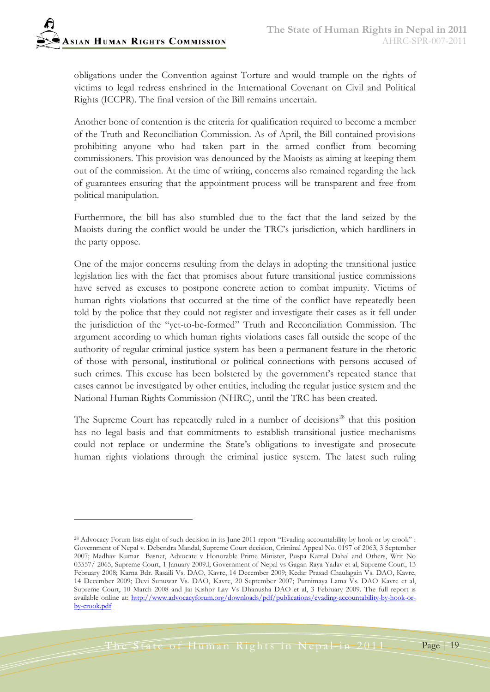

obligations under the Convention against Torture and would trample on the rights of victims to legal redress enshrined in the International Covenant on Civil and Political Rights (ICCPR). The final version of the Bill remains uncertain.

Another bone of contention is the criteria for qualification required to become a member of the Truth and Reconciliation Commission. As of April, the Bill contained provisions prohibiting anyone who had taken part in the armed conflict from becoming commissioners. This provision was denounced by the Maoists as aiming at keeping them out of the commission. At the time of writing, concerns also remained regarding the lack of guarantees ensuring that the appointment process will be transparent and free from political manipulation.

Furthermore, the bill has also stumbled due to the fact that the land seized by the Maoists during the conflict would be under the TRC's jurisdiction, which hardliners in the party oppose.

One of the major concerns resulting from the delays in adopting the transitional justice legislation lies with the fact that promises about future transitional justice commissions have served as excuses to postpone concrete action to combat impunity. Victims of human rights violations that occurred at the time of the conflict have repeatedly been told by the police that they could not register and investigate their cases as it fell under the jurisdiction of the "yet-to-be-formed" Truth and Reconciliation Commission. The argument according to which human rights violations cases fall outside the scope of the authority of regular criminal justice system has been a permanent feature in the rhetoric of those with personal, institutional or political connections with persons accused of such crimes. This excuse has been bolstered by the government's repeated stance that cases cannot be investigated by other entities, including the regular justice system and the National Human Rights Commission (NHRC), until the TRC has been created.

The Supreme Court has repeatedly ruled in a number of decisions<sup>[28](#page-18-0)</sup> that this position has no legal basis and that commitments to establish transitional justice mechanisms could not replace or undermine the State's obligations to investigate and prosecute human rights violations through the criminal justice system. The latest such ruling

<span id="page-18-0"></span><sup>&</sup>lt;sup>28</sup> Advocacy Forum lists eight of such decision in its June 2011 report "Evading accountability by hook or by crook" : Government of Nepal v. Debendra Mandal, Supreme Court decision, Criminal Appeal No. 0197 of 2063, 3 September 2007; Madhav Kumar Basnet, Advocate v Honorable Prime Minister, Puspa Kamal Dahal and Others, Writ No 03557/ 2065, Supreme Court, 1 January 2009.l; Government of Nepal vs Gagan Raya Yadav et al, Supreme Court, 13 February 2008; Karna Bdr. Rasaili Vs. DAO, Kavre, 14 December 2009; Kedar Prasad Chaulagain Vs. DAO, Kavre, 14 December 2009; Devi Sunuwar Vs. DAO, Kavre, 20 September 2007; Purnimaya Lama Vs. DAO Kavre et al, Supreme Court, 10 March 2008 and Jai Kishor Lav Vs Dhanusha DAO et al, 3 February 2009. The full report is available online at: [http://www.advocacyforum.org/downloads/pdf/publications/evading-accountability-by-hook-or](http://www.advocacyforum.org/downloads/pdf/publications/evading-accountability-by-hook-or-by-crook.pdf)[by-crook.pdf](http://www.advocacyforum.org/downloads/pdf/publications/evading-accountability-by-hook-or-by-crook.pdf)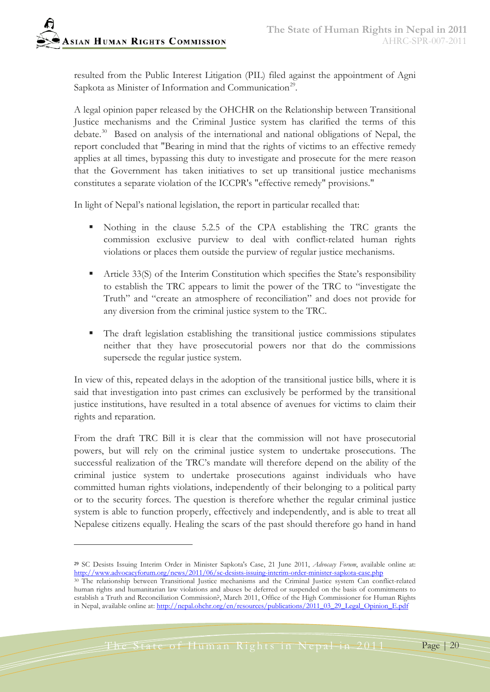resulted from the Public Interest Litigation (PIL) filed against the appointment of Agni Sapkota as Minister of Information and Communication<sup>[29](#page-19-0)</sup>.

A legal opinion paper released by the OHCHR on the Relationship between Transitional Justice mechanisms and the Criminal Justice system has clarified the terms of this debate. [30](#page-19-1) Based on analysis of the international and national obligations of Nepal, the report concluded that "Bearing in mind that the rights of victims to an effective remedy applies at all times, bypassing this duty to investigate and prosecute for the mere reason that the Government has taken initiatives to set up transitional justice mechanisms constitutes a separate violation of the ICCPR's "effective remedy" provisions."

In light of Nepal's national legislation, the report in particular recalled that:

- Nothing in the clause 5.2.5 of the CPA establishing the TRC grants the commission exclusive purview to deal with conflict-related human rights violations or places them outside the purview of regular justice mechanisms.
- Article 33(S) of the Interim Constitution which specifies the State's responsibility to establish the TRC appears to limit the power of the TRC to "investigate the Truth" and "create an atmosphere of reconciliation" and does not provide for any diversion from the criminal justice system to the TRC.
- The draft legislation establishing the transitional justice commissions stipulates neither that they have prosecutorial powers nor that do the commissions supersede the regular justice system.

In view of this, repeated delays in the adoption of the transitional justice bills, where it is said that investigation into past crimes can exclusively be performed by the transitional justice institutions, have resulted in a total absence of avenues for victims to claim their rights and reparation.

From the draft TRC Bill it is clear that the commission will not have prosecutorial powers, but will rely on the criminal justice system to undertake prosecutions. The successful realization of the TRC's mandate will therefore depend on the ability of the criminal justice system to undertake prosecutions against individuals who have committed human rights violations, independently of their belonging to a political party or to the security forces. The question is therefore whether the regular criminal justice system is able to function properly, effectively and independently, and is able to treat all Nepalese citizens equally. Healing the scars of the past should therefore go hand in hand

<span id="page-19-0"></span>**<sup>29</sup>** SC Desists Issuing Interim Order in Minister Sapkota's Case, 21 June 2011, *Advocacy Forum*, available online at: <http://www.advocacyforum.org/news/2011/06/sc-desists-issuing-interim-order-minister-sapkota-case.php>

<span id="page-19-1"></span><sup>&</sup>lt;sup>30</sup> The relationship between Transitional Justice mechanisms and the Criminal Justice system Can conflict-related human rights and humanitarian law violations and abuses be deferred or suspended on the basis of commitments to establish a Truth and Reconciliation Commission?, March 2011, Office of the High Commissioner for Human Rights in Nepal, available online at[: http://nepal.ohchr.org/en/resources/publications/2011\\_03\\_29\\_Legal\\_Opinion\\_E.pdf](http://nepal.ohchr.org/en/resources/publications/2011_03_29_Legal_Opinion_E.pdf)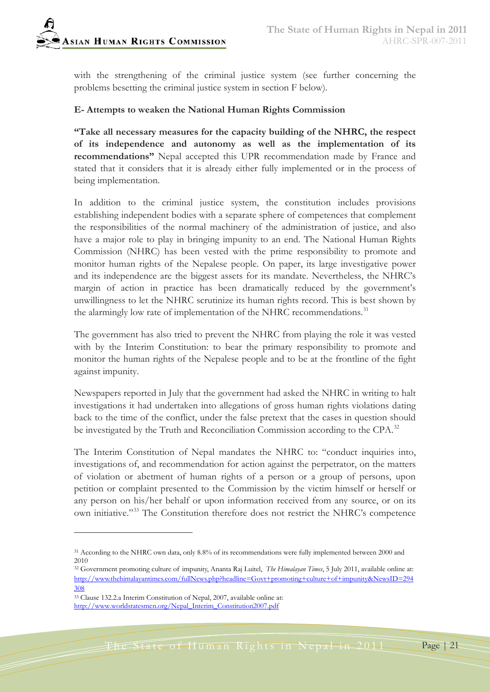

with the strengthening of the criminal justice system (see further concerning the problems besetting the criminal justice system in section F below).

#### **E- Attempts to weaken the National Human Rights Commission**

**"Take all necessary measures for the capacity building of the NHRC, the respect of its independence and autonomy as well as the implementation of its recommendations"** Nepal accepted this UPR recommendation made by France and stated that it considers that it is already either fully implemented or in the process of being implementation.

In addition to the criminal justice system, the constitution includes provisions establishing independent bodies with a separate sphere of competences that complement the responsibilities of the normal machinery of the administration of justice, and also have a major role to play in bringing impunity to an end. The National Human Rights Commission (NHRC) has been vested with the prime responsibility to promote and monitor human rights of the Nepalese people. On paper, its large investigative power and its independence are the biggest assets for its mandate. Nevertheless, the NHRC's margin of action in practice has been dramatically reduced by the government's unwillingness to let the NHRC scrutinize its human rights record. This is best shown by the alarmingly low rate of implementation of the NHRC recommendations.<sup>[31](#page-20-0)</sup>

The government has also tried to prevent the NHRC from playing the role it was vested with by the Interim Constitution: to bear the primary responsibility to promote and monitor the human rights of the Nepalese people and to be at the frontline of the fight against impunity.

Newspapers reported in July that the government had asked the NHRC in writing to halt investigations it had undertaken into allegations of gross human rights violations dating back to the time of the conflict, under the false pretext that the cases in question should be investigated by the Truth and Reconciliation Commission according to the CPA.<sup>[32](#page-20-1)</sup>

The Interim Constitution of Nepal mandates the NHRC to: "conduct inquiries into, investigations of, and recommendation for action against the perpetrator, on the matters of violation or abetment of human rights of a person or a group of persons, upon petition or complaint presented to the Commission by the victim himself or herself or any person on his/her behalf or upon information received from any source, or on its own initiative."<sup>[33](#page-20-2)</sup> The Constitution therefore does not restrict the NHRC's competence

 $\overline{a}$ 

<span id="page-20-0"></span><sup>31</sup> According to the NHRC own data, only 8.8% of its recommendations were fully implemented between 2000 and 2010

<span id="page-20-1"></span><sup>32</sup> Government promoting culture of impunity, Ananta Raj Luitel, *The Himalayan Times*, 5 July 2011, available online at: [http://www.thehimalayantimes.com/fullNews.php?headline=Govt+promoting+culture+of+impunity&NewsID=294](http://www.thehimalayantimes.com/fullNews.php?headline=Govt+promoting+culture+of+impunity&NewsID=294308) [308](http://www.thehimalayantimes.com/fullNews.php?headline=Govt+promoting+culture+of+impunity&NewsID=294308)

<span id="page-20-2"></span><sup>33</sup> Clause 132.2.a Interim Constitution of Nepal, 2007, available online at: [http://www.worldstatesmen.org/Nepal\\_Interim\\_Constitution2007.pdf](http://www.worldstatesmen.org/Nepal_Interim_Constitution2007.pdf)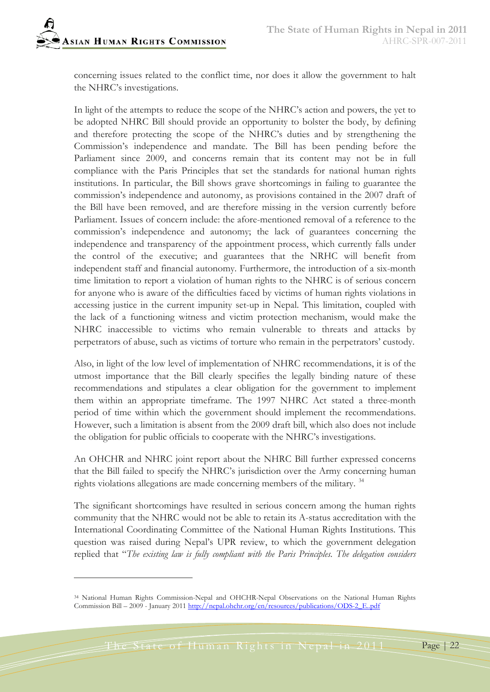concerning issues related to the conflict time, nor does it allow the government to halt the NHRC's investigations.

In light of the attempts to reduce the scope of the NHRC's action and powers, the yet to be adopted NHRC Bill should provide an opportunity to bolster the body, by defining and therefore protecting the scope of the NHRC's duties and by strengthening the Commission's independence and mandate. The Bill has been pending before the Parliament since 2009, and concerns remain that its content may not be in full compliance with the Paris Principles that set the standards for national human rights institutions. In particular, the Bill shows grave shortcomings in failing to guarantee the commission's independence and autonomy, as provisions contained in the 2007 draft of the Bill have been removed, and are therefore missing in the version currently before Parliament. Issues of concern include: the afore-mentioned removal of a reference to the commission's independence and autonomy; the lack of guarantees concerning the independence and transparency of the appointment process, which currently falls under the control of the executive; and guarantees that the NRHC will benefit from independent staff and financial autonomy. Furthermore, the introduction of a six-month time limitation to report a violation of human rights to the NHRC is of serious concern for anyone who is aware of the difficulties faced by victims of human rights violations in accessing justice in the current impunity set-up in Nepal. This limitation, coupled with the lack of a functioning witness and victim protection mechanism, would make the NHRC inaccessible to victims who remain vulnerable to threats and attacks by perpetrators of abuse, such as victims of torture who remain in the perpetrators' custody.

Also, in light of the low level of implementation of NHRC recommendations, it is of the utmost importance that the Bill clearly specifies the legally binding nature of these recommendations and stipulates a clear obligation for the government to implement them within an appropriate timeframe. The 1997 NHRC Act stated a three-month period of time within which the government should implement the recommendations. However, such a limitation is absent from the 2009 draft bill, which also does not include the obligation for public officials to cooperate with the NHRC's investigations.

An OHCHR and NHRC joint report about the NHRC Bill further expressed concerns that the Bill failed to specify the NHRC's jurisdiction over the Army concerning human rights violations allegations are made concerning members of the military.<sup>[34](#page-21-0)</sup>

The significant shortcomings have resulted in serious concern among the human rights community that the NHRC would not be able to retain its A-status accreditation with the International Coordinating Committee of the National Human Rights Institutions. This question was raised during Nepal's UPR review, to which the government delegation replied that "*The existing law is fully compliant with the Paris Principles. The delegation considers* 

<span id="page-21-0"></span><sup>34</sup> National Human Rights Commission-Nepal and OHCHR-Nepal Observations on the National Human Rights Commission Bill – 2009 - January 201[1 http://nepal.ohchr.org/en/resources/publications/ODS-2\\_E..pdf](http://nepal.ohchr.org/en/resources/publications/ODS-2_E..pdf)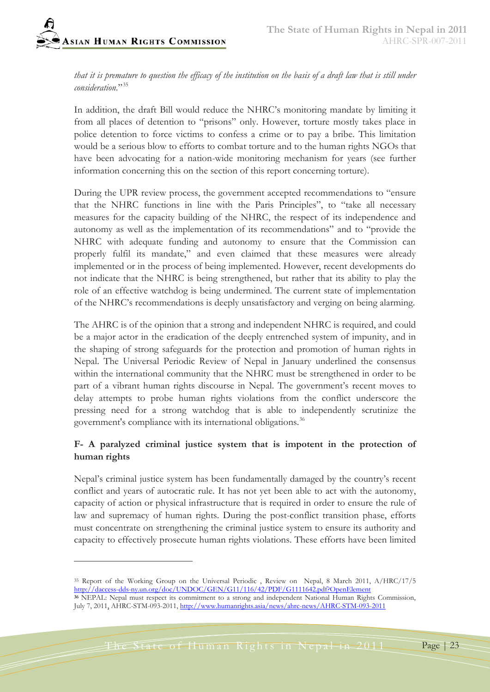*that it is premature to question the efficacy of the institution on the basis of a draft law that is still under consideration*."[35](#page-22-0)

In addition, the draft Bill would reduce the NHRC's monitoring mandate by limiting it from all places of detention to "prisons" only. However, torture mostly takes place in police detention to force victims to confess a crime or to pay a bribe. This limitation would be a serious blow to efforts to combat torture and to the human rights NGOs that have been advocating for a nation-wide monitoring mechanism for years (see further information concerning this on the section of this report concerning torture).

During the UPR review process, the government accepted recommendations to "ensure that the NHRC functions in line with the Paris Principles", to "take all necessary measures for the capacity building of the NHRC, the respect of its independence and autonomy as well as the implementation of its recommendations" and to "provide the NHRC with adequate funding and autonomy to ensure that the Commission can properly fulfil its mandate," and even claimed that these measures were already implemented or in the process of being implemented. However, recent developments do not indicate that the NHRC is being strengthened, but rather that its ability to play the role of an effective watchdog is being undermined. The current state of implementation of the NHRC's recommendations is deeply unsatisfactory and verging on being alarming.

The AHRC is of the opinion that a strong and independent NHRC is required, and could be a major actor in the eradication of the deeply entrenched system of impunity, and in the shaping of strong safeguards for the protection and promotion of human rights in Nepal. The Universal Periodic Review of Nepal in January underlined the consensus within the international community that the NHRC must be strengthened in order to be part of a vibrant human rights discourse in Nepal. The government's recent moves to delay attempts to probe human rights violations from the conflict underscore the pressing need for a strong watchdog that is able to independently scrutinize the government's compliance with its international obligations.<sup>[36](#page-22-1)</sup>

#### **F- A paralyzed criminal justice system that is impotent in the protection of human rights**

Nepal's criminal justice system has been fundamentally damaged by the country's recent conflict and years of autocratic rule. It has not yet been able to act with the autonomy, capacity of action or physical infrastructure that is required in order to ensure the rule of law and supremacy of human rights. During the post-conflict transition phase, efforts must concentrate on strengthening the criminal justice system to ensure its authority and capacity to effectively prosecute human rights violations. These efforts have been limited

<span id="page-22-0"></span><sup>&</sup>lt;sup>35</sup> Report of the Working Group on the Universal Periodic, Review on Nepal, 8 March 2011, A/HRC/17/5 <http://daccess-dds-ny.un.org/doc/UNDOC/GEN/G11/116/42/PDF/G1111642.pdf?OpenElement>

<span id="page-22-1"></span>**<sup>36</sup>** NEPAL: Nepal must respect its commitment to a strong and independent National Human Rights Commission, July 7, 201[1,](http://www.addthis.com/bookmark.php?v=250&username=xa-4bbda0ee330b05bd) AHRC-STM-093-2011, <http://www.humanrights.asia/news/ahrc-news/AHRC-STM-093-2011>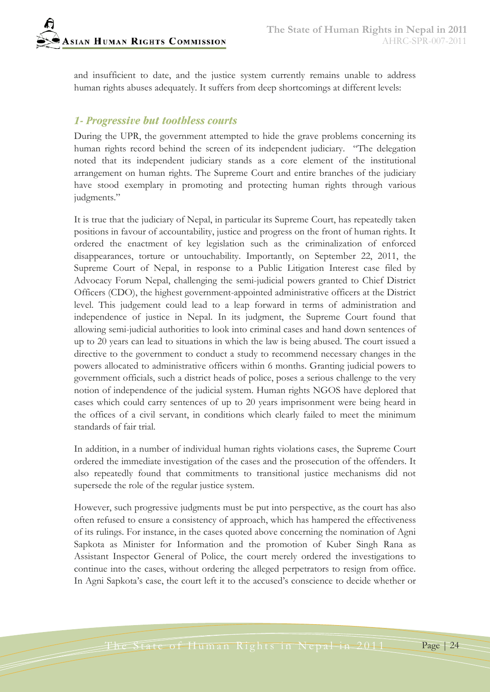and insufficient to date, and the justice system currently remains unable to address human rights abuses adequately. It suffers from deep shortcomings at different levels:

## *1- Progressive but toothless courts*

During the UPR, the government attempted to hide the grave problems concerning its human rights record behind the screen of its independent judiciary. "The delegation noted that its independent judiciary stands as a core element of the institutional arrangement on human rights. The Supreme Court and entire branches of the judiciary have stood exemplary in promoting and protecting human rights through various judgments."

It is true that the judiciary of Nepal, in particular its Supreme Court, has repeatedly taken positions in favour of accountability, justice and progress on the front of human rights. It ordered the enactment of key legislation such as the criminalization of enforced disappearances, torture or untouchability. Importantly, on September 22, 2011, the Supreme Court of Nepal, in response to a Public Litigation Interest case filed by Advocacy Forum Nepal, challenging the semi-judicial powers granted to Chief District Officers (CDO), the highest government-appointed administrative officers at the District level. This judgement could lead to a leap forward in terms of administration and independence of justice in Nepal. In its judgment, the Supreme Court found that allowing semi-judicial authorities to look into criminal cases and hand down sentences of up to 20 years can lead to situations in which the law is being abused. The court issued a directive to the government to conduct a study to recommend necessary changes in the powers allocated to administrative officers within 6 months. Granting judicial powers to government officials, such a district heads of police, poses a serious challenge to the very notion of independence of the judicial system. Human rights NGOS have deplored that cases which could carry sentences of up to 20 years imprisonment were being heard in the offices of a civil servant, in conditions which clearly failed to meet the minimum standards of fair trial.

In addition, in a number of individual human rights violations cases, the Supreme Court ordered the immediate investigation of the cases and the prosecution of the offenders. It also repeatedly found that commitments to transitional justice mechanisms did not supersede the role of the regular justice system.

However, such progressive judgments must be put into perspective, as the court has also often refused to ensure a consistency of approach, which has hampered the effectiveness of its rulings. For instance, in the cases quoted above concerning the nomination of Agni Sapkota as Minister for Information and the promotion of Kuber Singh Rana as Assistant Inspector General of Police, the court merely ordered the investigations to continue into the cases, without ordering the alleged perpetrators to resign from office. In Agni Sapkota's case, the court left it to the accused's conscience to decide whether or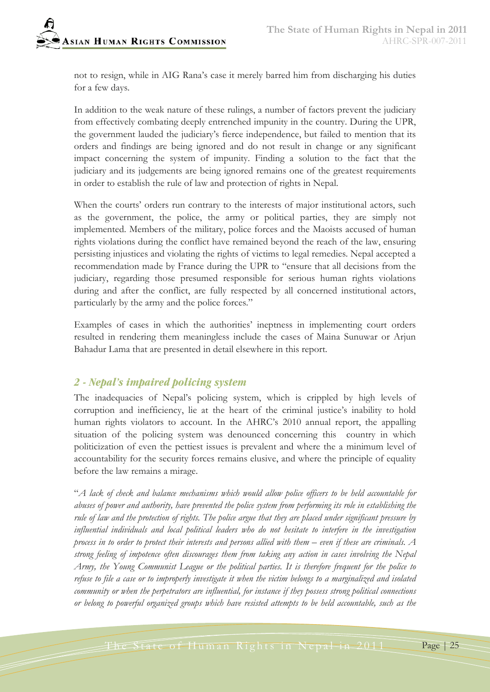not to resign, while in AIG Rana's case it merely barred him from discharging his duties for a few days.

In addition to the weak nature of these rulings, a number of factors prevent the judiciary from effectively combating deeply entrenched impunity in the country. During the UPR, the government lauded the judiciary's fierce independence, but failed to mention that its orders and findings are being ignored and do not result in change or any significant impact concerning the system of impunity. Finding a solution to the fact that the judiciary and its judgements are being ignored remains one of the greatest requirements in order to establish the rule of law and protection of rights in Nepal.

When the courts' orders run contrary to the interests of major institutional actors, such as the government, the police, the army or political parties, they are simply not implemented. Members of the military, police forces and the Maoists accused of human rights violations during the conflict have remained beyond the reach of the law, ensuring persisting injustices and violating the rights of victims to legal remedies. Nepal accepted a recommendation made by France during the UPR to "ensure that all decisions from the judiciary, regarding those presumed responsible for serious human rights violations during and after the conflict, are fully respected by all concerned institutional actors, particularly by the army and the police forces."

Examples of cases in which the authorities' ineptness in implementing court orders resulted in rendering them meaningless include the cases of Maina Sunuwar or Arjun Bahadur Lama that are presented in detail elsewhere in this report.

#### *2 - Nepal's impaired policing system*

The inadequacies of Nepal's policing system, which is crippled by high levels of corruption and inefficiency, lie at the heart of the criminal justice's inability to hold human rights violators to account. In the AHRC's 2010 annual report, the appalling situation of the policing system was denounced concerning this country in which politicization of even the pettiest issues is prevalent and where the a minimum level of accountability for the security forces remains elusive, and where the principle of equality before the law remains a mirage.

"*A lack of check and balance mechanisms which would allow police officers to be held accountable for abuses of power and authority, have prevented the police system from performing its role in establishing the rule of law and the protection of rights. The police argue that they are placed under significant pressure by influential individuals and local political leaders who do not hesitate to interfere in the investigation process in to order to protect their interests and persons allied with them – even if these are criminals. A strong feeling of impotence often discourages them from taking any action in cases involving the Nepal Army, the Young Communist League or the political parties. It is therefore frequent for the police to*  refuse to file a case or to improperly investigate it when the victim belongs to a marginalized and isolated *community or when the perpetrators are influential, for instance if they possess strong political connections or belong to powerful organized groups which have resisted attempts to be held accountable, such as the*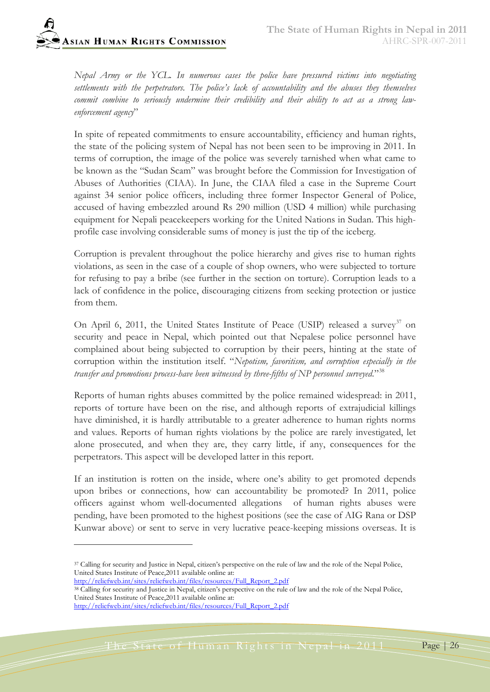*Nepal Army or the YCL. In numerous cases the police have pressured victims into negotiating*  settlements with the perpetrators. The police's lack of accountability and the abuses they themselves *commit combine to seriously undermine their credibility and their ability to act as a strong lawenforcement agency*"

In spite of repeated commitments to ensure accountability, efficiency and human rights, the state of the policing system of Nepal has not been seen to be improving in 2011. In terms of corruption, the image of the police was severely tarnished when what came to be known as the "Sudan Scam" was brought before the Commission for Investigation of Abuses of Authorities (CIAA). In June, the CIAA filed a case in the Supreme Court against 34 senior police officers, including three former Inspector General of Police, accused of having embezzled around Rs 290 million (USD 4 million) while purchasing equipment for Nepali peacekeepers working for the United Nations in Sudan. This highprofile case involving considerable sums of money is just the tip of the iceberg.

Corruption is prevalent throughout the police hierarchy and gives rise to human rights violations, as seen in the case of a couple of shop owners, who were subjected to torture for refusing to pay a bribe (see further in the section on torture). Corruption leads to a lack of confidence in the police, discouraging citizens from seeking protection or justice from them.

On April 6, 2011, the United States Institute of Peace (USIP) released a survey<sup>[37](#page-25-0)</sup> on security and peace in Nepal, which pointed out that Nepalese police personnel have complained about being subjected to corruption by their peers, hinting at the state of corruption within the institution itself. "*Nepotism, favoritism, and corruption especially in the transfer and promotions process-have been witnessed by three-fifths of NP personnel surveyed.*"[38](#page-25-1)

Reports of human rights abuses committed by the police remained widespread: in 2011, reports of torture have been on the rise, and although reports of extrajudicial killings have diminished, it is hardly attributable to a greater adherence to human rights norms and values. Reports of human rights violations by the police are rarely investigated, let alone prosecuted, and when they are, they carry little, if any, consequences for the perpetrators. This aspect will be developed latter in this report.

If an institution is rotten on the inside, where one's ability to get promoted depends upon bribes or connections, how can accountability be promoted? In 2011, police officers against whom well-documented allegations of human rights abuses were pending, have been promoted to the highest positions (see the case of AIG Rana or DSP Kunwar above) or sent to serve in very lucrative peace-keeping missions overseas. It is

 $\overline{a}$ 

<span id="page-25-0"></span><sup>&</sup>lt;sup>37</sup> Calling for security and Justice in Nepal, citizen's perspective on the rule of law and the role of the Nepal Police, United States Institute of Peace,2011 available online at:

[http://reliefweb.int/sites/reliefweb.int/files/resources/Full\\_Report\\_2.pdf](http://reliefweb.int/sites/reliefweb.int/files/resources/Full_Report_2.pdf)

<span id="page-25-1"></span><sup>38</sup> Calling for security and Justice in Nepal, citizen's perspective on the rule of law and the role of the Nepal Police, United States Institute of Peace,2011 available online at:

[http://reliefweb.int/sites/reliefweb.int/files/resources/Full\\_Report\\_2.pdf](http://reliefweb.int/sites/reliefweb.int/files/resources/Full_Report_2.pdf)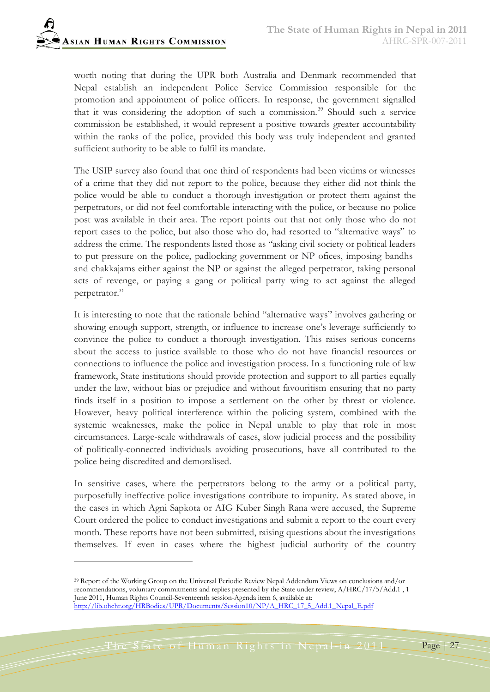

worth noting that during the UPR both Australia and Denmark recommended that Nepal establish an independent Police Service Commission responsible for the promotion and appointment of police officers. In response, the government signalled that it was considering the adoption of such a commission.<sup>[39](#page-26-0)</sup> Should such a service commission be established, it would represent a positive towards greater accountability within the ranks of the police, provided this body was truly independent and granted sufficient authority to be able to fulfil its mandate.

The USIP survey also found that one third of respondents had been victims or witnesses of a crime that they did not report to the police, because they either did not think the police would be able to conduct a thorough investigation or protect them against the perpetrators, or did not feel comfortable interacting with the police, or because no police post was available in their area. The report points out that not only those who do not report cases to the police, but also those who do, had resorted to "alternative ways" to address the crime. The respondents listed those as "asking civil society or political leaders to put pressure on the police, padlocking government or NP offices, imposing bandhs and chakkajams either against the NP or against the alleged perpetrator, taking personal acts of revenge, or paying a gang or political party wing to act against the alleged perpetrator."

It is interesting to note that the rationale behind "alternative ways" involves gathering or showing enough support, strength, or influence to increase one's leverage sufficiently to convince the police to conduct a thorough investigation. This raises serious concerns about the access to justice available to those who do not have financial resources or connections to influence the police and investigation process. In a functioning rule of law framework, State institutions should provide protection and support to all parties equally under the law, without bias or prejudice and without favouritism ensuring that no party finds itself in a position to impose a settlement on the other by threat or violence. However, heavy political interference within the policing system, combined with the systemic weaknesses, make the police in Nepal unable to play that role in most circumstances. Large-scale withdrawals of cases, slow judicial process and the possibility of politically-connected individuals avoiding prosecutions, have all contributed to the police being discredited and demoralised.

In sensitive cases, where the perpetrators belong to the army or a political party, purposefully ineffective police investigations contribute to impunity. As stated above, in the cases in which Agni Sapkota or AIG Kuber Singh Rana were accused, the Supreme Court ordered the police to conduct investigations and submit a report to the court every month. These reports have not been submitted, raising questions about the investigations themselves. If even in cases where the highest judicial authority of the country

<span id="page-26-0"></span><sup>39</sup> Report of the Working Group on the Universal Periodic Review Nepal Addendum Views on conclusions and/or recommendations, voluntary commitments and replies presented by the State under review, A/HRC/17/5/Add.1 , 1 June 2011, Human Rights Council-Seventeenth session-Agenda item 6, available at: [http://lib.ohchr.org/HRBodies/UPR/Documents/Session10/NP/A\\_HRC\\_17\\_5\\_Add.1\\_Nepal\\_E.pdf](http://lib.ohchr.org/HRBodies/UPR/Documents/Session10/NP/A_HRC_17_5_Add.1_Nepal_E.pdf)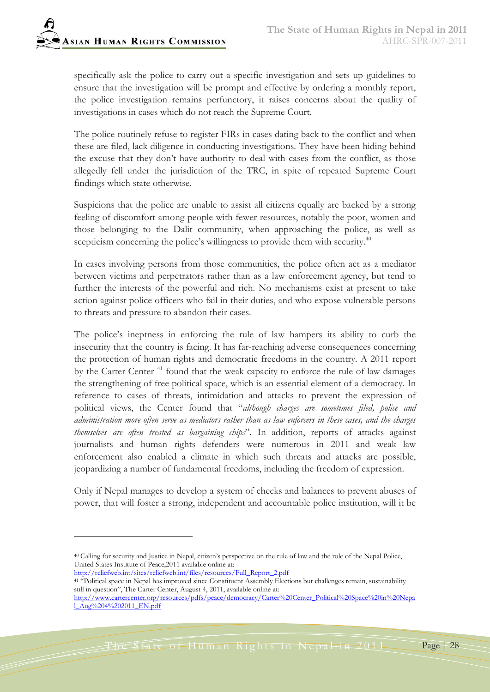specifically ask the police to carry out a specific investigation and sets up guidelines to ensure that the investigation will be prompt and effective by ordering a monthly report, the police investigation remains perfunctory, it raises concerns about the quality of investigations in cases which do not reach the Supreme Court.

The police routinely refuse to register FIRs in cases dating back to the conflict and when these are filed, lack diligence in conducting investigations. They have been hiding behind the excuse that they don't have authority to deal with cases from the conflict, as those allegedly fell under the jurisdiction of the TRC, in spite of repeated Supreme Court findings which state otherwise.

Suspicions that the police are unable to assist all citizens equally are backed by a strong feeling of discomfort among people with fewer resources, notably the poor, women and those belonging to the Dalit community, when approaching the police, as well as scepticism concerning the police's willingness to provide them with security.<sup>[40](#page-27-0)</sup>

In cases involving persons from those communities, the police often act as a mediator between victims and perpetrators rather than as a law enforcement agency, but tend to further the interests of the powerful and rich. No mechanisms exist at present to take action against police officers who fail in their duties, and who expose vulnerable persons to threats and pressure to abandon their cases.

The police's ineptness in enforcing the rule of law hampers its ability to curb the insecurity that the country is facing. It has far-reaching adverse consequences concerning the protection of human rights and democratic freedoms in the country. A 2011 report by the Carter Center<sup>[41](#page-27-1)</sup> found that the weak capacity to enforce the rule of law damages the strengthening of free political space, which is an essential element of a democracy. In reference to cases of threats, intimidation and attacks to prevent the expression of political views, the Center found that "*although charges are sometimes filed, police and administration more often serve as mediators rather than as law enforcers in these cases, and the charges themselves are often treated as bargaining chips*". In addition, reports of attacks against journalists and human rights defenders were numerous in 2011 and weak law enforcement also enabled a climate in which such threats and attacks are possible, jeopardizing a number of fundamental freedoms, including the freedom of expression.

Only if Nepal manages to develop a system of checks and balances to prevent abuses of power, that will foster a strong, independent and accountable police institution, will it be

 $\overline{a}$ 

<span id="page-27-0"></span><sup>40</sup> Calling for security and Justice in Nepal, citizen's perspective on the rule of law and the role of the Nepal Police, United States Institute of Peace,2011 available online at:

[http://reliefweb.int/sites/reliefweb.int/files/resources/Full\\_Report\\_2.pdf](http://reliefweb.int/sites/reliefweb.int/files/resources/Full_Report_2.pdf)

<span id="page-27-1"></span><sup>&</sup>lt;sup>41 "</sup>Political space in Nepal has improved since Constituent Assembly Elections but challenges remain, sustainability still in question", The Carter Center, August 4, 2011, available online at:

[http://www.cartercenter.org/resources/pdfs/peace/democracy/Carter%20Center\\_Political%20Space%20in%20Nepa](http://www.cartercenter.org/resources/pdfs/peace/democracy/Carter%20Center_Political%20Space%20in%20Nepal_Aug%204%202011_EN.pdf) [l\\_Aug%204%202011\\_EN.pdf](http://www.cartercenter.org/resources/pdfs/peace/democracy/Carter%20Center_Political%20Space%20in%20Nepal_Aug%204%202011_EN.pdf)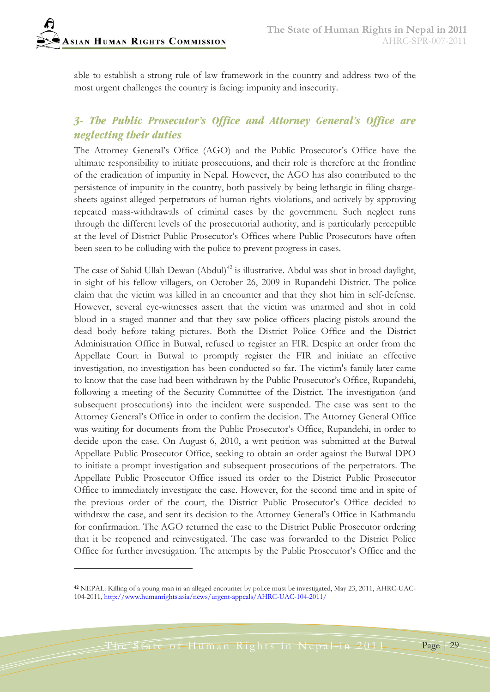-

able to establish a strong rule of law framework in the country and address two of the most urgent challenges the country is facing: impunity and insecurity.

# *3- The Public Prosecutor's Office and Attorney General's Office are neglecting their duties*

The Attorney General's Office (AGO) and the Public Prosecutor's Office have the ultimate responsibility to initiate prosecutions, and their role is therefore at the frontline of the eradication of impunity in Nepal. However, the AGO has also contributed to the persistence of impunity in the country, both passively by being lethargic in filing chargesheets against alleged perpetrators of human rights violations, and actively by approving repeated mass-withdrawals of criminal cases by the government. Such neglect runs through the different levels of the prosecutorial authority, and is particularly perceptible at the level of District Public Prosecutor's Offices where Public Prosecutors have often been seen to be colluding with the police to prevent progress in cases.

The case of Sahid Ullah Dewan (Abdul)<sup>[42](#page-28-0)</sup> is illustrative. Abdul was shot in broad daylight, in sight of his fellow villagers, on October 26, 2009 in Rupandehi District. The police claim that the victim was killed in an encounter and that they shot him in self-defense. However, several eye-witnesses assert that the victim was unarmed and shot in cold blood in a staged manner and that they saw police officers placing pistols around the dead body before taking pictures. Both the District Police Office and the District Administration Office in Butwal, refused to register an FIR. Despite an order from the Appellate Court in Butwal to promptly register the FIR and initiate an effective investigation, no investigation has been conducted so far. The victim's family later came to know that the case had been withdrawn by the Public Prosecutor's Office, Rupandehi, following a meeting of the Security Committee of the District. The investigation (and subsequent prosecutions) into the incident were suspended. The case was sent to the Attorney General's Office in order to confirm the decision. The Attorney General Office was waiting for documents from the Public Prosecutor's Office, Rupandehi, in order to decide upon the case. On August 6, 2010, a writ petition was submitted at the Butwal Appellate Public Prosecutor Office, seeking to obtain an order against the Butwal DPO to initiate a prompt investigation and subsequent prosecutions of the perpetrators. The Appellate Public Prosecutor Office issued its order to the District Public Prosecutor Office to immediately investigate the case. However, for the second time and in spite of the previous order of the court, the District Public Prosecutor's Office decided to withdraw the case, and sent its decision to the Attorney General's Office in Kathmandu for confirmation. The AGO returned the case to the District Public Prosecutor ordering that it be reopened and reinvestigated. The case was forwarded to the District Police Office for further investigation. The attempts by the Public Prosecutor's Office and the

<span id="page-28-0"></span>**<sup>42</sup>** NEPAL: Killing of a young man in an alleged encounter by police must be investigated, May 23, 2011, AHRC-UAC-104-2011, <http://www.humanrights.asia/news/urgent-appeals/AHRC-UAC-104-2011/>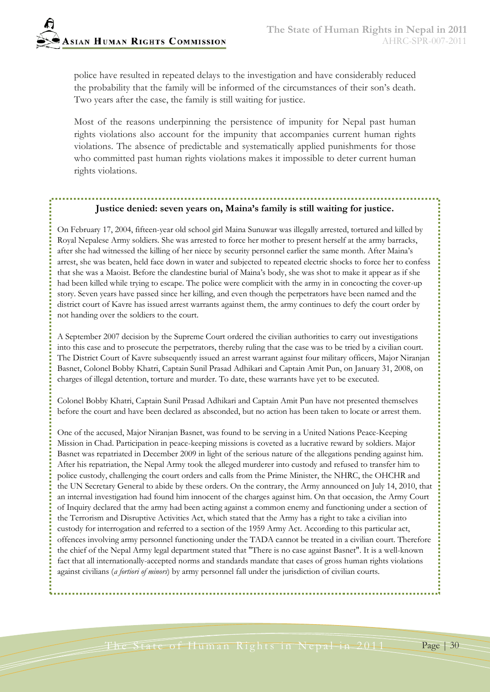

police have resulted in repeated delays to the investigation and have considerably reduced the probability that the family will be informed of the circumstances of their son's death. Two years after the case, the family is still waiting for justice.

Most of the reasons underpinning the persistence of impunity for Nepal past human rights violations also account for the impunity that accompanies current human rights violations. The absence of predictable and systematically applied punishments for those who committed past human rights violations makes it impossible to deter current human rights violations.

## **Justice denied: seven years on, Maina's family is still waiting for justice.**

On February 17, 2004, fifteen-year old school girl Maina Sunuwar was illegally arrested, tortured and killed by Royal Nepalese Army soldiers. She was arrested to force her mother to present herself at the army barracks, after she had witnessed the killing of her niece by security personnel earlier the same month. After Maina's arrest, she was beaten, held face down in water and subjected to repeated electric shocks to force her to confess that she was a Maoist. Before the clandestine burial of Maina's body, she was shot to make it appear as if she had been killed while trying to escape. The police were complicit with the army in in concocting the cover-up story. Seven years have passed since her killing, and even though the perpetrators have been named and the district court of Kavre has issued arrest warrants against them, the army continues to defy the court order by not handing over the soldiers to the court.

A September 2007 decision by the Supreme Court ordered the civilian authorities to carry out investigations into this case and to prosecute the perpetrators, thereby ruling that the case was to be tried by a civilian court. The District Court of Kavre subsequently issued an arrest warrant against four military officers, Major Niranjan Basnet, Colonel Bobby Khatri, Captain Sunil Prasad Adhikari and Captain Amit Pun, on January 31, 2008, on charges of illegal detention, torture and murder. To date, these warrants have yet to be executed.

Colonel Bobby Khatri, Captain Sunil Prasad Adhikari and Captain Amit Pun have not presented themselves before the court and have been declared as absconded, but no action has been taken to locate or arrest them.

One of the accused, Major Niranjan Basnet, was found to be serving in a United Nations Peace-Keeping Mission in Chad. Participation in peace-keeping missions is coveted as a lucrative reward by soldiers. Major Basnet was repatriated in December 2009 in light of the serious nature of the allegations pending against him. After his repatriation, the Nepal Army took the alleged murderer into custody and refused to transfer him to police custody, challenging the court orders and calls from the Prime Minister, the NHRC, the OHCHR and the UN Secretary General to abide by these orders. On the contrary, the Army announced on July 14, 2010, that an internal investigation had found him innocent of the charges against him. On that occasion, the Army Court of Inquiry declared that the army had been acting against a common enemy and functioning under a section of the Terrorism and Disruptive Activities Act, which stated that the Army has a right to take a civilian into custody for interrogation and referred to a section of the 1959 Army Act. According to this particular act, offences involving army personnel functioning under the TADA cannot be treated in a civilian court. Therefore the chief of the Nepal Army legal department stated that "There is no case against Basnet". It is a well-known fact that all internationally-accepted norms and standards mandate that cases of gross human rights violations against civilians (*a fortiori of minors*) by army personnel fall under the jurisdiction of civilian courts.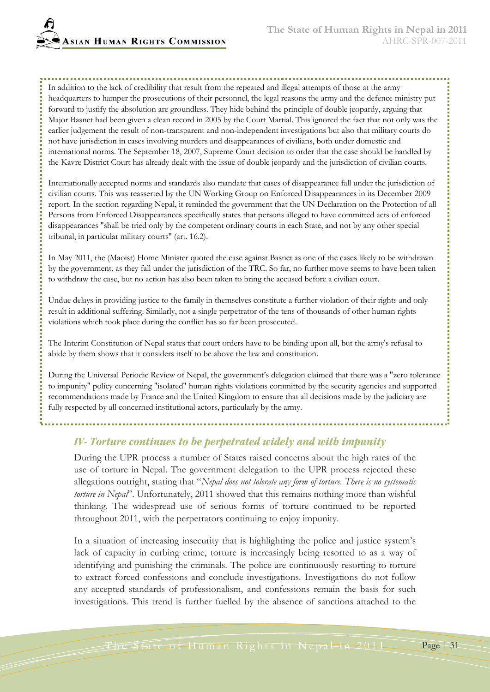**ASIAN HUMAN RIGHTS COMMISSION** 

In addition to the lack of credibility that result from the repeated and illegal attempts of those at the army headquarters to hamper the prosecutions of their personnel, the legal reasons the army and the defence ministry put forward to justify the absolution are groundless. They hide behind the principle of double jeopardy, arguing that Major Basnet had been given a clean record in 2005 by the Court Martial. This ignored the fact that not only was the earlier judgement the result of non-transparent and non-independent investigations but also that military courts do not have jurisdiction in cases involving murders and disappearances of civilians, both under domestic and international norms. The September 18, 2007, Supreme Court decision to order that the case should be handled by the Kavre District Court has already dealt with the issue of double jeopardy and the jurisdiction of civilian courts.

Internationally accepted norms and standards also mandate that cases of disappearance fall under the jurisdiction of civilian courts. This was reasserted by the UN Working Group on Enforced Disappearances in its December 2009 report. In the section regarding Nepal, it reminded the government that the UN Declaration on the Protection of all Persons from Enforced Disappearances specifically states that persons alleged to have committed acts of enforced disappearances "shall be tried only by the competent ordinary courts in each State, and not by any other special tribunal, in particular military courts" (art. 16.2).

In May 2011, the (Maoist) Home Minister quoted the case against Basnet as one of the cases likely to be withdrawn by the government, as they fall under the jurisdiction of the TRC. So far, no further move seems to have been taken to withdraw the case, but no action has also been taken to bring the accused before a civilian court.

Undue delays in providing justice to the family in themselves constitute a further violation of their rights and only result in additional suffering. Similarly, not a single perpetrator of the tens of thousands of other human rights violations which took place during the conflict has so far been prosecuted.

The Interim Constitution of Nepal states that court orders have to be binding upon all, but the army's refusal to abide by them shows that it considers itself to be above the law and constitution.

During the Universal Periodic Review of Nepal, the government's delegation claimed that there was a "zero tolerance to impunity" policy concerning "isolated" human rights violations committed by the security agencies and supported recommendations made by France and the United Kingdom to ensure that all decisions made by the judiciary are fully respected by all concerned institutional actors, particularly by the army.

#### *IV- Torture continues to be perpetrated widely and with impunity*

During the UPR process a number of States raised concerns about the high rates of the use of torture in Nepal. The government delegation to the UPR process rejected these allegations outright, stating that "*Nepal does not tolerate any form of torture. There is no systematic torture in Nepal*". Unfortunately, 2011 showed that this remains nothing more than wishful thinking. The widespread use of serious forms of torture continued to be reported throughout 2011, with the perpetrators continuing to enjoy impunity.

In a situation of increasing insecurity that is highlighting the police and justice system's lack of capacity in curbing crime, torture is increasingly being resorted to as a way of identifying and punishing the criminals. The police are continuously resorting to torture to extract forced confessions and conclude investigations. Investigations do not follow any accepted standards of professionalism, and confessions remain the basis for such investigations. This trend is further fuelled by the absence of sanctions attached to the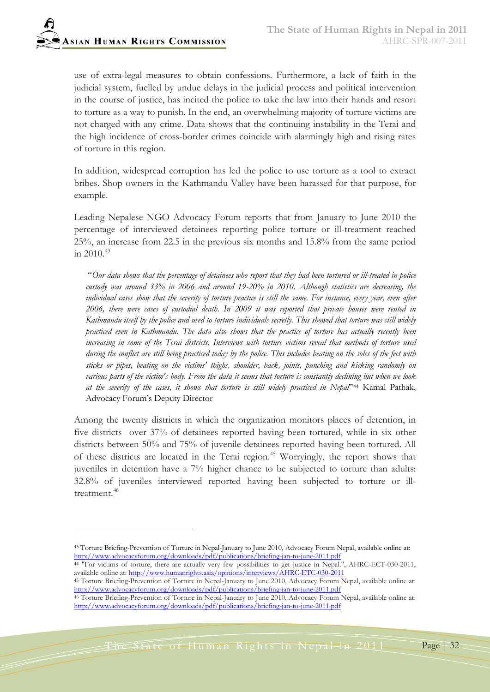-

use of extra-legal measures to obtain confessions. Furthermore, a lack of faith in the judicial system, fuelled by undue delays in the judicial process and political intervention in the course of justice, has incited the police to take the law into their hands and resort to torture as a way to punish. In the end, an overwhelming majority of torture victims are not charged with any crime. Data shows that the continuing instability in the Terai and the high incidence of cross-border crimes coincide with alarmingly high and rising rates of torture in this region.

In addition, widespread corruption has led the police to use torture as a tool to extract bribes. Shop owners in the Kathmandu Valley have been harassed for that purpose, for example.

Leading Nepalese NGO Advocacy Forum reports that from January to June 2010 the percentage of interviewed detainees reporting police torture or ill-treatment reached 25%, an increase from 22.5 in the previous six months and 15.8% from the same period in  $2010^{43}$  $2010^{43}$  $2010^{43}$ 

"*Our data shows that the percentage of detainees who report that they had been tortured or ill-treated in police custody was around 33% in 2006 and around 19-20% in 2010. Although statistics are decreasing, the individual cases show that the severity of torture practice is still the same. For instance, every year, even after 2006, there were cases of custodial death. In 2009 it was reported that private houses were rented in Kathmandu itself by the police and used to torture individuals secretly. This showed that torture was still widely practiced even in Kathmandu. The data also shows that the practice of torture has actually recently been increasing in some of the Terai districts. Interviews with torture victims reveal that methods of torture used during the conflict are still being practiced today by the police. This includes beating on the soles of the feet with sticks or pipes, beating on the victims' thighs, shoulder, back, joints, punching and kicking randomly on various parts of the victim's body. From the data it seems that torture is constantly declining but when we look at the severity of the cases, it shows that torture is still widely practiced in Nepal*["44](#page-31-1) Kamal Pathak, Advocacy Forum's Deputy Director

Among the twenty districts in which the organization monitors places of detention, in five districts over 37% of detainees reported having been tortured, while in six other districts between 50% and 75% of juvenile detainees reported having been tortured. All of these districts are located in the Terai region. [45](#page-31-2) Worryingly, the report shows that juveniles in detention have a 7% higher chance to be subjected to torture than adults: 32.8% of juveniles interviewed reported having been subjected to torture or ill-treatment.<sup>[46](#page-31-3)</sup>

<span id="page-31-0"></span><sup>43</sup> Torture Briefing-Prevention of Torture in Nepal-January to June 2010, Advocacy Forum Nepal, available online at: <http://www.advocacyforum.org/downloads/pdf/publications/briefing-jan-to-june-2011.pdf>

<span id="page-31-1"></span>**<sup>44</sup>** "For victims of torture, there are actually very few possibilities to get justice in Nepal.", AHRC-ECT-030-2011, available online at[: http://www.humanrights.asia/opinions/interviews/AHRC-ETC-030-2011](http://www.humanrights.asia/opinions/interviews/AHRC-ETC-030-2011)

<span id="page-31-2"></span><sup>45</sup> Torture Briefing-Prevention of Torture in Nepal-January to June 2010, Advocacy Forum Nepal, available online at: <http://www.advocacyforum.org/downloads/pdf/publications/briefing-jan-to-june-2011.pdf>

<span id="page-31-3"></span><sup>&</sup>lt;sup>46</sup> Torture Briefing-Prevention of Torture in Nepal-January to June 2010, Advocacy Forum Nepal, available online at: <http://www.advocacyforum.org/downloads/pdf/publications/briefing-jan-to-june-2011.pdf>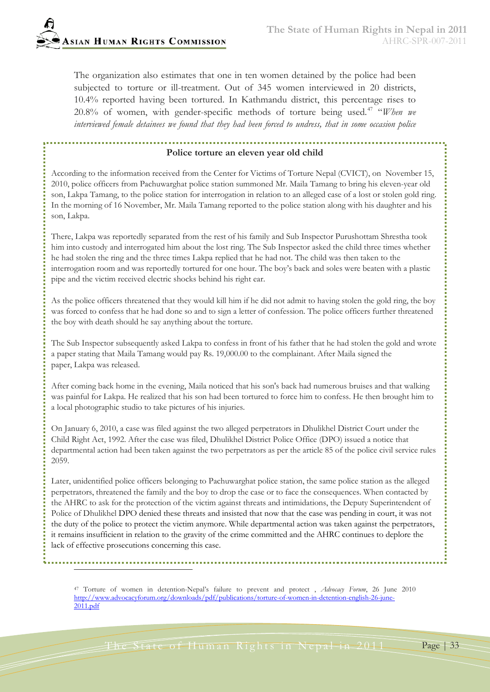The organization also estimates that one in ten women detained by the police had been subjected to torture or ill-treatment. Out of 345 women interviewed in 20 districts, 10.4% reported having been tortured. In Kathmandu district, this percentage rises to 20.8% of women, with gender-specific methods of torture being used.<sup>[47](#page-32-0)</sup> "When we *interviewed female detainees we found that they had been forced to undress, that in some occasion police* 

## **Police torture an eleven year old child**

According to the information received from the Center for Victims of Torture Nepal (CVICT), on November 15, 2010, police officers from Pachuwarghat police station summoned Mr. Maila Tamang to bring his eleven-year old son, Lakpa Tamang, to the police station for interrogation in relation to an alleged case of a lost or stolen gold ring. In the morning of 16 November, Mr. Maila Tamang reported to the police station along with his daughter and his son, Lakpa.

There, Lakpa was reportedly separated from the rest of his family and Sub Inspector Purushottam Shrestha took him into custody and interrogated him about the lost ring. The Sub Inspector asked the child three times whether he had stolen the ring and the three times Lakpa replied that he had not. The child was then taken to the interrogation room and was reportedly tortured for one hour. The boy's back and soles were beaten with a plastic pipe and the victim received electric shocks behind his right ear.

As the police officers threatened that they would kill him if he did not admit to having stolen the gold ring, the boy was forced to confess that he had done so and to sign a letter of confession. The police officers further threatened the boy with death should he say anything about the torture.

The Sub Inspector subsequently asked Lakpa to confess in front of his father that he had stolen the gold and wrote a paper stating that Maila Tamang would pay Rs. 19,000.00 to the complainant. After Maila signed the paper, Lakpa was released.

After coming back home in the evening, Maila noticed that his son's back had numerous bruises and that walking was painful for Lakpa. He realized that his son had been tortured to force him to confess. He then brought him to a local photographic studio to take pictures of his injuries.

On January 6, 2010, a case was filed against the two alleged perpetrators in Dhulikhel District Court under the Child Right Act, 1992. After the case was filed, Dhulikhel District Police Office (DPO) issued a notice that departmental action had been taken against the two perpetrators as per the article 85 of the police civil service rules 2059.

Later, unidentified police officers belonging to Pachuwarghat police station, the same police station as the alleged perpetrators, threatened the family and the boy to drop the case or to face the consequences. When contacted by the AHRC to ask for the protection of the victim against threats and intimidations, the Deputy Superintendent of Police of Dhulikhel DPO denied these threats and insisted that now that the case was pending in court, it was not the duty of the police to protect the victim anymore. While departmental action was taken against the perpetrators, it remains insufficient in relation to the gravity of the crime committed and the AHRC continues to deplore the lack of effective prosecutions concerning this case.

<span id="page-32-0"></span><sup>47</sup> Torture of women in detention-Nepal's failure to prevent and protect , *Advocacy Forum*, 26 June 2010 [http://www.advocacyforum.org/downloads/pdf/publications/torture-of-women-in-detention-english-26-june-](http://www.advocacyforum.org/downloads/pdf/publications/torture-of-women-in-detention-english-26-june-2011.pdf)[2011.pdf](http://www.advocacyforum.org/downloads/pdf/publications/torture-of-women-in-detention-english-26-june-2011.pdf)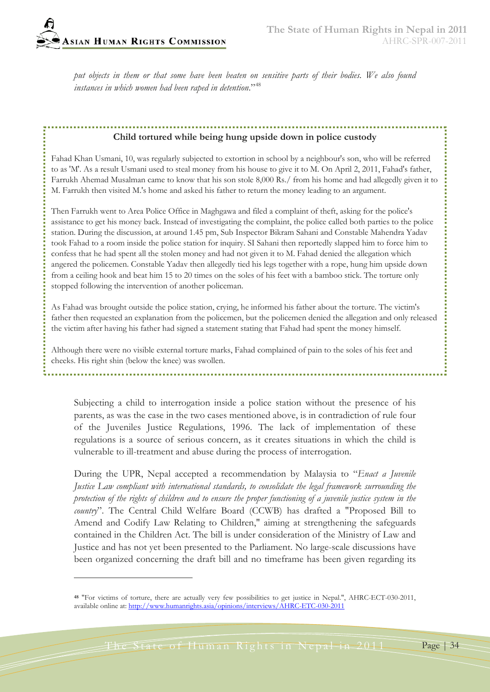*put objects in them or that some have been beaten on sensitive parts of their bodies. We also found instances in which women had been raped in detention*."[48](#page-33-0)

# **Child tortured while being hung upside down in police custody**

Fahad Khan Usmani, 10, was regularly subjected to extortion in school by a neighbour's son, who will be referred to as 'M'. As a result Usmani used to steal money from his house to give it to M. On April 2, 2011, Fahad's father, Farrukh Ahemad Musalman came to know that his son stole 8,000 Rs./ from his home and had allegedly given it to M. Farrukh then visited M.'s home and asked his father to return the money leading to an argument.

Then Farrukh went to Area Police Office in Maghgawa and filed a complaint of theft, asking for the police's assistance to get his money back. Instead of investigating the complaint, the police called both parties to the police station. During the discussion, at around 1.45 pm, Sub Inspector Bikram Sahani and Constable Mahendra Yadav took Fahad to a room inside the police station for inquiry. SI Sahani then reportedly slapped him to force him to confess that he had spent all the stolen money and had not given it to M. Fahad denied the allegation which angered the policemen. Constable Yadav then allegedly tied his legs together with a rope, hung him upside down from a ceiling hook and beat him 15 to 20 times on the soles of his feet with a bamboo stick. The torture only stopped following the intervention of another policeman.

As Fahad was brought outside the police station, crying, he informed his father about the torture. The victim's father then requested an explanation from the policemen, but the policemen denied the allegation and only released the victim after having his father had signed a statement stating that Fahad had spent the money himself.

Although there were no visible external torture marks, Fahad complained of pain to the soles of his feet and cheeks. His right shin (below the knee) was swollen.

Subjecting a child to interrogation inside a police station without the presence of his parents, as was the case in the two cases mentioned above, is in contradiction of rule four of the Juveniles Justice Regulations, 1996. The lack of implementation of these regulations is a source of serious concern, as it creates situations in which the child is vulnerable to ill-treatment and abuse during the process of interrogation.

During the UPR, Nepal accepted a recommendation by Malaysia to "*Enact a Juvenile Justice Law compliant with international standards, to consolidate the legal framework surrounding the protection of the rights of children and to ensure the proper functioning of a juvenile justice system in the country*". The Central Child Welfare Board (CCWB) has drafted a "Proposed Bill to Amend and Codify Law Relating to Children," aiming at strengthening the safeguards contained in the Children Act. The bill is under consideration of the Ministry of Law and Justice and has not yet been presented to the Parliament. No large-scale discussions have been organized concerning the draft bill and no timeframe has been given regarding its

<span id="page-33-0"></span>**<sup>48</sup>** "For victims of torture, there are actually very few possibilities to get justice in Nepal.", AHRC-ECT-030-2011, available online at[: http://www.humanrights.asia/opinions/interviews/AHRC-ETC-030-2011](http://www.humanrights.asia/opinions/interviews/AHRC-ETC-030-2011)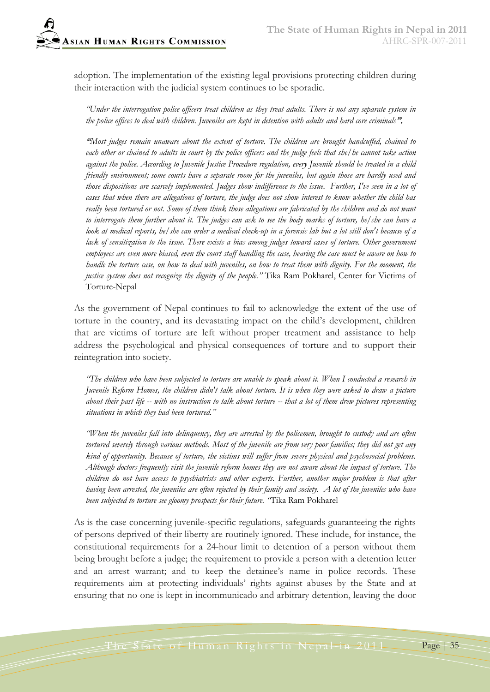adoption. The implementation of the existing legal provisions protecting children during their interaction with the judicial system continues to be sporadic.

*"Under the interrogation police officers treat children as they treat adults. There is not any separate system in the police offices to deal with children. Juveniles are kept in detention with adults and hard core criminals*".

"*Most judges remain unaware about the extent of torture. The children are brought handcuffed, chained to each other or chained to adults in court by the police officers and the judge feels that she/he cannot take action against the police. According to Juvenile Justice Procedure regulation, every Juvenile should be treated in a child friendly environment; some courts have a separate room for the juveniles, but again those are hardly used and those dispositions are scarcely implemented. Judges show indifference to the issue. Further, I've seen in a lot of cases that when there are allegations of torture, the judge does not show interest to know whether the child has really been tortured or not. Some of them think those allegations are fabricated by the children and do not want to interrogate them further about it. The judges can ask to see the body marks of torture, he/she can have a look at medical reports, he/she can order a medical check-up in a forensic lab but a lot still don't because of a lack of sensitization to the issue. There exists a bias among judges toward cases of torture. Other government employees are even more biased, even the court staff handling the case, hearing the case must be aware on how to handle the torture case, on how to deal with juveniles, on how to treat them with dignity. For the moment, the justice system does not recognize the dignity of the people."* Tika Ram Pokharel, Center for Victims of Torture-Nepal

As the government of Nepal continues to fail to acknowledge the extent of the use of torture in the country, and its devastating impact on the child's development, children that are victims of torture are left without proper treatment and assistance to help address the psychological and physical consequences of torture and to support their reintegration into society.

*"The children who have been subjected to torture are unable to speak about it. When I conducted a research in Juvenile Reform Homes, the children didn't talk about torture. It is when they were asked to draw a picture about their past life -- with no instruction to talk about torture -- that a lot of them drew pictures representing situations in which they had been tortured."*

*"When the juveniles fall into delinquency, they are arrested by the policemen, brought to custody and are often tortured severely through various methods. Most of the juvenile are from very poor families; they did not get any kind of opportunity. Because of torture, the victims will suffer from severe physical and psychosocial problems. Although doctors frequently visit the juvenile reform homes they are not aware about the impact of torture. The children do not have access to psychiatrists and other experts. Further, another major problem is that after having been arrested, the juveniles are often rejected by their family and society. A lot of the juveniles who have been subjected to torture see gloomy prospects for their future. "*Tika Ram Pokharel

As is the case concerning juvenile-specific regulations, safeguards guaranteeing the rights of persons deprived of their liberty are routinely ignored. These include, for instance, the constitutional requirements for a 24-hour limit to detention of a person without them being brought before a judge; the requirement to provide a person with a detention letter and an arrest warrant; and to keep the detainee's name in police records. These requirements aim at protecting individuals' rights against abuses by the State and at ensuring that no one is kept in incommunicado and arbitrary detention, leaving the door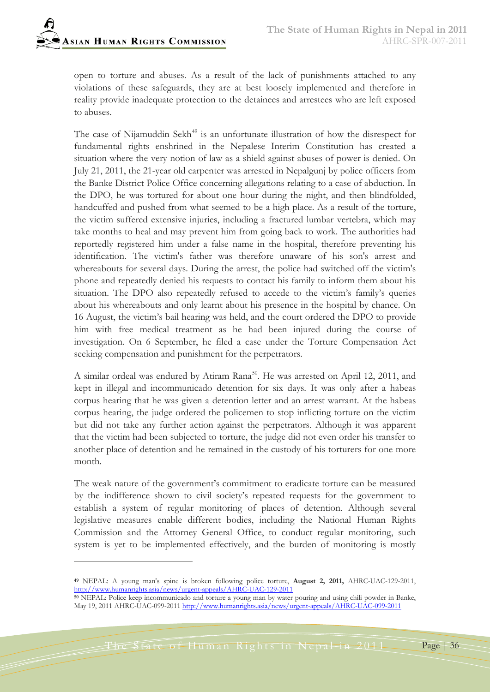open to torture and abuses. As a result of the lack of punishments attached to any violations of these safeguards, they are at best loosely implemented and therefore in reality provide inadequate protection to the detainees and arrestees who are left exposed to abuses.

The case of Nijamuddin Sekh<sup>[49](#page-35-0)</sup> is an unfortunate illustration of how the disrespect for fundamental rights enshrined in the Nepalese Interim Constitution has created a situation where the very notion of law as a shield against abuses of power is denied. On July 21, 2011, the 21-year old carpenter was arrested in Nepalgunj by police officers from the Banke District Police Office concerning allegations relating to a case of abduction. In the DPO, he was tortured for about one hour during the night, and then blindfolded, handcuffed and pushed from what seemed to be a high place. As a result of the torture, the victim suffered extensive injuries, including a fractured lumbar vertebra, which may take months to heal and may prevent him from going back to work. The authorities had reportedly registered him under a false name in the hospital, therefore preventing his identification. The victim's father was therefore unaware of his son's arrest and whereabouts for several days. During the arrest, the police had switched off the victim's phone and repeatedly denied his requests to contact his family to inform them about his situation. The DPO also repeatedly refused to accede to the victim's family's queries about his whereabouts and only learnt about his presence in the hospital by chance. On 16 August, the victim's bail hearing was held, and the court ordered the DPO to provide him with free medical treatment as he had been injured during the course of investigation. On 6 September, he filed a case under the Torture Compensation Act seeking compensation and punishment for the perpetrators.

A similar ordeal was endured by Atiram Rana<sup>[50](#page-35-1)</sup>. He was arrested on April 12, 2011, and kept in illegal and incommunicado detention for six days. It was only after a habeas corpus hearing that he was given a detention letter and an arrest warrant. At the habeas corpus hearing, the judge ordered the policemen to stop inflicting torture on the victim but did not take any further action against the perpetrators. Although it was apparent that the victim had been subjected to torture, the judge did not even order his transfer to another place of detention and he remained in the custody of his torturers for one more month.

The weak nature of the government's commitment to eradicate torture can be measured by the indifference shown to civil society's repeated requests for the government to establish a system of regular monitoring of places of detention. Although several legislative measures enable different bodies, including the National Human Rights Commission and the Attorney General Office, to conduct regular monitoring, such system is yet to be implemented effectively, and the burden of monitoring is mostly

<span id="page-35-0"></span>**<sup>49</sup>** NEPAL: A young man's spine is broken following police torture, **August 2, 2011,** AHRC-UAC-129-2011, <http://www.humanrights.asia/news/urgent-appeals/AHRC-UAC-129-2011>

<span id="page-35-1"></span>**<sup>50</sup>** NEPAL: Police keep incommunicado and torture a young man by water pouring and using chili powder in Bank[e,](http://www.google.com/search?q=Atiram+Rana&ie=utf-8&oe=utf-8&aq=t) May 19, 2011 AHRC-UAC-099-2011 <http://www.humanrights.asia/news/urgent-appeals/AHRC-UAC-099-2011>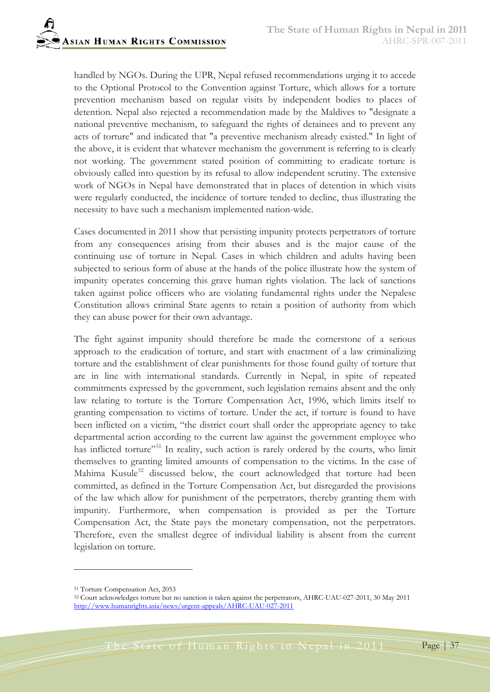handled by NGOs. During the UPR, Nepal refused recommendations urging it to accede to the Optional Protocol to the Convention against Torture, which allows for a torture prevention mechanism based on regular visits by independent bodies to places of detention. Nepal also rejected a recommendation made by the Maldives to "designate a national preventive mechanism, to safeguard the rights of detainees and to prevent any acts of torture" and indicated that "a preventive mechanism already existed." In light of the above, it is evident that whatever mechanism the government is referring to is clearly not working. The government stated position of committing to eradicate torture is obviously called into question by its refusal to allow independent scrutiny. The extensive work of NGOs in Nepal have demonstrated that in places of detention in which visits were regularly conducted, the incidence of torture tended to decline, thus illustrating the necessity to have such a mechanism implemented nation-wide.

Cases documented in 2011 show that persisting impunity protects perpetrators of torture from any consequences arising from their abuses and is the major cause of the continuing use of torture in Nepal. Cases in which children and adults having been subjected to serious form of abuse at the hands of the police illustrate how the system of impunity operates concerning this grave human rights violation. The lack of sanctions taken against police officers who are violating fundamental rights under the Nepalese Constitution allows criminal State agents to retain a position of authority from which they can abuse power for their own advantage.

The fight against impunity should therefore be made the cornerstone of a serious approach to the eradication of torture, and start with enactment of a law criminalizing torture and the establishment of clear punishments for those found guilty of torture that are in line with international standards. Currently in Nepal, in spite of repeated commitments expressed by the government, such legislation remains absent and the only law relating to torture is the Torture Compensation Act, 1996, which limits itself to granting compensation to victims of torture. Under the act, if torture is found to have been inflicted on a victim, "the district court shall order the appropriate agency to take departmental action according to the current law against the government employee who has inflicted torture"<sup>[51](#page-36-0)</sup> In reality, such action is rarely ordered by the courts, who limit themselves to granting limited amounts of compensation to the victims. In the case of Mahima Kusule<sup>[52](#page-36-1)</sup> discussed below, the court acknowledged that torture had been committed, as defined in the Torture Compensation Act, but disregarded the provisions of the law which allow for punishment of the perpetrators, thereby granting them with impunity. Furthermore, when compensation is provided as per the Torture Compensation Act, the State pays the monetary compensation, not the perpetrators. Therefore, even the smallest degree of individual liability is absent from the current legislation on torture.

 $\overline{a}$ 

<span id="page-36-0"></span><sup>51</sup> Torture Compensation Act, 2053

<span id="page-36-1"></span><sup>52</sup> Court acknowledges torture but no sanction is taken against the perpetrators, AHRC-UAU-027-2011, 30 May 2011 <http://www.humanrights.asia/news/urgent-appeals/AHRC-UAU-027-2011>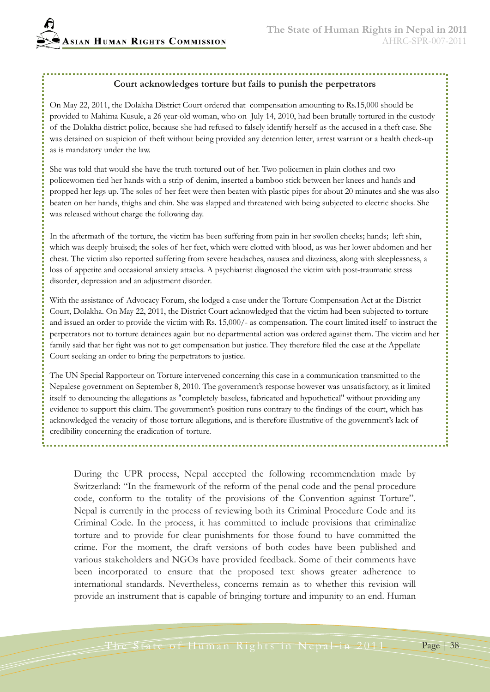#### **Court acknowledges torture but fails to punish the perpetrators**

On May 22, 2011, the Dolakha District Court ordered that compensation amounting to Rs.15,000 should be provided to Mahima Kusule, a 26 year-old woman, who on July 14, 2010, had been brutally tortured in the custody of the Dolakha district police, because she had refused to falsely identify herself as the accused in a theft case. She was detained on suspicion of theft without being provided any detention letter, arrest warrant or a health check-up as is mandatory under the law.

She was told that would she have the truth tortured out of her. Two policemen in plain clothes and two policewomen tied her hands with a strip of denim, inserted a bamboo stick between her knees and hands and propped her legs up. The soles of her feet were then beaten with plastic pipes for about 20 minutes and she was also beaten on her hands, thighs and chin. She was slapped and threatened with being subjected to electric shocks. She was released without charge the following day.

In the aftermath of the torture, the victim has been suffering from pain in her swollen cheeks; hands; left shin, which was deeply bruised; the soles of her feet, which were clotted with blood, as was her lower abdomen and her chest. The victim also reported suffering from severe headaches, nausea and dizziness, along with sleeplessness, a loss of appetite and occasional anxiety attacks. A psychiatrist diagnosed the victim with post-traumatic stress disorder, depression and an adjustment disorder.

With the assistance of Advocacy Forum, she lodged a case under the Torture Compensation Act at the District Court, Dolakha. On May 22, 2011, the District Court acknowledged that the victim had been subjected to torture and issued an order to provide the victim with Rs. 15,000/- as compensation. The court limited itself to instruct the perpetrators not to torture detainees again but no departmental action was ordered against them. The victim and her family said that her fight was not to get compensation but justice. They therefore filed the case at the Appellate Court seeking an order to bring the perpetrators to justice.

The UN Special Rapporteur on Torture intervened concerning this case in a communication transmitted to the Nepalese government on September 8, 2010. The government's response however was unsatisfactory, as it limited itself to denouncing the allegations as "completely baseless, fabricated and hypothetical" without providing any evidence to support this claim. The government's position runs contrary to the findings of the court, which has acknowledged the veracity of those torture allegations, and is therefore illustrative of the government's lack of credibility concerning the eradication of torture.

During the UPR process, Nepal accepted the following recommendation made by Switzerland: "In the framework of the reform of the penal code and the penal procedure code, conform to the totality of the provisions of the Convention against Torture". Nepal is currently in the process of reviewing both its Criminal Procedure Code and its Criminal Code. In the process, it has committed to include provisions that criminalize torture and to provide for clear punishments for those found to have committed the crime. For the moment, the draft versions of both codes have been published and various stakeholders and NGOs have provided feedback. Some of their comments have been incorporated to ensure that the proposed text shows greater adherence to international standards. Nevertheless, concerns remain as to whether this revision will provide an instrument that is capable of bringing torture and impunity to an end. Human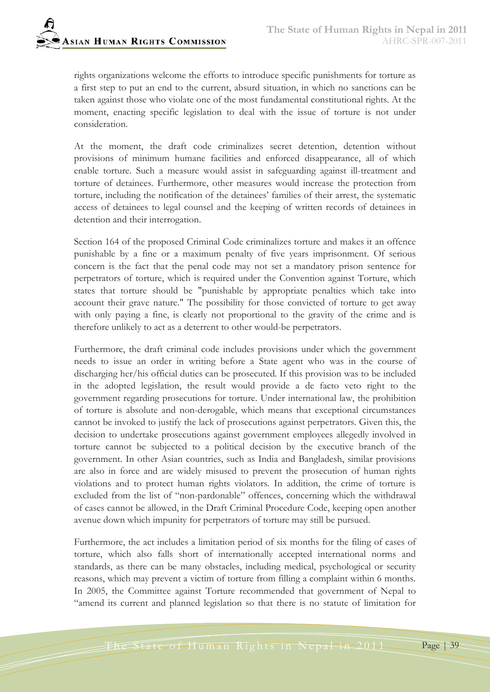rights organizations welcome the efforts to introduce specific punishments for torture as a first step to put an end to the current, absurd situation, in which no sanctions can be taken against those who violate one of the most fundamental constitutional rights. At the moment, enacting specific legislation to deal with the issue of torture is not under consideration.

At the moment, the draft code criminalizes secret detention, detention without provisions of minimum humane facilities and enforced disappearance, all of which enable torture. Such a measure would assist in safeguarding against ill-treatment and torture of detainees. Furthermore, other measures would increase the protection from torture, including the notification of the detainees' families of their arrest, the systematic access of detainees to legal counsel and the keeping of written records of detainees in detention and their interrogation.

Section 164 of the proposed Criminal Code criminalizes torture and makes it an offence punishable by a fine or a maximum penalty of five years imprisonment. Of serious concern is the fact that the penal code may not set a mandatory prison sentence for perpetrators of torture, which is required under the Convention against Torture, which states that torture should be "punishable by appropriate penalties which take into account their grave nature." The possibility for those convicted of torture to get away with only paying a fine, is clearly not proportional to the gravity of the crime and is therefore unlikely to act as a deterrent to other would-be perpetrators.

Furthermore, the draft criminal code includes provisions under which the government needs to issue an order in writing before a State agent who was in the course of discharging her/his official duties can be prosecuted. If this provision was to be included in the adopted legislation, the result would provide a de facto veto right to the government regarding prosecutions for torture. Under international law, the prohibition of torture is absolute and non-derogable, which means that exceptional circumstances cannot be invoked to justify the lack of prosecutions against perpetrators. Given this, the decision to undertake prosecutions against government employees allegedly involved in torture cannot be subjected to a political decision by the executive branch of the government. In other Asian countries, such as India and Bangladesh, similar provisions are also in force and are widely misused to prevent the prosecution of human rights violations and to protect human rights violators. In addition, the crime of torture is excluded from the list of "non-pardonable" offences, concerning which the withdrawal of cases cannot be allowed, in the Draft Criminal Procedure Code, keeping open another avenue down which impunity for perpetrators of torture may still be pursued.

Furthermore, the act includes a limitation period of six months for the filing of cases of torture, which also falls short of internationally accepted international norms and standards, as there can be many obstacles, including medical, psychological or security reasons, which may prevent a victim of torture from filling a complaint within 6 months. In 2005, the Committee against Torture recommended that government of Nepal to "amend its current and planned legislation so that there is no statute of limitation for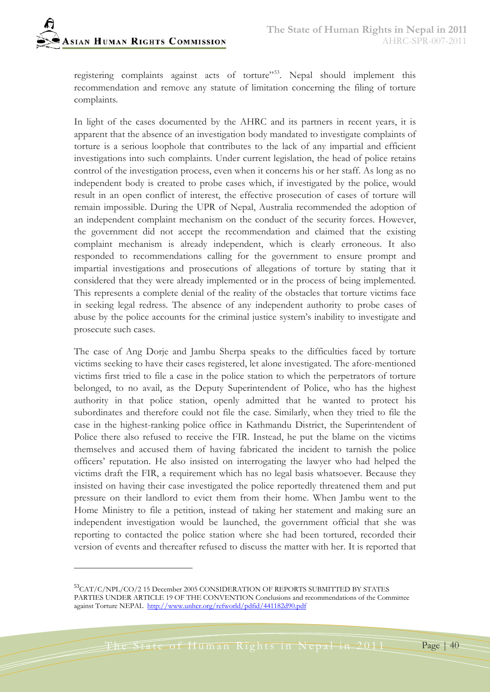-

registering complaints against acts of torture"<sup>55</sup>. Nepal should implement this recommendation and remove any statute of limitation concerning the filing of torture complaints.

In light of the cases documented by the AHRC and its partners in recent years, it is apparent that the absence of an investigation body mandated to investigate complaints of torture is a serious loophole that contributes to the lack of any impartial and efficient investigations into such complaints. Under current legislation, the head of police retains control of the investigation process, even when it concerns his or her staff. As long as no independent body is created to probe cases which, if investigated by the police, would result in an open conflict of interest, the effective prosecution of cases of torture will remain impossible. During the UPR of Nepal, Australia recommended the adoption of an independent complaint mechanism on the conduct of the security forces. However, the government did not accept the recommendation and claimed that the existing complaint mechanism is already independent, which is clearly erroneous. It also responded to recommendations calling for the government to ensure prompt and impartial investigations and prosecutions of allegations of torture by stating that it considered that they were already implemented or in the process of being implemented. This represents a complete denial of the reality of the obstacles that torture victims face in seeking legal redress. The absence of any independent authority to probe cases of abuse by the police accounts for the criminal justice system's inability to investigate and prosecute such cases.

The case of Ang Dorje and Jambu Sherpa speaks to the difficulties faced by torture victims seeking to have their cases registered, let alone investigated. The afore-mentioned victims first tried to file a case in the police station to which the perpetrators of torture belonged, to no avail, as the Deputy Superintendent of Police, who has the highest authority in that police station, openly admitted that he wanted to protect his subordinates and therefore could not file the case. Similarly, when they tried to file the case in the highest-ranking police office in Kathmandu District, the Superintendent of Police there also refused to receive the FIR. Instead, he put the blame on the victims themselves and accused them of having fabricated the incident to tarnish the police officers' reputation. He also insisted on interrogating the lawyer who had helped the victims draft the FIR, a requirement which has no legal basis whatsoever. Because they insisted on having their case investigated the police reportedly threatened them and put pressure on their landlord to evict them from their home. When Jambu went to the Home Ministry to file a petition, instead of taking her statement and making sure an independent investigation would be launched, the government official that she was reporting to contacted the police station where she had been tortured, recorded their version of events and thereafter refused to discuss the matter with her. It is reported that

<span id="page-39-0"></span><sup>53</sup>CAT/C/NPL/CO/2 15 December 2005 CONSIDERATION OF REPORTS SUBMITTED BY STATES PARTIES UNDER ARTICLE 19 OF THE CONVENTION Conclusions and recommendations of the Committee against Torture NEPAL <http://www.unhcr.org/refworld/pdfid/441182d90.pdf>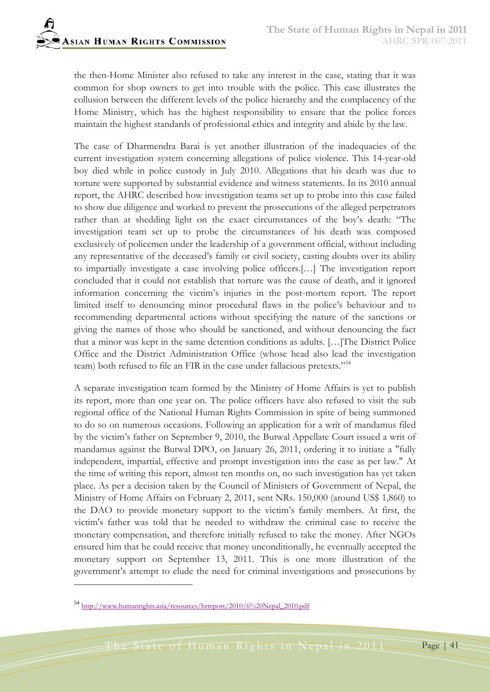the then-Home Minister also refused to take any interest in the case, stating that it was common for shop owners to get into trouble with the police. This case illustrates the collusion between the different levels of the police hierarchy and the complacency of the Home Ministry, which has the highest responsibility to ensure that the police forces maintain the highest standards of professional ethics and integrity and abide by the law.

The case of Dharmendra Barai is yet another illustration of the inadequacies of the current investigation system concerning allegations of police violence. This 14-year-old boy died while in police custody in July 2010. Allegations that his death was due to torture were supported by substantial evidence and witness statements. In its 2010 annual report, the AHRC described how investigation teams set up to probe into this case failed to show due diligence and worked to prevent the prosecutions of the alleged perpetrators rather than at shedding light on the exact circumstances of the boy's death: "The investigation team set up to probe the circumstances of his death was composed exclusively of policemen under the leadership of a government official, without including any representative of the deceased's family or civil society, casting doubts over its ability to impartially investigate a case involving police officers.[…] The investigation report concluded that it could not establish that torture was the cause of death, and it ignored information concerning the victim's injuries in the post-mortem report. The report limited itself to denouncing minor procedural flaws in the police's behaviour and to recommending departmental actions without specifying the nature of the sanctions or giving the names of those who should be sanctioned, and without denouncing the fact that a minor was kept in the same detention conditions as adults. […]The District Police Office and the District Administration Office (whose head also lead the investigation team) both refused to file an FIR in the case under fallacious pretexts."<sup>[54](#page-40-0)</sup>

A separate investigation team formed by the Ministry of Home Affairs is yet to publish its report, more than one year on. The police officers have also refused to visit the sub regional office of the National Human Rights Commission in spite of being summoned to do so on numerous occasions. Following an application for a writ of mandamus filed by the victim's father on September 9, 2010, the Butwal Appellate Court issued a writ of mandamus against the Butwal DPO, on January 26, 2011, ordering it to initiate a "fully independent, impartial, effective and prompt investigation into the case as per law." At the time of writing this report, almost ten months on, no such investigation has yet taken place. As per a decision taken by the Council of Ministers of Government of Nepal, the Ministry of Home Affairs on February 2, 2011, sent NRs. 150,000 (around US\$ 1,860) to the DAO to provide monetary support to the victim's family members. At first, the victim's father was told that he needed to withdraw the criminal case to receive the monetary compensation, and therefore initially refused to take the money. After NGOs ensured him that he could receive that money unconditionally, he eventually accepted the monetary support on September 13, 2011. This is one more illustration of the government's attempt to elude the need for criminal investigations and prosecutions by

 $\overline{a}$ 

<span id="page-40-0"></span><sup>54</sup> [http://www.humanrights.asia/resources/hrreport/2010/6%20Nepal\\_2010.pdf](http://www.humanrights.asia/resources/hrreport/2010/6%20Nepal_2010.pdf)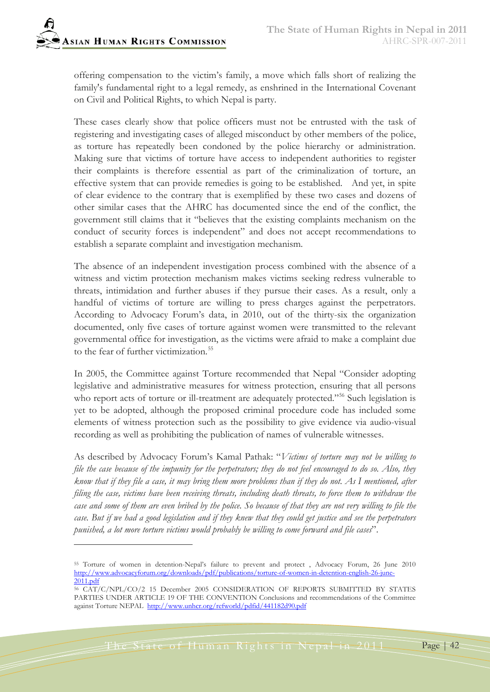offering compensation to the victim's family, a move which falls short of realizing the family's fundamental right to a legal remedy, as enshrined in the International Covenant on Civil and Political Rights, to which Nepal is party.

These cases clearly show that police officers must not be entrusted with the task of registering and investigating cases of alleged misconduct by other members of the police, as torture has repeatedly been condoned by the police hierarchy or administration. Making sure that victims of torture have access to independent authorities to register their complaints is therefore essential as part of the criminalization of torture, an effective system that can provide remedies is going to be established. And yet, in spite of clear evidence to the contrary that is exemplified by these two cases and dozens of other similar cases that the AHRC has documented since the end of the conflict, the government still claims that it "believes that the existing complaints mechanism on the conduct of security forces is independent" and does not accept recommendations to establish a separate complaint and investigation mechanism.

The absence of an independent investigation process combined with the absence of a witness and victim protection mechanism makes victims seeking redress vulnerable to threats, intimidation and further abuses if they pursue their cases. As a result, only a handful of victims of torture are willing to press charges against the perpetrators. According to Advocacy Forum's data, in 2010, out of the thirty-six the organization documented, only five cases of torture against women were transmitted to the relevant governmental office for investigation, as the victims were afraid to make a complaint due to the fear of further victimization.<sup>[55](#page-41-0)</sup>

In 2005, the Committee against Torture recommended that Nepal "Consider adopting legislative and administrative measures for witness protection, ensuring that all persons who report acts of torture or ill-treatment are adequately protected."<sup>[56](#page-41-1)</sup> Such legislation is yet to be adopted, although the proposed criminal procedure code has included some elements of witness protection such as the possibility to give evidence via audio-visual recording as well as prohibiting the publication of names of vulnerable witnesses.

As described by Advocacy Forum's Kamal Pathak: "*Victims of torture may not be willing to file the case because of the impunity for the perpetrators; they do not feel encouraged to do so. Also, they know that if they file a case, it may bring them more problems than if they do not. As I mentioned, after filing the case, victims have been receiving threats, including death threats, to force them to withdraw the case and some of them are even bribed by the police. So because of that they are not very willing to file the case. But if we had a good legislation and if they knew that they could get justice and see the perpetrators punished, a lot more torture victims would probably be willing to come forward and file cases*".

<span id="page-41-0"></span><sup>55</sup> Torture of women in detention-Nepal's failure to prevent and protect , Advocacy Forum, 26 June 2010 [http://www.advocacyforum.org/downloads/pdf/publications/torture-of-women-in-detention-english-26-june-](http://www.advocacyforum.org/downloads/pdf/publications/torture-of-women-in-detention-english-26-june-2011.pdf)[2011.pdf](http://www.advocacyforum.org/downloads/pdf/publications/torture-of-women-in-detention-english-26-june-2011.pdf)

<span id="page-41-1"></span><sup>56</sup> CAT/C/NPL/CO/2 15 December 2005 CONSIDERATION OF REPORTS SUBMITTED BY STATES PARTIES UNDER ARTICLE 19 OF THE CONVENTION Conclusions and recommendations of the Committee against Torture NEPAL <http://www.unhcr.org/refworld/pdfid/441182d90.pdf>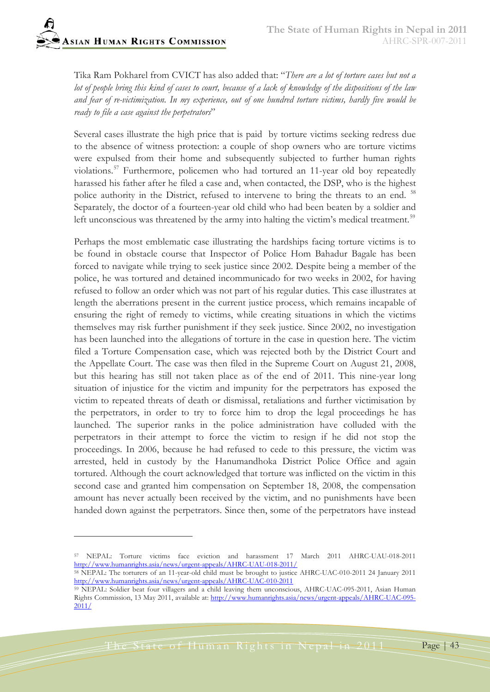Tika Ram Pokharel from CVICT has also added that: "*There are a lot of torture cases but not a lot of people bring this kind of cases to court, because of a lack of knowledge of the dispositions of the law and fear of re-victimization. In my experience, out of one hundred torture victims, hardly five would be ready to file a case against the perpetrators*"

Several cases illustrate the high price that is paid by torture victims seeking redress due to the absence of witness protection: a couple of shop owners who are torture victims were expulsed from their home and subsequently subjected to further human rights violations.[57](#page-42-0) Furthermore, policemen who had tortured an 11-year old boy repeatedly harassed his father after he filed a case and, when contacted, the DSP, who is the highest police authority in the District, refused to intervene to bring the threats to an end. <sup>[58](#page-42-1)</sup> Separately, the doctor of a fourteen-year old child who had been beaten by a soldier and left unconscious was threatened by the army into halting the victim's medical treatment.<sup>[59](#page-42-2)</sup>

Perhaps the most emblematic case illustrating the hardships facing torture victims is to be found in obstacle course that Inspector of Police Hom Bahadur Bagale has been forced to navigate while trying to seek justice since 2002. Despite being a member of the police, he was tortured and detained incommunicado for two weeks in 2002, for having refused to follow an order which was not part of his regular duties. This case illustrates at length the aberrations present in the current justice process, which remains incapable of ensuring the right of remedy to victims, while creating situations in which the victims themselves may risk further punishment if they seek justice. Since 2002, no investigation has been launched into the allegations of torture in the case in question here. The victim filed a Torture Compensation case, which was rejected both by the District Court and the Appellate Court. The case was then filed in the Supreme Court on August 21, 2008, but this hearing has still not taken place as of the end of 2011. This nine-year long situation of injustice for the victim and impunity for the perpetrators has exposed the victim to repeated threats of death or dismissal, retaliations and further victimisation by the perpetrators, in order to try to force him to drop the legal proceedings he has launched. The superior ranks in the police administration have colluded with the perpetrators in their attempt to force the victim to resign if he did not stop the proceedings. In 2006, because he had refused to cede to this pressure, the victim was arrested, held in custody by the Hanumandhoka District Police Office and again tortured. Although the court acknowledged that torture was inflicted on the victim in this second case and granted him compensation on September 18, 2008, the compensation amount has never actually been received by the victim, and no punishments have been handed down against the perpetrators. Since then, some of the perpetrators have instead

The State of Human Rights in Nepal in 2011 Page 743

<span id="page-42-0"></span><sup>57</sup> NEPAL: Torture victims face eviction and harassment 17 March 2011 AHRC-UAU-018-2011 <http://www.humanrights.asia/news/urgent-appeals/AHRC-UAU-018-2011/>

<span id="page-42-1"></span><sup>58</sup> NEPAL: The torturers of an 11-year-old child must be brought to justice AHRC-UAC-010-2011 24 January 2011 <http://www.humanrights.asia/news/urgent-appeals/AHRC-UAC-010-2011>

<span id="page-42-2"></span><sup>59</sup> NEPAL: Soldier beat four villagers and a child leaving them unconscious, AHRC-UAC-095-2011, Asian Human Rights Commission, 13 May 2011, available at: [http://www.humanrights.asia/news/urgent-appeals/AHRC-UAC-095-](http://www.humanrights.asia/news/urgent-appeals/AHRC-UAC-095-2011/) [2011/](http://www.humanrights.asia/news/urgent-appeals/AHRC-UAC-095-2011/)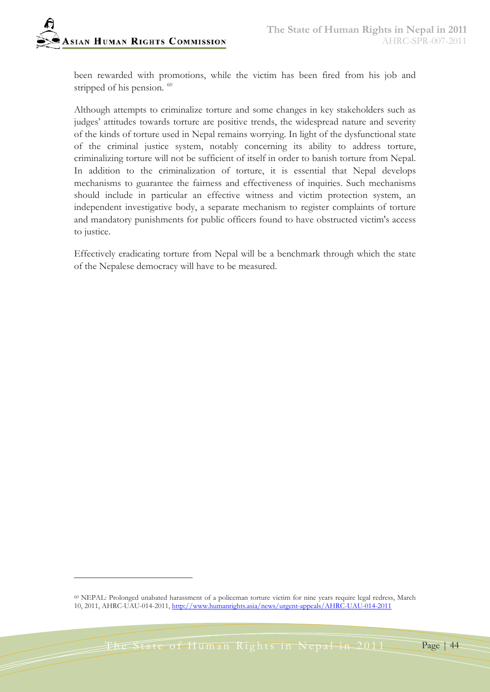been rewarded with promotions, while the victim has been fired from his job and stripped of his pension.<sup>[60](#page-43-0)</sup>

Although attempts to criminalize torture and some changes in key stakeholders such as judges' attitudes towards torture are positive trends, the widespread nature and severity of the kinds of torture used in Nepal remains worrying. In light of the dysfunctional state of the criminal justice system, notably concerning its ability to address torture, criminalizing torture will not be sufficient of itself in order to banish torture from Nepal. In addition to the criminalization of torture, it is essential that Nepal develops mechanisms to guarantee the fairness and effectiveness of inquiries. Such mechanisms should include in particular an effective witness and victim protection system, an independent investigative body, a separate mechanism to register complaints of torture and mandatory punishments for public officers found to have obstructed victim's access to justice.

Effectively eradicating torture from Nepal will be a benchmark through which the state of the Nepalese democracy will have to be measured.

<span id="page-43-0"></span><sup>60</sup> NEPAL: Prolonged unabated harassment of a policeman torture victim for nine years require legal redress, March 10, 2011, AHRC-UAU-014-2011, <http://www.humanrights.asia/news/urgent-appeals/AHRC-UAU-014-2011>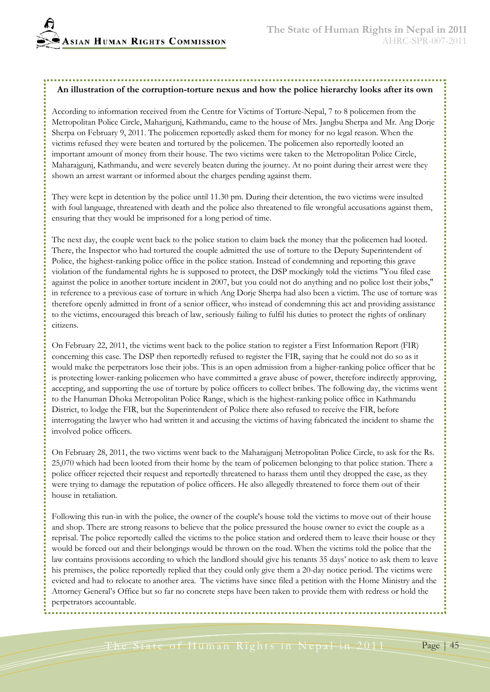#### **An illustration of the corruption-torture nexus and how the police hierarchy looks after its own**

According to information received from the Centre for Victims of Torture-Nepal, 7 to 8 policemen from the Metropolitan Police Circle, Maharjgunj, Kathmandu, came to the house of Mrs. Jangbu Sherpa and Mr. Ang Dorje Sherpa on February 9, 2011. The policemen reportedly asked them for money for no legal reason. When the victims refused they were beaten and tortured by the policemen. The policemen also reportedly looted an important amount of money from their house. The two victims were taken to the Metropolitan Police Circle, Maharajgunj, Kathmandu, and were severely beaten during the journey. At no point during their arrest were they shown an arrest warrant or informed about the charges pending against them.

They were kept in detention by the police until 11.30 pm. During their detention, the two victims were insulted with foul language, threatened with death and the police also threatened to file wrongful accusations against them, ensuring that they would be imprisoned for a long period of time.

The next day, the couple went back to the police station to claim back the money that the policemen had looted. There, the Inspector who had tortured the couple admitted the use of torture to the Deputy Superintendent of Police, the highest-ranking police office in the police station. Instead of condemning and reporting this grave violation of the fundamental rights he is supposed to protect, the DSP mockingly told the victims "You filed case against the police in another torture incident in 2007, but you could not do anything and no police lost their jobs," in reference to a previous case of torture in which Ang Dorje Sherpa had also been a victim. The use of torture was therefore openly admitted in front of a senior officer, who instead of condemning this act and providing assistance to the victims, encouraged this breach of law, seriously failing to fulfil his duties to protect the rights of ordinary citizens.

On February 22, 2011, the victims went back to the police station to register a First Information Report (FIR) concerning this case. The DSP then reportedly refused to register the FIR, saying that he could not do so as it would make the perpetrators lose their jobs. This is an open admission from a higher-ranking police officer that he is protecting lower-ranking policemen who have committed a grave abuse of power, therefore indirectly approving, accepting, and supporting the use of torture by police officers to collect bribes. The following day, the victims went to the Hanuman Dhoka Metropolitan Police Range, which is the highest-ranking police office in Kathmandu District, to lodge the FIR, but the Superintendent of Police there also refused to receive the FIR, before interrogating the lawyer who had written it and accusing the victims of having fabricated the incident to shame the involved police officers.

On February 28, 2011, the two victims went back to the Maharajgunj Metropolitan Police Circle, to ask for the Rs. 25,070 which had been looted from their home by the team of policemen belonging to that police station. There a police officer rejected their request and reportedly threatened to harass them until they dropped the case, as they were trying to damage the reputation of police officers. He also allegedly threatened to force them out of their house in retaliation.

Following this run-in with the police, the owner of the couple's house told the victims to move out of their house and shop. There are strong reasons to believe that the police pressured the house owner to evict the couple as a reprisal. The police reportedly called the victims to the police station and ordered them to leave their house or they would be forced out and their belongings would be thrown on the road. When the victims told the police that the law contains provisions according to which the landlord should give his tenants 35 days' notice to ask them to leave his premises, the police reportedly replied that they could only give them a 20-day notice period. The victims were evicted and had to relocate to another area. The victims have since filed a petition with the Home Ministry and the Attorney General's Office but so far no concrete steps have been taken to provide them with redress or hold the perpetrators accountable.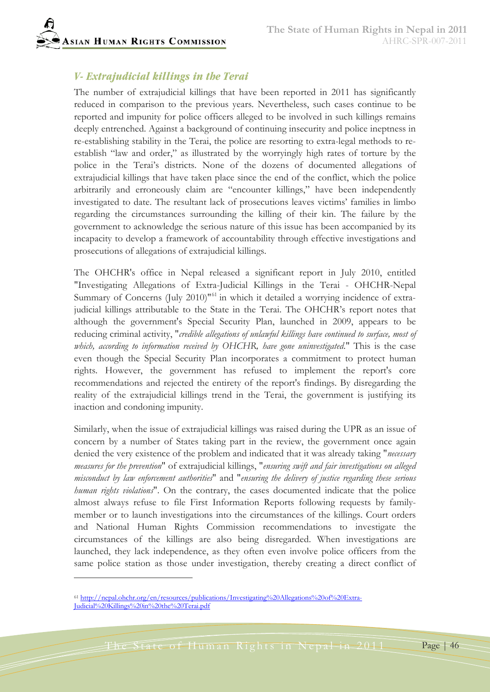## *V- Extrajudicial killings in the Terai*

The number of extrajudicial killings that have been reported in 2011 has significantly reduced in comparison to the previous years. Nevertheless, such cases continue to be reported and impunity for police officers alleged to be involved in such killings remains deeply entrenched. Against a background of continuing insecurity and police ineptness in re-establishing stability in the Terai, the police are resorting to extra-legal methods to reestablish "law and order," as illustrated by the worryingly high rates of torture by the police in the Terai's districts. None of the dozens of documented allegations of extrajudicial killings that have taken place since the end of the conflict, which the police arbitrarily and erroneously claim are "encounter killings," have been independently investigated to date. The resultant lack of prosecutions leaves victims' families in limbo regarding the circumstances surrounding the killing of their kin. The failure by the government to acknowledge the serious nature of this issue has been accompanied by its incapacity to develop a framework of accountability through effective investigations and prosecutions of allegations of extrajudicial killings.

The OHCHR's office in Nepal released a significant report in July 2010, entitled "Investigating Allegations of Extra-Judicial Killings in the Terai - OHCHR-Nepal Summary of Concerns (July 2010)<sup>1[61](#page-45-0)</sup> in which it detailed a worrying incidence of extrajudicial killings attributable to the State in the Terai. The OHCHR's report notes that although the government's Special Security Plan, launched in 2009, appears to be reducing criminal activity, "*credible allegations of unlawful killings have continued to surface, most of which, according to information received by OHCHR, have gone uninvestigated*." This is the case even though the Special Security Plan incorporates a commitment to protect human rights. However, the government has refused to implement the report's core recommendations and rejected the entirety of the report's findings. By disregarding the reality of the extrajudicial killings trend in the Terai, the government is justifying its inaction and condoning impunity.

Similarly, when the issue of extrajudicial killings was raised during the UPR as an issue of concern by a number of States taking part in the review, the government once again denied the very existence of the problem and indicated that it was already taking "*necessary measures for the prevention*" of extrajudicial killings, "*ensuring swift and fair investigations on alleged misconduct by law enforcement authorities*" and "*ensuring the delivery of justice regarding these serious human rights violations*". On the contrary, the cases documented indicate that the police almost always refuse to file First Information Reports following requests by familymember or to launch investigations into the circumstances of the killings. Court orders and National Human Rights Commission recommendations to investigate the circumstances of the killings are also being disregarded. When investigations are launched, they lack independence, as they often even involve police officers from the same police station as those under investigation, thereby creating a direct conflict of

 $\overline{a}$ 

<span id="page-45-0"></span><sup>61</sup> [http://nepal.ohchr.org/en/resources/publications/Investigating%20Allegations%20of%20Extra-](http://nepal.ohchr.org/en/resources/publications/Investigating%20Allegations%20of%20Extra-Judicial%20Killings%20in%20the%20Terai.pdf)[Judicial%20Killings%20in%20the%20Terai.pdf](http://nepal.ohchr.org/en/resources/publications/Investigating%20Allegations%20of%20Extra-Judicial%20Killings%20in%20the%20Terai.pdf)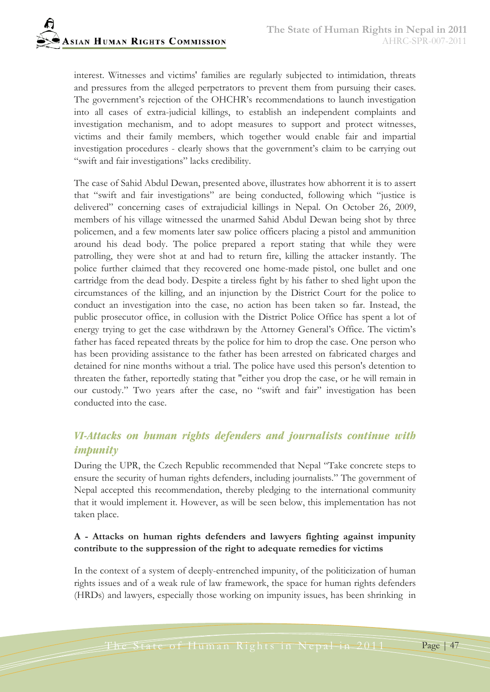interest. Witnesses and victims' families are regularly subjected to intimidation, threats and pressures from the alleged perpetrators to prevent them from pursuing their cases. The government's rejection of the OHCHR's recommendations to launch investigation into all cases of extra-judicial killings, to establish an independent complaints and investigation mechanism, and to adopt measures to support and protect witnesses, victims and their family members, which together would enable fair and impartial investigation procedures - clearly shows that the government's claim to be carrying out "swift and fair investigations" lacks credibility.

The case of Sahid Abdul Dewan, presented above, illustrates how abhorrent it is to assert that "swift and fair investigations" are being conducted, following which "justice is delivered" concerning cases of extrajudicial killings in Nepal. On October 26, 2009, members of his village witnessed the unarmed Sahid Abdul Dewan being shot by three policemen, and a few moments later saw police officers placing a pistol and ammunition around his dead body. The police prepared a report stating that while they were patrolling, they were shot at and had to return fire, killing the attacker instantly. The police further claimed that they recovered one home-made pistol, one bullet and one cartridge from the dead body. Despite a tireless fight by his father to shed light upon the circumstances of the killing, and an injunction by the District Court for the police to conduct an investigation into the case, no action has been taken so far. Instead, the public prosecutor office, in collusion with the District Police Office has spent a lot of energy trying to get the case withdrawn by the Attorney General's Office. The victim's father has faced repeated threats by the police for him to drop the case. One person who has been providing assistance to the father has been arrested on fabricated charges and detained for nine months without a trial. The police have used this person's detention to threaten the father, reportedly stating that "either you drop the case, or he will remain in our custody." Two years after the case, no "swift and fair" investigation has been conducted into the case.

# *VI-Attacks on human rights defenders and journalists continue with impunity*

During the UPR, the Czech Republic recommended that Nepal "Take concrete steps to ensure the security of human rights defenders, including journalists." The government of Nepal accepted this recommendation, thereby pledging to the international community that it would implement it. However, as will be seen below, this implementation has not taken place.

#### **A - Attacks on human rights defenders and lawyers fighting against impunity contribute to the suppression of the right to adequate remedies for victims**

In the context of a system of deeply-entrenched impunity, of the politicization of human rights issues and of a weak rule of law framework, the space for human rights defenders (HRDs) and lawyers, especially those working on impunity issues, has been shrinking in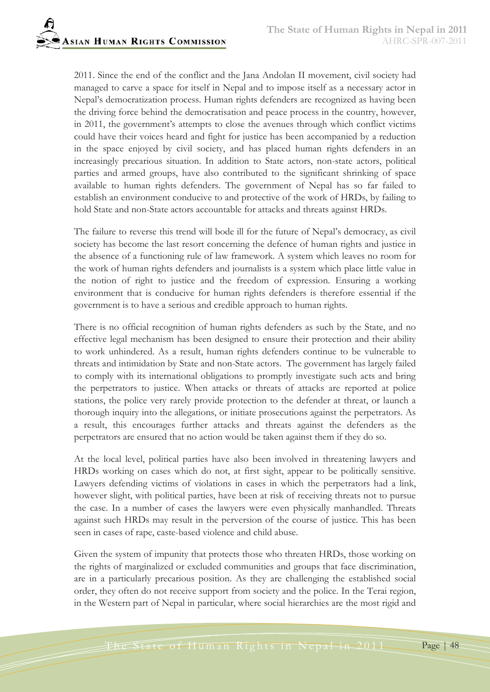2011. Since the end of the conflict and the Jana Andolan II movement, civil society had managed to carve a space for itself in Nepal and to impose itself as a necessary actor in Nepal's democratization process. Human rights defenders are recognized as having been the driving force behind the democratisation and peace process in the country, however, in 2011, the government's attempts to close the avenues through which conflict victims could have their voices heard and fight for justice has been accompanied by a reduction in the space enjoyed by civil society, and has placed human rights defenders in an increasingly precarious situation. In addition to State actors, non-state actors, political parties and armed groups, have also contributed to the significant shrinking of space available to human rights defenders. The government of Nepal has so far failed to establish an environment conducive to and protective of the work of HRDs, by failing to hold State and non-State actors accountable for attacks and threats against HRDs.

The failure to reverse this trend will bode ill for the future of Nepal's democracy, as civil society has become the last resort concerning the defence of human rights and justice in the absence of a functioning rule of law framework. A system which leaves no room for the work of human rights defenders and journalists is a system which place little value in the notion of right to justice and the freedom of expression. Ensuring a working environment that is conducive for human rights defenders is therefore essential if the government is to have a serious and credible approach to human rights.

There is no official recognition of human rights defenders as such by the State, and no effective legal mechanism has been designed to ensure their protection and their ability to work unhindered. As a result, human rights defenders continue to be vulnerable to threats and intimidation by State and non-State actors. The government has largely failed to comply with its international obligations to promptly investigate such acts and bring the perpetrators to justice. When attacks or threats of attacks are reported at police stations, the police very rarely provide protection to the defender at threat, or launch a thorough inquiry into the allegations, or initiate prosecutions against the perpetrators. As a result, this encourages further attacks and threats against the defenders as the perpetrators are ensured that no action would be taken against them if they do so.

At the local level, political parties have also been involved in threatening lawyers and HRDs working on cases which do not, at first sight, appear to be politically sensitive. Lawyers defending victims of violations in cases in which the perpetrators had a link, however slight, with political parties, have been at risk of receiving threats not to pursue the case. In a number of cases the lawyers were even physically manhandled. Threats against such HRDs may result in the perversion of the course of justice. This has been seen in cases of rape, caste-based violence and child abuse.

Given the system of impunity that protects those who threaten HRDs, those working on the rights of marginalized or excluded communities and groups that face discrimination, are in a particularly precarious position. As they are challenging the established social order, they often do not receive support from society and the police. In the Terai region, in the Western part of Nepal in particular, where social hierarchies are the most rigid and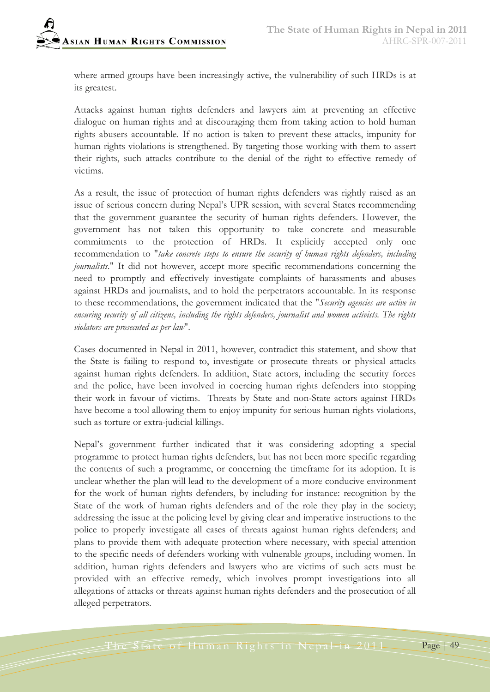where armed groups have been increasingly active, the vulnerability of such HRDs is at its greatest.

Attacks against human rights defenders and lawyers aim at preventing an effective dialogue on human rights and at discouraging them from taking action to hold human rights abusers accountable. If no action is taken to prevent these attacks, impunity for human rights violations is strengthened. By targeting those working with them to assert their rights, such attacks contribute to the denial of the right to effective remedy of victims.

As a result, the issue of protection of human rights defenders was rightly raised as an issue of serious concern during Nepal's UPR session, with several States recommending that the government guarantee the security of human rights defenders. However, the government has not taken this opportunity to take concrete and measurable commitments to the protection of HRDs. It explicitly accepted only one recommendation to "*take concrete steps to ensure the security of human rights defenders, including journalists.*" It did not however, accept more specific recommendations concerning the need to promptly and effectively investigate complaints of harassments and abuses against HRDs and journalists, and to hold the perpetrators accountable. In its response to these recommendations, the government indicated that the "*Security agencies are active in ensuring security of all citizens, including the rights defenders, journalist and women activists. The rights violators are prosecuted as per law*".

Cases documented in Nepal in 2011, however, contradict this statement, and show that the State is failing to respond to, investigate or prosecute threats or physical attacks against human rights defenders. In addition, State actors, including the security forces and the police, have been involved in coercing human rights defenders into stopping their work in favour of victims. Threats by State and non-State actors against HRDs have become a tool allowing them to enjoy impunity for serious human rights violations, such as torture or extra-judicial killings.

Nepal's government further indicated that it was considering adopting a special programme to protect human rights defenders, but has not been more specific regarding the contents of such a programme, or concerning the timeframe for its adoption. It is unclear whether the plan will lead to the development of a more conducive environment for the work of human rights defenders, by including for instance: recognition by the State of the work of human rights defenders and of the role they play in the society; addressing the issue at the policing level by giving clear and imperative instructions to the police to properly investigate all cases of threats against human rights defenders; and plans to provide them with adequate protection where necessary, with special attention to the specific needs of defenders working with vulnerable groups, including women. In addition, human rights defenders and lawyers who are victims of such acts must be provided with an effective remedy, which involves prompt investigations into all allegations of attacks or threats against human rights defenders and the prosecution of all alleged perpetrators.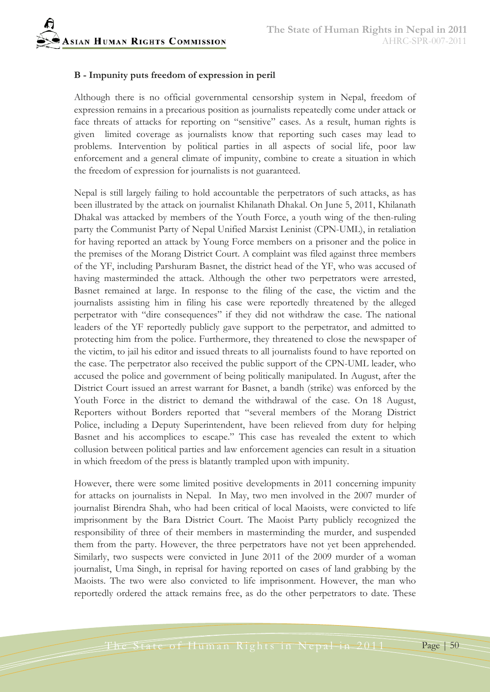

#### **B - Impunity puts freedom of expression in peril**

Although there is no official governmental censorship system in Nepal, freedom of expression remains in a precarious position as journalists repeatedly come under attack or face threats of attacks for reporting on "sensitive" cases. As a result, human rights is given limited coverage as journalists know that reporting such cases may lead to problems. Intervention by political parties in all aspects of social life, poor law enforcement and a general climate of impunity, combine to create a situation in which the freedom of expression for journalists is not guaranteed.

Nepal is still largely failing to hold accountable the perpetrators of such attacks, as has been illustrated by the attack on journalist Khilanath Dhakal. On June 5, 2011, Khilanath Dhakal was attacked by members of the Youth Force, a youth wing of the then-ruling party the Communist Party of Nepal Unified Marxist Leninist (CPN-UML), in retaliation for having reported an attack by Young Force members on a prisoner and the police in the premises of the Morang District Court. A complaint was filed against three members of the YF, including Parshuram Basnet, the district head of the YF, who was accused of having masterminded the attack. Although the other two perpetrators were arrested, Basnet remained at large. In response to the filing of the case, the victim and the journalists assisting him in filing his case were reportedly threatened by the alleged perpetrator with "dire consequences" if they did not withdraw the case. The national leaders of the YF reportedly publicly gave support to the perpetrator, and admitted to protecting him from the police. Furthermore, they threatened to close the newspaper of the victim, to jail his editor and issued threats to all journalists found to have reported on the case. The perpetrator also received the public support of the CPN-UML leader, who accused the police and government of being politically manipulated. In August, after the District Court issued an arrest warrant for Basnet, a bandh (strike) was enforced by the Youth Force in the district to demand the withdrawal of the case. On 18 August, Reporters without Borders reported that "several members of the Morang District Police, including a Deputy Superintendent, have been relieved from duty for helping Basnet and his accomplices to escape." This case has revealed the extent to which collusion between political parties and law enforcement agencies can result in a situation in which freedom of the press is blatantly trampled upon with impunity.

However, there were some limited positive developments in 2011 concerning impunity for attacks on journalists in Nepal. In May, two men involved in the 2007 murder of journalist Birendra Shah, who had been critical of local Maoists, were convicted to life imprisonment by the Bara District Court. The Maoist Party publicly recognized the responsibility of three of their members in masterminding the murder, and suspended them from the party. However, the three perpetrators have not yet been apprehended. Similarly, two suspects were convicted in June 2011 of the 2009 murder of a woman journalist, Uma Singh, in reprisal for having reported on cases of land grabbing by the Maoists. The two were also convicted to life imprisonment. However, the man who reportedly ordered the attack remains free, as do the other perpetrators to date. These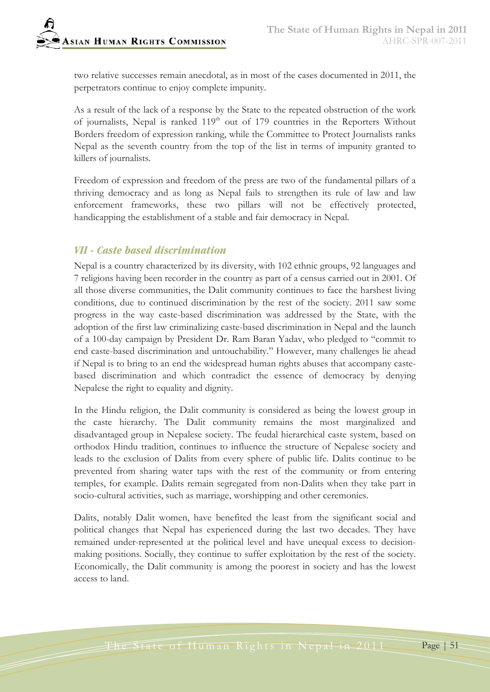two relative successes remain anecdotal, as in most of the cases documented in 2011, the perpetrators continue to enjoy complete impunity.

As a result of the lack of a response by the State to the repeated obstruction of the work of journalists, Nepal is ranked 119<sup>th</sup> out of 179 countries in the Reporters Without Borders freedom of expression ranking, while the Committee to Protect Journalists ranks Nepal as the seventh country from the top of the list in terms of impunity granted to killers of journalists.

Freedom of expression and freedom of the press are two of the fundamental pillars of a thriving democracy and as long as Nepal fails to strengthen its rule of law and law enforcement frameworks, these two pillars will not be effectively protected, handicapping the establishment of a stable and fair democracy in Nepal.

## *VII - Caste based discrimination*

Nepal is a country characterized by its diversity, with 102 ethnic groups, 92 languages and 7 religions having been recorder in the country as part of a census carried out in 2001. Of all those diverse communities, the Dalit community continues to face the harshest living conditions, due to continued discrimination by the rest of the society. 2011 saw some progress in the way caste-based discrimination was addressed by the State, with the adoption of the first law criminalizing caste-based discrimination in Nepal and the launch of a 100-day campaign by President Dr. Ram Baran Yadav, who pledged to "commit to end caste-based discrimination and untouchability." However, many challenges lie ahead if Nepal is to bring to an end the widespread human rights abuses that accompany castebased discrimination and which contradict the essence of democracy by denying Nepalese the right to equality and dignity.

In the Hindu religion, the Dalit community is considered as being the lowest group in the caste hierarchy. The Dalit community remains the most marginalized and disadvantaged group in Nepalese society. The feudal hierarchical caste system, based on orthodox Hindu tradition, continues to influence the structure of Nepalese society and leads to the exclusion of Dalits from every sphere of public life. Dalits continue to be prevented from sharing water taps with the rest of the community or from entering temples, for example. Dalits remain segregated from non-Dalits when they take part in socio-cultural activities, such as marriage, worshipping and other ceremonies.

Dalits, notably Dalit women, have benefited the least from the significant social and political changes that Nepal has experienced during the last two decades. They have remained under-represented at the political level and have unequal excess to decisionmaking positions. Socially, they continue to suffer exploitation by the rest of the society. Economically, the Dalit community is among the poorest in society and has the lowest access to land.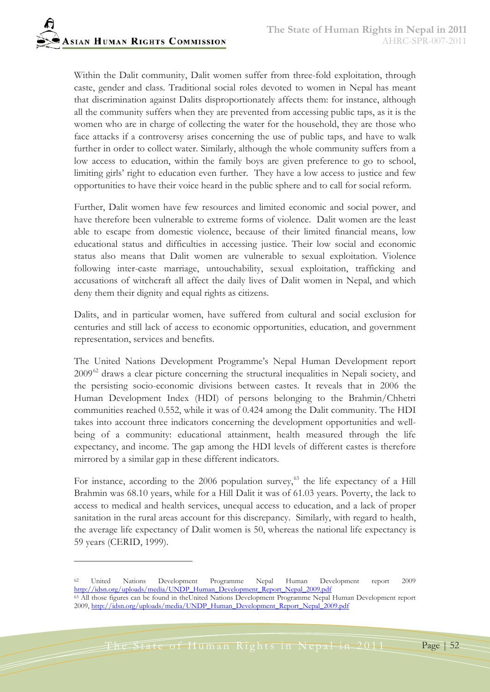Within the Dalit community, Dalit women suffer from three-fold exploitation, through caste, gender and class. Traditional social roles devoted to women in Nepal has meant that discrimination against Dalits disproportionately affects them: for instance, although all the community suffers when they are prevented from accessing public taps, as it is the women who are in charge of collecting the water for the household, they are those who face attacks if a controversy arises concerning the use of public taps, and have to walk further in order to collect water. Similarly, although the whole community suffers from a low access to education, within the family boys are given preference to go to school, limiting girls' right to education even further. They have a low access to justice and few opportunities to have their voice heard in the public sphere and to call for social reform.

Further, Dalit women have few resources and limited economic and social power, and have therefore been vulnerable to extreme forms of violence. Dalit women are the least able to escape from domestic violence, because of their limited financial means, low educational status and difficulties in accessing justice. Their low social and economic status also means that Dalit women are vulnerable to sexual exploitation. Violence following inter-caste marriage, untouchability, sexual exploitation, trafficking and accusations of witchcraft all affect the daily lives of Dalit women in Nepal, and which deny them their dignity and equal rights as citizens.

Dalits, and in particular women, have suffered from cultural and social exclusion for centuries and still lack of access to economic opportunities, education, and government representation, services and benefits.

The United Nations Development Programme's Nepal Human Development report 2009<sup>[62](#page-51-0)</sup> draws a clear picture concerning the structural inequalities in Nepali society, and the persisting socio-economic divisions between castes. It reveals that in 2006 the Human Development Index (HDI) of persons belonging to the Brahmin/Chhetri communities reached 0.552, while it was of 0.424 among the Dalit community. The HDI takes into account three indicators concerning the development opportunities and wellbeing of a community: educational attainment, health measured through the life expectancy, and income. The gap among the HDI levels of different castes is therefore mirrored by a similar gap in these different indicators.

For instance, according to the 2006 population survey,<sup>[63](#page-51-1)</sup> the life expectancy of a Hill Brahmin was 68.10 years, while for a Hill Dalit it was of 61.03 years. Poverty, the lack to access to medical and health services, unequal access to education, and a lack of proper sanitation in the rural areas account for this discrepancy. Similarly, with regard to health, the average life expectancy of Dalit women is 50, whereas the national life expectancy is 59 years (CERID, 1999).

<span id="page-51-0"></span><sup>62</sup> United Nations Development Programme Nepal Human Development report 2009 [http://idsn.org/uploads/media/UNDP\\_Human\\_Development\\_Report\\_Nepal\\_2009.pdf](http://idsn.org/uploads/media/UNDP_Human_Development_Report_Nepal_2009.pdf)

<span id="page-51-1"></span><sup>&</sup>lt;sup>63</sup> All those figures can be found in theUnited Nations Development Programme Nepal Human Development report 2009, [http://idsn.org/uploads/media/UNDP\\_Human\\_Development\\_Report\\_Nepal\\_2009.pdf](http://idsn.org/uploads/media/UNDP_Human_Development_Report_Nepal_2009.pdf)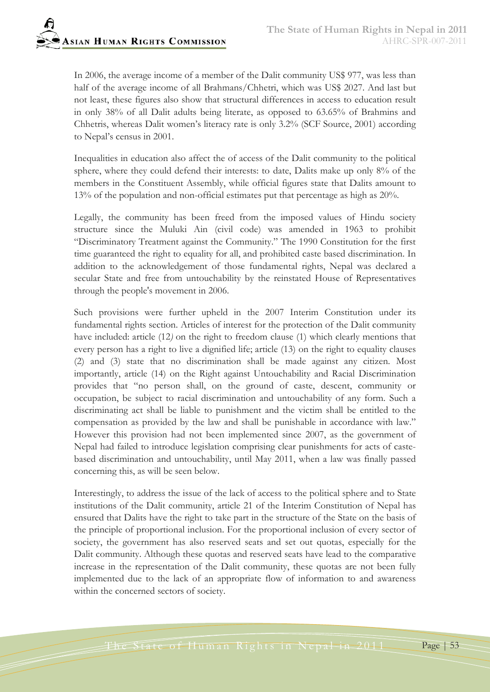In 2006, the average income of a member of the Dalit community US\$ 977, was less than half of the average income of all Brahmans/Chhetri, which was US\$ 2027. And last but not least, these figures also show that structural differences in access to education result in only 38% of all Dalit adults being literate, as opposed to 63.65% of Brahmins and Chhetris, whereas Dalit women's literacy rate is only 3.2% (SCF Source, 2001) according to Nepal's census in 2001.

Inequalities in education also affect the of access of the Dalit community to the political sphere, where they could defend their interests: to date, Dalits make up only 8% of the members in the Constituent Assembly, while official figures state that Dalits amount to 13% of the population and non-official estimates put that percentage as high as 20%.

Legally, the community has been freed from the imposed values of Hindu society structure since the Muluki Ain (civil code) was amended in 1963 to prohibit "Discriminatory Treatment against the Community." The 1990 Constitution for the first time guaranteed the right to equality for all, and prohibited caste based discrimination. In addition to the acknowledgement of those fundamental rights, Nepal was declared a secular State and free from untouchability by the reinstated House of Representatives through the people's movement in 2006.

Such provisions were further upheld in the 2007 Interim Constitution under its fundamental rights section. Articles of interest for the protection of the Dalit community have included: article (12*)* on the right to freedom clause (1) which clearly mentions that every person has a right to live a dignified life; article (13) on the right to equality clauses (2) and (3) state that no discrimination shall be made against any citizen. Most importantly, article (14) on the Right against Untouchability and Racial Discrimination provides that "no person shall, on the ground of caste, descent, community or occupation, be subject to racial discrimination and untouchability of any form. Such a discriminating act shall be liable to punishment and the victim shall be entitled to the compensation as provided by the law and shall be punishable in accordance with law." However this provision had not been implemented since 2007, as the government of Nepal had failed to introduce legislation comprising clear punishments for acts of castebased discrimination and untouchability, until May 2011, when a law was finally passed concerning this, as will be seen below.

Interestingly, to address the issue of the lack of access to the political sphere and to State institutions of the Dalit community, article 21 of the Interim Constitution of Nepal has ensured that Dalits have the right to take part in the structure of the State on the basis of the principle of proportional inclusion. For the proportional inclusion of every sector of society, the government has also reserved seats and set out quotas, especially for the Dalit community. Although these quotas and reserved seats have lead to the comparative increase in the representation of the Dalit community, these quotas are not been fully implemented due to the lack of an appropriate flow of information to and awareness within the concerned sectors of society.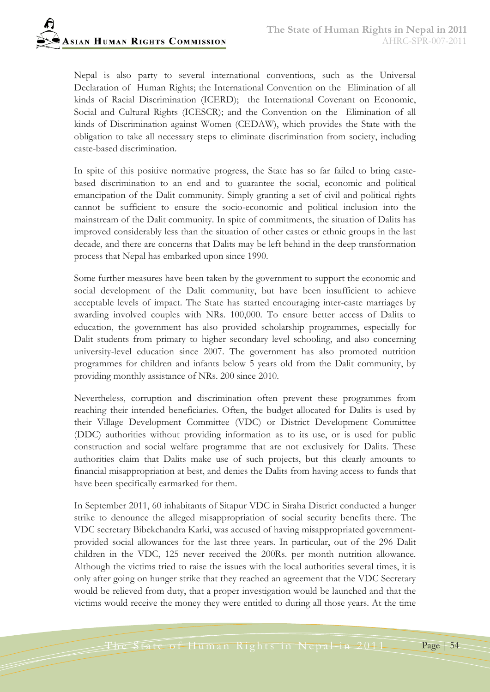Nepal is also party to several international conventions, such as the Universal Declaration of Human Rights; the International Convention on the Elimination of all kinds of Racial Discrimination (ICERD); the International Covenant on Economic, Social and Cultural Rights (ICESCR); and the Convention on the Elimination of all kinds of Discrimination against Women (CEDAW), which provides the State with the obligation to take all necessary steps to eliminate discrimination from society, including caste-based discrimination.

In spite of this positive normative progress, the State has so far failed to bring castebased discrimination to an end and to guarantee the social, economic and political emancipation of the Dalit community. Simply granting a set of civil and political rights cannot be sufficient to ensure the socio-economic and political inclusion into the mainstream of the Dalit community. In spite of commitments, the situation of Dalits has improved considerably less than the situation of other castes or ethnic groups in the last decade, and there are concerns that Dalits may be left behind in the deep transformation process that Nepal has embarked upon since 1990.

Some further measures have been taken by the government to support the economic and social development of the Dalit community, but have been insufficient to achieve acceptable levels of impact. The State has started encouraging inter-caste marriages by awarding involved couples with NRs. 100,000. To ensure better access of Dalits to education, the government has also provided scholarship programmes, especially for Dalit students from primary to higher secondary level schooling, and also concerning university-level education since 2007. The government has also promoted nutrition programmes for children and infants below 5 years old from the Dalit community, by providing monthly assistance of NRs. 200 since 2010.

Nevertheless, corruption and discrimination often prevent these programmes from reaching their intended beneficiaries. Often, the budget allocated for Dalits is used by their Village Development Committee (VDC) or District Development Committee (DDC) authorities without providing information as to its use, or is used for public construction and social welfare programme that are not exclusively for Dalits. These authorities claim that Dalits make use of such projects, but this clearly amounts to financial misappropriation at best, and denies the Dalits from having access to funds that have been specifically earmarked for them.

In September 2011, 60 inhabitants of Sitapur VDC in Siraha District conducted a hunger strike to denounce the alleged misappropriation of social security benefits there. The VDC secretary Bibekchandra Karki, was accused of having misappropriated governmentprovided social allowances for the last three years. In particular, out of the 296 Dalit children in the VDC, 125 never received the 200Rs. per month nutrition allowance. Although the victims tried to raise the issues with the local authorities several times, it is only after going on hunger strike that they reached an agreement that the VDC Secretary would be relieved from duty, that a proper investigation would be launched and that the victims would receive the money they were entitled to during all those years. At the time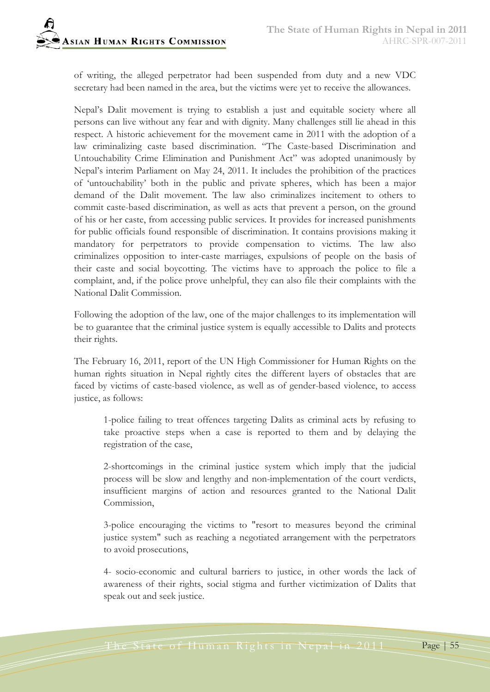of writing, the alleged perpetrator had been suspended from duty and a new VDC secretary had been named in the area, but the victims were yet to receive the allowances.

Nepal's Dalit movement is trying to establish a just and equitable society where all persons can live without any fear and with dignity. Many challenges still lie ahead in this respect. A historic achievement for the movement came in 2011 with the adoption of a law criminalizing caste based discrimination. "The Caste-based Discrimination and Untouchability Crime Elimination and Punishment Act" was adopted unanimously by Nepal's interim Parliament on May 24, 2011. It includes the prohibition of the practices of 'untouchability' both in the public and private spheres, which has been a major demand of the Dalit movement. The law also criminalizes incitement to others to commit caste-based discrimination, as well as acts that prevent a person, on the ground of his or her caste, from accessing public services. It provides for increased punishments for public officials found responsible of discrimination. It contains provisions making it mandatory for perpetrators to provide compensation to victims. The law also criminalizes opposition to inter-caste marriages, expulsions of people on the basis of their caste and social boycotting. The victims have to approach the police to file a complaint, and, if the police prove unhelpful, they can also file their complaints with the National Dalit Commission.

Following the adoption of the law, one of the major challenges to its implementation will be to guarantee that the criminal justice system is equally accessible to Dalits and protects their rights.

The February 16, 2011, report of the UN High Commissioner for Human Rights on the human rights situation in Nepal rightly cites the different layers of obstacles that are faced by victims of caste-based violence, as well as of gender-based violence, to access justice, as follows:

1-police failing to treat offences targeting Dalits as criminal acts by refusing to take proactive steps when a case is reported to them and by delaying the registration of the case,

2-shortcomings in the criminal justice system which imply that the judicial process will be slow and lengthy and non-implementation of the court verdicts, insufficient margins of action and resources granted to the National Dalit Commission,

3-police encouraging the victims to "resort to measures beyond the criminal justice system" such as reaching a negotiated arrangement with the perpetrators to avoid prosecutions,

4- socio-economic and cultural barriers to justice, in other words the lack of awareness of their rights, social stigma and further victimization of Dalits that speak out and seek justice.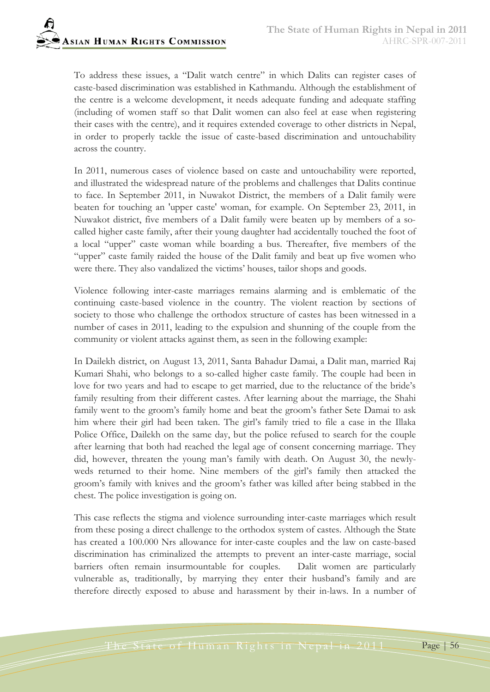To address these issues, a "Dalit watch centre" in which Dalits can register cases of caste-based discrimination was established in Kathmandu. Although the establishment of the centre is a welcome development, it needs adequate funding and adequate staffing (including of women staff so that Dalit women can also feel at ease when registering their cases with the centre), and it requires extended coverage to other districts in Nepal, in order to properly tackle the issue of caste-based discrimination and untouchability across the country.

In 2011, numerous cases of violence based on caste and untouchability were reported, and illustrated the widespread nature of the problems and challenges that Dalits continue to face. In September 2011, in Nuwakot District, the members of a Dalit family were beaten for touching an 'upper caste' woman, for example. On September 23, 2011, in Nuwakot district, five members of a Dalit family were beaten up by members of a socalled higher caste family, after their young daughter had accidentally touched the foot of a local "upper" caste woman while boarding a bus. Thereafter, five members of the "upper" caste family raided the house of the Dalit family and beat up five women who were there. They also vandalized the victims' houses, tailor shops and goods.

Violence following inter-caste marriages remains alarming and is emblematic of the continuing caste-based violence in the country. The violent reaction by sections of society to those who challenge the orthodox structure of castes has been witnessed in a number of cases in 2011, leading to the expulsion and shunning of the couple from the community or violent attacks against them, as seen in the following example:

In Dailekh district, on August 13, 2011, Santa Bahadur Damai, a Dalit man, married Raj Kumari Shahi, who belongs to a so-called higher caste family. The couple had been in love for two years and had to escape to get married, due to the reluctance of the bride's family resulting from their different castes. After learning about the marriage, the Shahi family went to the groom's family home and beat the groom's father Sete Damai to ask him where their girl had been taken. The girl's family tried to file a case in the Illaka Police Office, Dailekh on the same day, but the police refused to search for the couple after learning that both had reached the legal age of consent concerning marriage. They did, however, threaten the young man's family with death. On August 30, the newlyweds returned to their home. Nine members of the girl's family then attacked the groom's family with knives and the groom's father was killed after being stabbed in the chest. The police investigation is going on.

This case reflects the stigma and violence surrounding inter-caste marriages which result from these posing a direct challenge to the orthodox system of castes. Although the State has created a 100.000 Nrs allowance for inter-caste couples and the law on caste-based discrimination has criminalized the attempts to prevent an inter-caste marriage, social barriers often remain insurmountable for couples. Dalit women are particularly vulnerable as, traditionally, by marrying they enter their husband's family and are therefore directly exposed to abuse and harassment by their in-laws. In a number of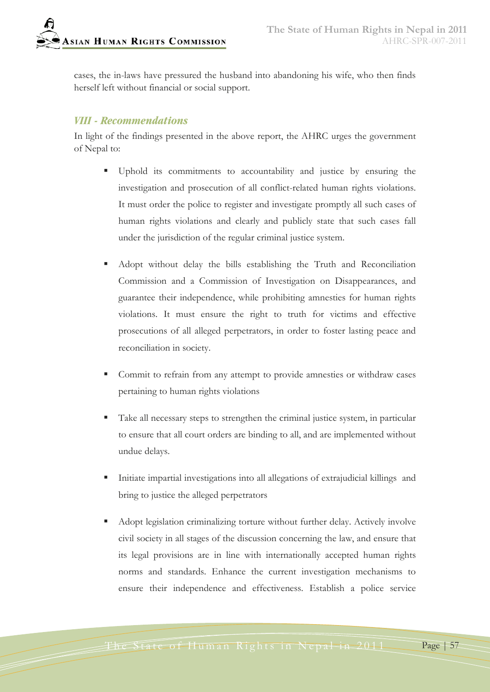cases, the in-laws have pressured the husband into abandoning his wife, who then finds herself left without financial or social support.

#### *VIII - Recommendations*

In light of the findings presented in the above report, the AHRC urges the government of Nepal to:

- Uphold its commitments to accountability and justice by ensuring the investigation and prosecution of all conflict-related human rights violations. It must order the police to register and investigate promptly all such cases of human rights violations and clearly and publicly state that such cases fall under the jurisdiction of the regular criminal justice system.
- Adopt without delay the bills establishing the Truth and Reconciliation Commission and a Commission of Investigation on Disappearances, and guarantee their independence, while prohibiting amnesties for human rights violations. It must ensure the right to truth for victims and effective prosecutions of all alleged perpetrators, in order to foster lasting peace and reconciliation in society.
- Commit to refrain from any attempt to provide amnesties or withdraw cases pertaining to human rights violations
- Take all necessary steps to strengthen the criminal justice system, in particular to ensure that all court orders are binding to all, and are implemented without undue delays.
- Initiate impartial investigations into all allegations of extrajudicial killings and bring to justice the alleged perpetrators
- Adopt legislation criminalizing torture without further delay. Actively involve civil society in all stages of the discussion concerning the law, and ensure that its legal provisions are in line with internationally accepted human rights norms and standards. Enhance the current investigation mechanisms to ensure their independence and effectiveness. Establish a police service